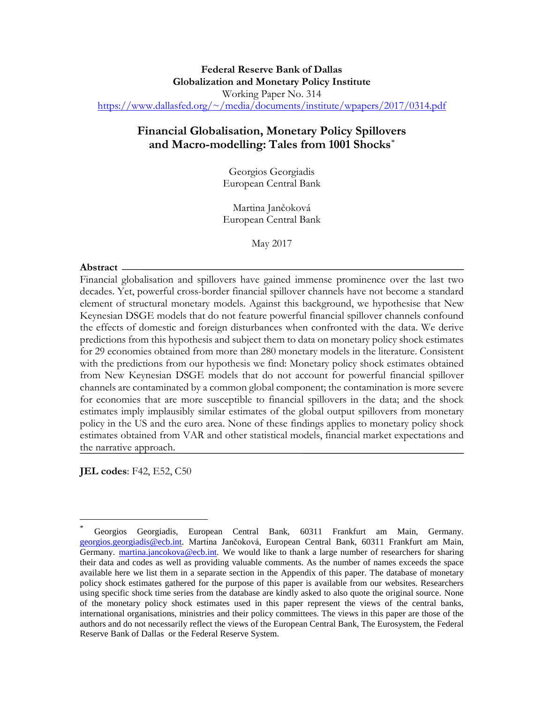# **Federal Reserve Bank of Dallas Globalization and Monetary Policy Institute**  Working Paper No. 314 [https://www.dallasfed.org/~/media/documents/institute/wpapers/2017/0314.pdf](https://www.dallasfed.org/%7E/media/documents/institute/wpapers/2017/0314.pdf)

# **Financial Globalisation, Monetary Policy Spillovers and Macro-modelling: Tales from 1001 Shocks**[\\*](#page-0-0)

Georgios Georgiadis European Central Bank

Martina Jančoková European Central Bank

May 2017

#### **Abstract**

Financial globalisation and spillovers have gained immense prominence over the last two decades. Yet, powerful cross-border financial spillover channels have not become a standard element of structural monetary models. Against this background, we hypothesise that New Keynesian DSGE models that do not feature powerful financial spillover channels confound the effects of domestic and foreign disturbances when confronted with the data. We derive predictions from this hypothesis and subject them to data on monetary policy shock estimates for 29 economies obtained from more than 280 monetary models in the literature. Consistent with the predictions from our hypothesis we find: Monetary policy shock estimates obtained from New Keynesian DSGE models that do not account for powerful financial spillover channels are contaminated by a common global component; the contamination is more severe for economies that are more susceptible to financial spillovers in the data; and the shock estimates imply implausibly similar estimates of the global output spillovers from monetary policy in the US and the euro area. None of these findings applies to monetary policy shock estimates obtained from VAR and other statistical models, financial market expectations and the narrative approach.

**JEL codes**: F42, E52, C50

<span id="page-0-0"></span> <sup>\*</sup> Georgios Georgiadis, European Central Bank, 60311 Frankfurt am Main, Germany. [georgios.georgiadis@ecb.int.](mailto:georgios.georgiadis@ecb.int) Martina Jančoková, European Central Bank, 60311 Frankfurt am Main, Germany. [martina.jancokova@ecb.int.](mailto:martina.jancokova@ecb.int) We would like to thank a large number of researchers for sharing their data and codes as well as providing valuable comments. As the number of names exceeds the space available here we list them in a separate section in the Appendix of this paper. The database of monetary policy shock estimates gathered for the purpose of this paper is available from our websites. Researchers using specific shock time series from the database are kindly asked to also quote the original source. None of the monetary policy shock estimates used in this paper represent the views of the central banks, international organisations, ministries and their policy committees. The views in this paper are those of the authors and do not necessarily reflect the views of the European Central Bank, The Eurosystem, the Federal Reserve Bank of Dallas or the Federal Reserve System.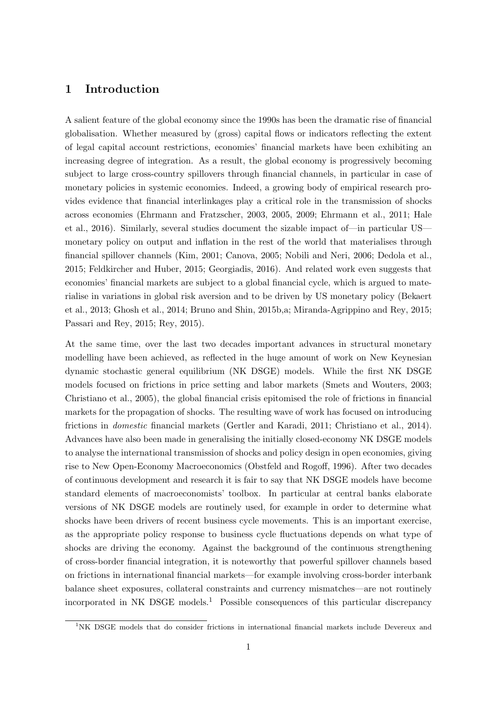# 1 Introduction

A salient feature of the global economy since the 1990s has been the dramatic rise of financial globalisation. Whether measured by (gross) capital flows or indicators reflecting the extent of legal capital account restrictions, economies' financial markets have been exhibiting an increasing degree of integration. As a result, the global economy is progressively becoming subject to large cross-country spillovers through financial channels, in particular in case of monetary policies in systemic economies. Indeed, a growing body of empirical research provides evidence that financial interlinkages play a critical role in the transmission of shocks across economies (Ehrmann and Fratzscher, 2003, 2005, 2009; Ehrmann et al., 2011; Hale et al., 2016). Similarly, several studies document the sizable impact of—in particular US monetary policy on output and inflation in the rest of the world that materialises through financial spillover channels (Kim, 2001; Canova, 2005; Nobili and Neri, 2006; Dedola et al., 2015; Feldkircher and Huber, 2015; Georgiadis, 2016). And related work even suggests that economies' financial markets are subject to a global financial cycle, which is argued to materialise in variations in global risk aversion and to be driven by US monetary policy (Bekaert et al., 2013; Ghosh et al., 2014; Bruno and Shin, 2015b,a; Miranda-Agrippino and Rey, 2015; Passari and Rey, 2015; Rey, 2015).

At the same time, over the last two decades important advances in structural monetary modelling have been achieved, as reflected in the huge amount of work on New Keynesian dynamic stochastic general equilibrium (NK DSGE) models. While the first NK DSGE models focused on frictions in price setting and labor markets (Smets and Wouters, 2003; Christiano et al., 2005), the global financial crisis epitomised the role of frictions in financial markets for the propagation of shocks. The resulting wave of work has focused on introducing frictions in domestic financial markets (Gertler and Karadi, 2011; Christiano et al., 2014). Advances have also been made in generalising the initially closed-economy NK DSGE models to analyse the international transmission of shocks and policy design in open economies, giving rise to New Open-Economy Macroeconomics (Obstfeld and Rogoff, 1996). After two decades of continuous development and research it is fair to say that NK DSGE models have become standard elements of macroeconomists' toolbox. In particular at central banks elaborate versions of NK DSGE models are routinely used, for example in order to determine what shocks have been drivers of recent business cycle movements. This is an important exercise, as the appropriate policy response to business cycle fluctuations depends on what type of shocks are driving the economy. Against the background of the continuous strengthening of cross-border financial integration, it is noteworthy that powerful spillover channels based on frictions in international financial markets—for example involving cross-border interbank balance sheet exposures, collateral constraints and currency mismatches—are not routinely incorporated in NK DSGE models.<sup>1</sup> Possible consequences of this particular discrepancy

<sup>&</sup>lt;sup>1</sup>NK DSGE models that do consider frictions in international financial markets include Devereux and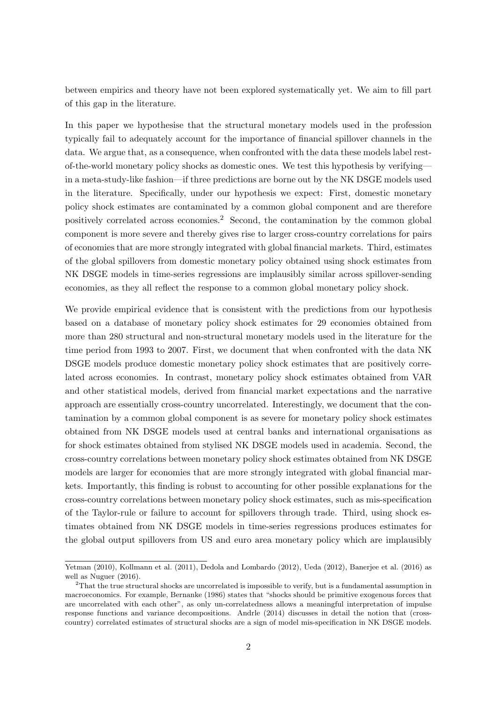between empirics and theory have not been explored systematically yet. We aim to fill part of this gap in the literature.

In this paper we hypothesise that the structural monetary models used in the profession typically fail to adequately account for the importance of financial spillover channels in the data. We argue that, as a consequence, when confronted with the data these models label restof-the-world monetary policy shocks as domestic ones. We test this hypothesis by verifying in a meta-study-like fashion—if three predictions are borne out by the NK DSGE models used in the literature. Specifically, under our hypothesis we expect: First, domestic monetary policy shock estimates are contaminated by a common global component and are therefore positively correlated across economies.<sup>2</sup> Second, the contamination by the common global component is more severe and thereby gives rise to larger cross-country correlations for pairs of economies that are more strongly integrated with global financial markets. Third, estimates of the global spillovers from domestic monetary policy obtained using shock estimates from NK DSGE models in time-series regressions are implausibly similar across spillover-sending economies, as they all reflect the response to a common global monetary policy shock.

We provide empirical evidence that is consistent with the predictions from our hypothesis based on a database of monetary policy shock estimates for 29 economies obtained from more than 280 structural and non-structural monetary models used in the literature for the time period from 1993 to 2007. First, we document that when confronted with the data NK DSGE models produce domestic monetary policy shock estimates that are positively correlated across economies. In contrast, monetary policy shock estimates obtained from VAR and other statistical models, derived from financial market expectations and the narrative approach are essentially cross-country uncorrelated. Interestingly, we document that the contamination by a common global component is as severe for monetary policy shock estimates obtained from NK DSGE models used at central banks and international organisations as for shock estimates obtained from stylised NK DSGE models used in academia. Second, the cross-country correlations between monetary policy shock estimates obtained from NK DSGE models are larger for economies that are more strongly integrated with global financial markets. Importantly, this finding is robust to accounting for other possible explanations for the cross-country correlations between monetary policy shock estimates, such as mis-specification of the Taylor-rule or failure to account for spillovers through trade. Third, using shock estimates obtained from NK DSGE models in time-series regressions produces estimates for the global output spillovers from US and euro area monetary policy which are implausibly

Yetman (2010), Kollmann et al. (2011), Dedola and Lombardo (2012), Ueda (2012), Banerjee et al. (2016) as well as Nuguer (2016).

<sup>2</sup>That the true structural shocks are uncorrelated is impossible to verify, but is a fundamental assumption in macroeconomics. For example, Bernanke (1986) states that "shocks should be primitive exogenous forces that are uncorrelated with each other", as only un-correlatedness allows a meaningful interpretation of impulse response functions and variance decompositions. Andrle (2014) discusses in detail the notion that (crosscountry) correlated estimates of structural shocks are a sign of model mis-specification in NK DSGE models.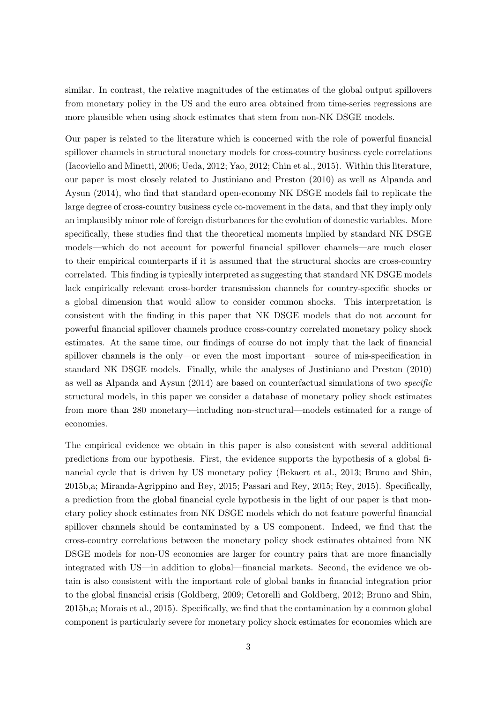similar. In contrast, the relative magnitudes of the estimates of the global output spillovers from monetary policy in the US and the euro area obtained from time-series regressions are more plausible when using shock estimates that stem from non-NK DSGE models.

Our paper is related to the literature which is concerned with the role of powerful financial spillover channels in structural monetary models for cross-country business cycle correlations (Iacoviello and Minetti, 2006; Ueda, 2012; Yao, 2012; Chin et al., 2015). Within this literature, our paper is most closely related to Justiniano and Preston (2010) as well as Alpanda and Aysun (2014), who find that standard open-economy NK DSGE models fail to replicate the large degree of cross-country business cycle co-movement in the data, and that they imply only an implausibly minor role of foreign disturbances for the evolution of domestic variables. More specifically, these studies find that the theoretical moments implied by standard NK DSGE models—which do not account for powerful financial spillover channels—are much closer to their empirical counterparts if it is assumed that the structural shocks are cross-country correlated. This finding is typically interpreted as suggesting that standard NK DSGE models lack empirically relevant cross-border transmission channels for country-specific shocks or a global dimension that would allow to consider common shocks. This interpretation is consistent with the finding in this paper that NK DSGE models that do not account for powerful financial spillover channels produce cross-country correlated monetary policy shock estimates. At the same time, our findings of course do not imply that the lack of financial spillover channels is the only—or even the most important—source of mis-specification in standard NK DSGE models. Finally, while the analyses of Justiniano and Preston (2010) as well as Alpanda and Aysun (2014) are based on counterfactual simulations of two specific structural models, in this paper we consider a database of monetary policy shock estimates from more than 280 monetary—including non-structural—models estimated for a range of economies.

The empirical evidence we obtain in this paper is also consistent with several additional predictions from our hypothesis. First, the evidence supports the hypothesis of a global financial cycle that is driven by US monetary policy (Bekaert et al., 2013; Bruno and Shin, 2015b,a; Miranda-Agrippino and Rey, 2015; Passari and Rey, 2015; Rey, 2015). Specifically, a prediction from the global financial cycle hypothesis in the light of our paper is that monetary policy shock estimates from NK DSGE models which do not feature powerful financial spillover channels should be contaminated by a US component. Indeed, we find that the cross-country correlations between the monetary policy shock estimates obtained from NK DSGE models for non-US economies are larger for country pairs that are more financially integrated with US—in addition to global—financial markets. Second, the evidence we obtain is also consistent with the important role of global banks in financial integration prior to the global financial crisis (Goldberg, 2009; Cetorelli and Goldberg, 2012; Bruno and Shin, 2015b,a; Morais et al., 2015). Specifically, we find that the contamination by a common global component is particularly severe for monetary policy shock estimates for economies which are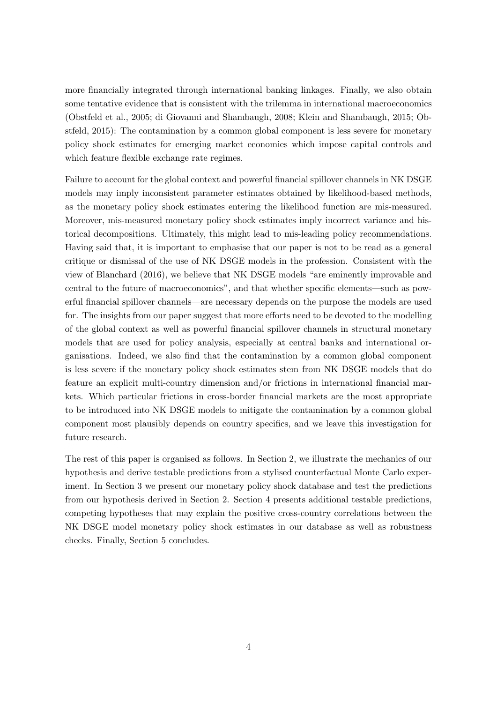more financially integrated through international banking linkages. Finally, we also obtain some tentative evidence that is consistent with the trilemma in international macroeconomics (Obstfeld et al., 2005; di Giovanni and Shambaugh, 2008; Klein and Shambaugh, 2015; Obstfeld, 2015): The contamination by a common global component is less severe for monetary policy shock estimates for emerging market economies which impose capital controls and which feature flexible exchange rate regimes.

Failure to account for the global context and powerful financial spillover channels in NK DSGE models may imply inconsistent parameter estimates obtained by likelihood-based methods, as the monetary policy shock estimates entering the likelihood function are mis-measured. Moreover, mis-measured monetary policy shock estimates imply incorrect variance and historical decompositions. Ultimately, this might lead to mis-leading policy recommendations. Having said that, it is important to emphasise that our paper is not to be read as a general critique or dismissal of the use of NK DSGE models in the profession. Consistent with the view of Blanchard (2016), we believe that NK DSGE models "are eminently improvable and central to the future of macroeconomics", and that whether specific elements—such as powerful financial spillover channels—are necessary depends on the purpose the models are used for. The insights from our paper suggest that more efforts need to be devoted to the modelling of the global context as well as powerful financial spillover channels in structural monetary models that are used for policy analysis, especially at central banks and international organisations. Indeed, we also find that the contamination by a common global component is less severe if the monetary policy shock estimates stem from NK DSGE models that do feature an explicit multi-country dimension and/or frictions in international financial markets. Which particular frictions in cross-border financial markets are the most appropriate to be introduced into NK DSGE models to mitigate the contamination by a common global component most plausibly depends on country specifics, and we leave this investigation for future research.

The rest of this paper is organised as follows. In Section 2, we illustrate the mechanics of our hypothesis and derive testable predictions from a stylised counterfactual Monte Carlo experiment. In Section 3 we present our monetary policy shock database and test the predictions from our hypothesis derived in Section 2. Section 4 presents additional testable predictions, competing hypotheses that may explain the positive cross-country correlations between the NK DSGE model monetary policy shock estimates in our database as well as robustness checks. Finally, Section 5 concludes.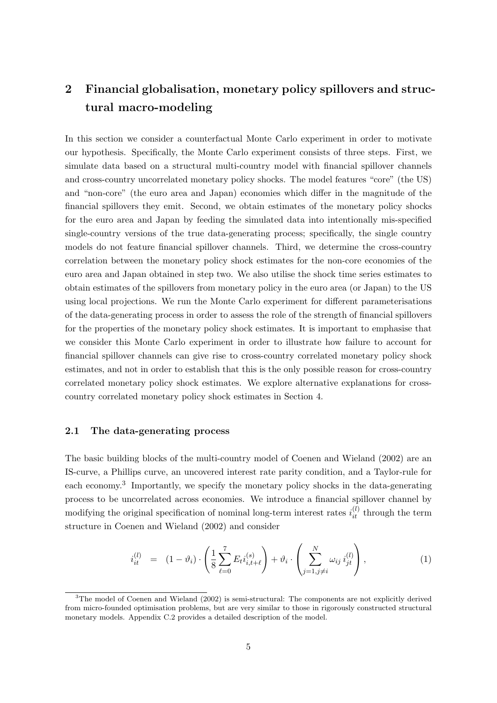# 2 Financial globalisation, monetary policy spillovers and structural macro-modeling

In this section we consider a counterfactual Monte Carlo experiment in order to motivate our hypothesis. Specifically, the Monte Carlo experiment consists of three steps. First, we simulate data based on a structural multi-country model with financial spillover channels and cross-country uncorrelated monetary policy shocks. The model features "core" (the US) and "non-core" (the euro area and Japan) economies which differ in the magnitude of the financial spillovers they emit. Second, we obtain estimates of the monetary policy shocks for the euro area and Japan by feeding the simulated data into intentionally mis-specified single-country versions of the true data-generating process; specifically, the single country models do not feature financial spillover channels. Third, we determine the cross-country correlation between the monetary policy shock estimates for the non-core economies of the euro area and Japan obtained in step two. We also utilise the shock time series estimates to obtain estimates of the spillovers from monetary policy in the euro area (or Japan) to the US using local projections. We run the Monte Carlo experiment for different parameterisations of the data-generating process in order to assess the role of the strength of financial spillovers for the properties of the monetary policy shock estimates. It is important to emphasise that we consider this Monte Carlo experiment in order to illustrate how failure to account for financial spillover channels can give rise to cross-country correlated monetary policy shock estimates, and not in order to establish that this is the only possible reason for cross-country correlated monetary policy shock estimates. We explore alternative explanations for crosscountry correlated monetary policy shock estimates in Section 4.

#### 2.1 The data-generating process

The basic building blocks of the multi-country model of Coenen and Wieland (2002) are an IS-curve, a Phillips curve, an uncovered interest rate parity condition, and a Taylor-rule for each economy.<sup>3</sup> Importantly, we specify the monetary policy shocks in the data-generating process to be uncorrelated across economies. We introduce a financial spillover channel by modifying the original specification of nominal long-term interest rates  $i_{it}^{(l)}$  through the term structure in Coenen and Wieland (2002) and consider

$$
i_{it}^{(l)} = (1 - \vartheta_i) \cdot \left( \frac{1}{8} \sum_{\ell=0}^{7} E_t i_{i,t+\ell}^{(s)} \right) + \vartheta_i \cdot \left( \sum_{j=1, j \neq i}^{N} \omega_{ij} i_{jt}^{(l)} \right), \tag{1}
$$

<sup>&</sup>lt;sup>3</sup>The model of Coenen and Wieland (2002) is semi-structural: The components are not explicitly derived from micro-founded optimisation problems, but are very similar to those in rigorously constructed structural monetary models. Appendix C.2 provides a detailed description of the model.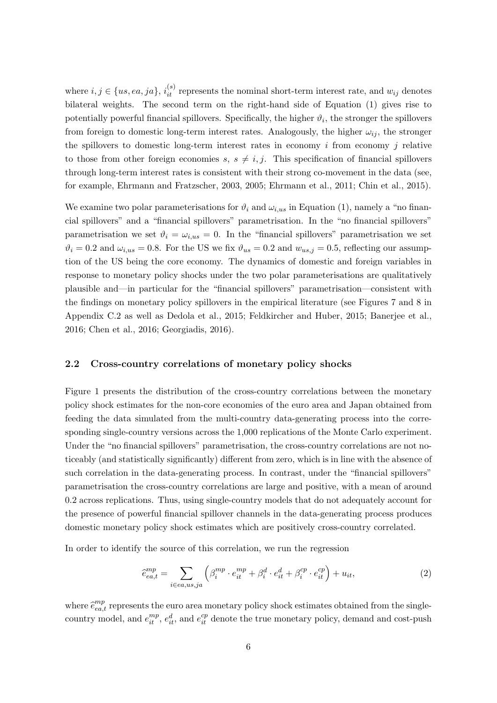where  $i, j \in \{us, ea, ja\}, i_{it}^{(s)}$  represents the nominal short-term interest rate, and  $w_{ij}$  denotes bilateral weights. The second term on the right-hand side of Equation (1) gives rise to potentially powerful financial spillovers. Specifically, the higher  $\vartheta_i$ , the stronger the spillovers from foreign to domestic long-term interest rates. Analogously, the higher  $\omega_{ij}$ , the stronger the spillovers to domestic long-term interest rates in economy  $i$  from economy  $j$  relative to those from other foreign economies s,  $s \neq i, j$ . This specification of financial spillovers through long-term interest rates is consistent with their strong co-movement in the data (see, for example, Ehrmann and Fratzscher, 2003, 2005; Ehrmann et al., 2011; Chin et al., 2015).

We examine two polar parameterisations for  $\vartheta_i$  and  $\omega_{i,us}$  in Equation (1), namely a "no financial spillovers" and a "financial spillovers" parametrisation. In the "no financial spillovers" parametrisation we set  $\vartheta_i = \omega_{i,us} = 0$ . In the "financial spillovers" parametrisation we set  $\vartheta_i = 0.2$  and  $\omega_{i,us} = 0.8$ . For the US we fix  $\vartheta_{us} = 0.2$  and  $w_{us,j} = 0.5$ , reflecting our assumption of the US being the core economy. The dynamics of domestic and foreign variables in response to monetary policy shocks under the two polar parameterisations are qualitatively plausible and—in particular for the "financial spillovers" parametrisation—consistent with the findings on monetary policy spillovers in the empirical literature (see Figures 7 and 8 in Appendix C.2 as well as Dedola et al., 2015; Feldkircher and Huber, 2015; Banerjee et al., 2016; Chen et al., 2016; Georgiadis, 2016).

#### 2.2 Cross-country correlations of monetary policy shocks

Figure 1 presents the distribution of the cross-country correlations between the monetary policy shock estimates for the non-core economies of the euro area and Japan obtained from feeding the data simulated from the multi-country data-generating process into the corresponding single-country versions across the 1,000 replications of the Monte Carlo experiment. Under the "no financial spillovers" parametrisation, the cross-country correlations are not noticeably (and statistically significantly) different from zero, which is in line with the absence of such correlation in the data-generating process. In contrast, under the "financial spillovers" parametrisation the cross-country correlations are large and positive, with a mean of around 0.2 across replications. Thus, using single-country models that do not adequately account for the presence of powerful financial spillover channels in the data-generating process produces domestic monetary policy shock estimates which are positively cross-country correlated.

In order to identify the source of this correlation, we run the regression

$$
\widehat{e}_{ea,t}^{mp} = \sum_{i \in ea, us, ja} \left( \beta_i^{mp} \cdot e_{it}^{mp} + \beta_i^d \cdot e_{it}^d + \beta_i^{cp} \cdot e_{it}^{cp} \right) + u_{it},\tag{2}
$$

where  $\hat{e}_{ea,t}^{mp}$  represents the euro area monetary policy shock estimates obtained from the singlecountry model, and  $e_{it}^{mp}$ ,  $e_{it}^d$ , and  $e_{it}^{cp}$  denote the true monetary policy, demand and cost-push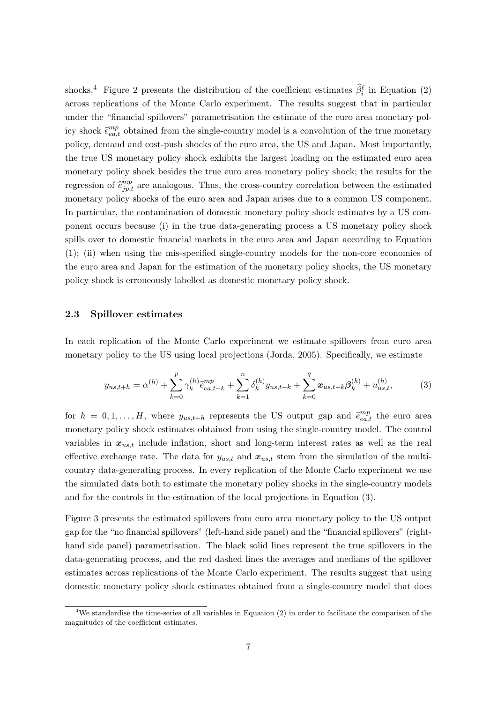shocks.<sup>4</sup> Figure 2 presents the distribution of the coefficient estimates  $\hat{\beta}_i^{\ell}$  in Equation (2) across replications of the Monte Carlo experiment. The results suggest that in particular under the "financial spillovers" parametrisation the estimate of the euro area monetary policy shock  $\hat{e}_{ea,t}^{mp}$  obtained from the single-country model is a convolution of the true monetary policy, demand and cost-push shocks of the euro area, the US and Japan. Most importantly, the true US monetary policy shock exhibits the largest loading on the estimated euro area monetary policy shock besides the true euro area monetary policy shock; the results for the regression of  $\hat{e}_{jp,t}^{mp}$  are analogous. Thus, the cross-country correlation between the estimated monetary policy shocks of the euro area and Japan arises due to a common US component. In particular, the contamination of domestic monetary policy shock estimates by a US component occurs because (i) in the true data-generating process a US monetary policy shock spills over to domestic financial markets in the euro area and Japan according to Equation (1); (ii) when using the mis-specified single-country models for the non-core economies of the euro area and Japan for the estimation of the monetary policy shocks, the US monetary policy shock is erroneously labelled as domestic monetary policy shock.

#### 2.3 Spillover estimates

In each replication of the Monte Carlo experiment we estimate spillovers from euro area monetary policy to the US using local projections (Jorda, 2005). Specifically, we estimate

$$
y_{us,t+h} = \alpha^{(h)} + \sum_{k=0}^{p} \gamma_k^{(h)} \hat{e}_{ea,t-k}^{mp} + \sum_{k=1}^{n} \delta_k^{(h)} y_{us,t-k} + \sum_{k=0}^{q} x_{us,t-k} \beta_k^{(h)} + u_{us,t}^{(h)},
$$
(3)

for  $h = 0, 1, ..., H$ , where  $y_{us,t+h}$  represents the US output gap and  $\hat{e}_{ea,t}^{mp}$  the euro area monetary policy shock estimates obtained from using the single-country model. The control variables in  $x_{us,t}$  include inflation, short and long-term interest rates as well as the real effective exchange rate. The data for  $y_{us,t}$  and  $x_{us,t}$  stem from the simulation of the multicountry data-generating process. In every replication of the Monte Carlo experiment we use the simulated data both to estimate the monetary policy shocks in the single-country models and for the controls in the estimation of the local projections in Equation (3).

Figure 3 presents the estimated spillovers from euro area monetary policy to the US output gap for the "no financial spillovers" (left-hand side panel) and the "financial spillovers" (righthand side panel) parametrisation. The black solid lines represent the true spillovers in the data-generating process, and the red dashed lines the averages and medians of the spillover estimates across replications of the Monte Carlo experiment. The results suggest that using domestic monetary policy shock estimates obtained from a single-country model that does

<sup>4</sup>We standardise the time-series of all variables in Equation (2) in order to facilitate the comparison of the magnitudes of the coefficient estimates.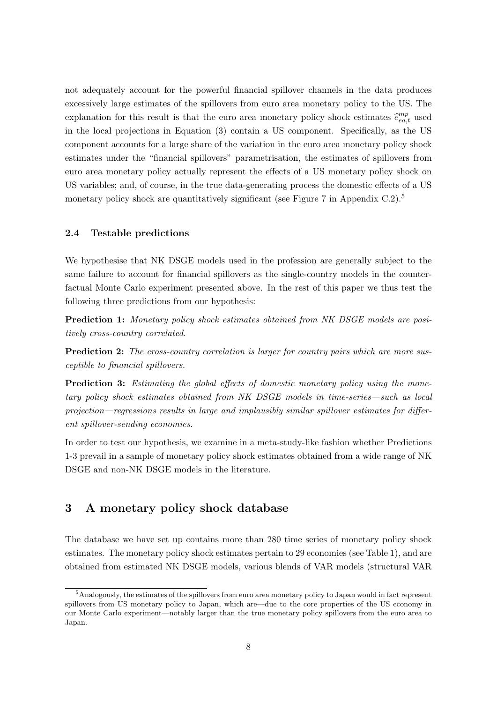not adequately account for the powerful financial spillover channels in the data produces excessively large estimates of the spillovers from euro area monetary policy to the US. The explanation for this result is that the euro area monetary policy shock estimates  $\hat{e}_{ea,t}^{mp}$  used in the local projections in Equation (3) contain a US component. Specifically, as the US component accounts for a large share of the variation in the euro area monetary policy shock estimates under the "financial spillovers" parametrisation, the estimates of spillovers from euro area monetary policy actually represent the effects of a US monetary policy shock on US variables; and, of course, in the true data-generating process the domestic effects of a US monetary policy shock are quantitatively significant (see Figure 7 in Appendix  $C.2$ ).<sup>5</sup>

#### 2.4 Testable predictions

We hypothesise that NK DSGE models used in the profession are generally subject to the same failure to account for financial spillovers as the single-country models in the counterfactual Monte Carlo experiment presented above. In the rest of this paper we thus test the following three predictions from our hypothesis:

Prediction 1: Monetary policy shock estimates obtained from NK DSGE models are positively cross-country correlated.

Prediction 2: The cross-country correlation is larger for country pairs which are more susceptible to financial spillovers.

**Prediction 3:** Estimating the global effects of domestic monetary policy using the monetary policy shock estimates obtained from NK DSGE models in time-series—such as local projection—regressions results in large and implausibly similar spillover estimates for different spillover-sending economies.

In order to test our hypothesis, we examine in a meta-study-like fashion whether Predictions 1-3 prevail in a sample of monetary policy shock estimates obtained from a wide range of NK DSGE and non-NK DSGE models in the literature.

# 3 A monetary policy shock database

The database we have set up contains more than 280 time series of monetary policy shock estimates. The monetary policy shock estimates pertain to 29 economies (see Table 1), and are obtained from estimated NK DSGE models, various blends of VAR models (structural VAR

<sup>5</sup>Analogously, the estimates of the spillovers from euro area monetary policy to Japan would in fact represent spillovers from US monetary policy to Japan, which are—due to the core properties of the US economy in our Monte Carlo experiment—notably larger than the true monetary policy spillovers from the euro area to Japan.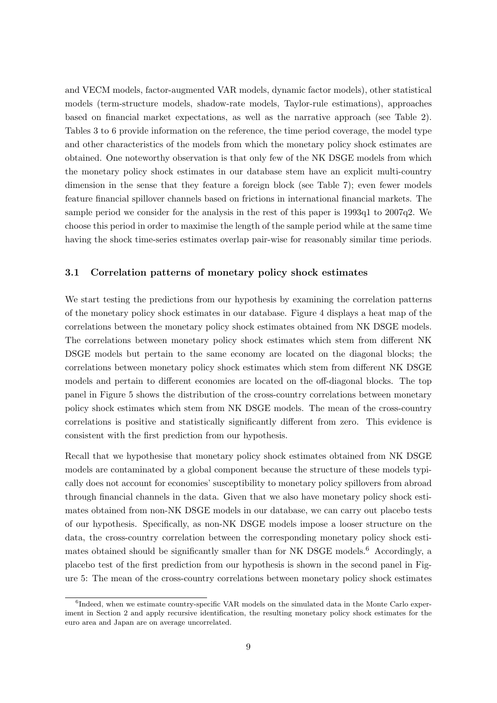and VECM models, factor-augmented VAR models, dynamic factor models), other statistical models (term-structure models, shadow-rate models, Taylor-rule estimations), approaches based on financial market expectations, as well as the narrative approach (see Table 2). Tables 3 to 6 provide information on the reference, the time period coverage, the model type and other characteristics of the models from which the monetary policy shock estimates are obtained. One noteworthy observation is that only few of the NK DSGE models from which the monetary policy shock estimates in our database stem have an explicit multi-country dimension in the sense that they feature a foreign block (see Table 7); even fewer models feature financial spillover channels based on frictions in international financial markets. The sample period we consider for the analysis in the rest of this paper is 1993q1 to 2007q2. We choose this period in order to maximise the length of the sample period while at the same time having the shock time-series estimates overlap pair-wise for reasonably similar time periods.

#### 3.1 Correlation patterns of monetary policy shock estimates

We start testing the predictions from our hypothesis by examining the correlation patterns of the monetary policy shock estimates in our database. Figure 4 displays a heat map of the correlations between the monetary policy shock estimates obtained from NK DSGE models. The correlations between monetary policy shock estimates which stem from different NK DSGE models but pertain to the same economy are located on the diagonal blocks; the correlations between monetary policy shock estimates which stem from different NK DSGE models and pertain to different economies are located on the off-diagonal blocks. The top panel in Figure 5 shows the distribution of the cross-country correlations between monetary policy shock estimates which stem from NK DSGE models. The mean of the cross-country correlations is positive and statistically significantly different from zero. This evidence is consistent with the first prediction from our hypothesis.

Recall that we hypothesise that monetary policy shock estimates obtained from NK DSGE models are contaminated by a global component because the structure of these models typically does not account for economies' susceptibility to monetary policy spillovers from abroad through financial channels in the data. Given that we also have monetary policy shock estimates obtained from non-NK DSGE models in our database, we can carry out placebo tests of our hypothesis. Specifically, as non-NK DSGE models impose a looser structure on the data, the cross-country correlation between the corresponding monetary policy shock estimates obtained should be significantly smaller than for NK DSGE models.<sup>6</sup> Accordingly, a placebo test of the first prediction from our hypothesis is shown in the second panel in Figure 5: The mean of the cross-country correlations between monetary policy shock estimates

<sup>&</sup>lt;sup>6</sup>Indeed, when we estimate country-specific VAR models on the simulated data in the Monte Carlo experiment in Section 2 and apply recursive identification, the resulting monetary policy shock estimates for the euro area and Japan are on average uncorrelated.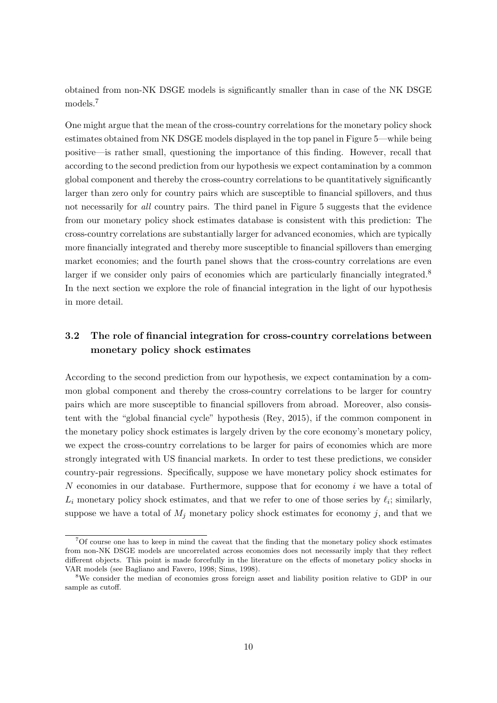obtained from non-NK DSGE models is significantly smaller than in case of the NK DSGE models.<sup>7</sup>

One might argue that the mean of the cross-country correlations for the monetary policy shock estimates obtained from NK DSGE models displayed in the top panel in Figure 5—while being positive—is rather small, questioning the importance of this finding. However, recall that according to the second prediction from our hypothesis we expect contamination by a common global component and thereby the cross-country correlations to be quantitatively significantly larger than zero only for country pairs which are susceptible to financial spillovers, and thus not necessarily for all country pairs. The third panel in Figure 5 suggests that the evidence from our monetary policy shock estimates database is consistent with this prediction: The cross-country correlations are substantially larger for advanced economies, which are typically more financially integrated and thereby more susceptible to financial spillovers than emerging market economies; and the fourth panel shows that the cross-country correlations are even larger if we consider only pairs of economies which are particularly financially integrated.<sup>8</sup> In the next section we explore the role of financial integration in the light of our hypothesis in more detail.

# 3.2 The role of financial integration for cross-country correlations between monetary policy shock estimates

According to the second prediction from our hypothesis, we expect contamination by a common global component and thereby the cross-country correlations to be larger for country pairs which are more susceptible to financial spillovers from abroad. Moreover, also consistent with the "global financial cycle" hypothesis (Rey, 2015), if the common component in the monetary policy shock estimates is largely driven by the core economy's monetary policy, we expect the cross-country correlations to be larger for pairs of economies which are more strongly integrated with US financial markets. In order to test these predictions, we consider country-pair regressions. Specifically, suppose we have monetary policy shock estimates for  $N$  economies in our database. Furthermore, suppose that for economy  $i$  we have a total of  $L_i$  monetary policy shock estimates, and that we refer to one of those series by  $\ell_i$ ; similarly, suppose we have a total of  $M_j$  monetary policy shock estimates for economy j, and that we

 $7$ Of course one has to keep in mind the caveat that the finding that the monetary policy shock estimates from non-NK DSGE models are uncorrelated across economies does not necessarily imply that they reflect different objects. This point is made forcefully in the literature on the effects of monetary policy shocks in VAR models (see Bagliano and Favero, 1998; Sims, 1998).

<sup>&</sup>lt;sup>8</sup>We consider the median of economies gross foreign asset and liability position relative to GDP in our sample as cutoff.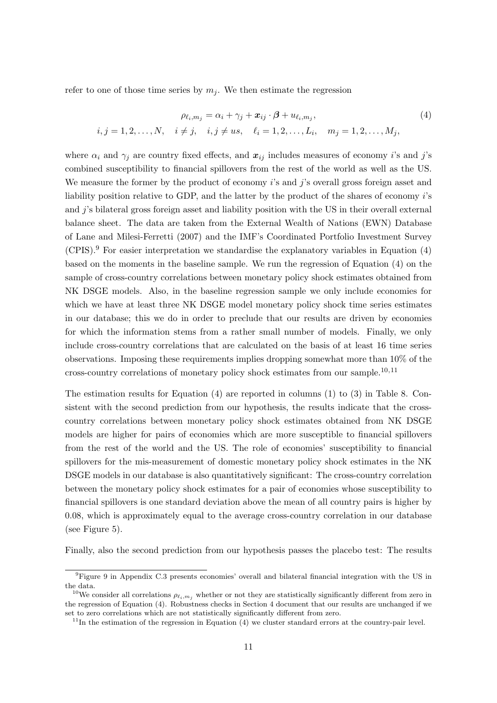refer to one of those time series by  $m_i$ . We then estimate the regression

$$
\rho_{\ell_i, m_j} = \alpha_i + \gamma_j + \boldsymbol{x}_{ij} \cdot \boldsymbol{\beta} + u_{\ell_i, m_j},
$$
\n
$$
i, j = 1, 2, \dots, N, \quad i \neq j, \quad i, j \neq us, \quad \ell_i = 1, 2, \dots, L_i, \quad m_j = 1, 2, \dots, M_j,
$$
\n
$$
(4)
$$

where  $\alpha_i$  and  $\gamma_j$  are country fixed effects, and  $x_{ij}$  includes measures of economy *i*'s and *j*'s combined susceptibility to financial spillovers from the rest of the world as well as the US. We measure the former by the product of economy  $i$ 's and  $j$ 's overall gross foreign asset and liability position relative to GDP, and the latter by the product of the shares of economy i's and j's bilateral gross foreign asset and liability position with the US in their overall external balance sheet. The data are taken from the External Wealth of Nations (EWN) Database of Lane and Milesi-Ferretti (2007) and the IMF's Coordinated Portfolio Investment Survey  $(CPIS)$ .<sup>9</sup> For easier interpretation we standardise the explanatory variables in Equation (4) based on the moments in the baseline sample. We run the regression of Equation (4) on the sample of cross-country correlations between monetary policy shock estimates obtained from NK DSGE models. Also, in the baseline regression sample we only include economies for which we have at least three NK DSGE model monetary policy shock time series estimates in our database; this we do in order to preclude that our results are driven by economies for which the information stems from a rather small number of models. Finally, we only include cross-country correlations that are calculated on the basis of at least 16 time series observations. Imposing these requirements implies dropping somewhat more than 10% of the cross-country correlations of monetary policy shock estimates from our sample.10,<sup>11</sup>

The estimation results for Equation (4) are reported in columns (1) to (3) in Table 8. Consistent with the second prediction from our hypothesis, the results indicate that the crosscountry correlations between monetary policy shock estimates obtained from NK DSGE models are higher for pairs of economies which are more susceptible to financial spillovers from the rest of the world and the US. The role of economies' susceptibility to financial spillovers for the mis-measurement of domestic monetary policy shock estimates in the NK DSGE models in our database is also quantitatively significant: The cross-country correlation between the monetary policy shock estimates for a pair of economies whose susceptibility to financial spillovers is one standard deviation above the mean of all country pairs is higher by 0.08, which is approximately equal to the average cross-country correlation in our database (see Figure 5).

Finally, also the second prediction from our hypothesis passes the placebo test: The results

<sup>9</sup>Figure 9 in Appendix C.3 presents economies' overall and bilateral financial integration with the US in the data.

<sup>&</sup>lt;sup>10</sup>We consider all correlations  $\rho_{\ell_i,m_j}$  whether or not they are statistically significantly different from zero in the regression of Equation (4). Robustness checks in Section 4 document that our results are unchanged if we set to zero correlations which are not statistically significantly different from zero.

 $11$ In the estimation of the regression in Equation (4) we cluster standard errors at the country-pair level.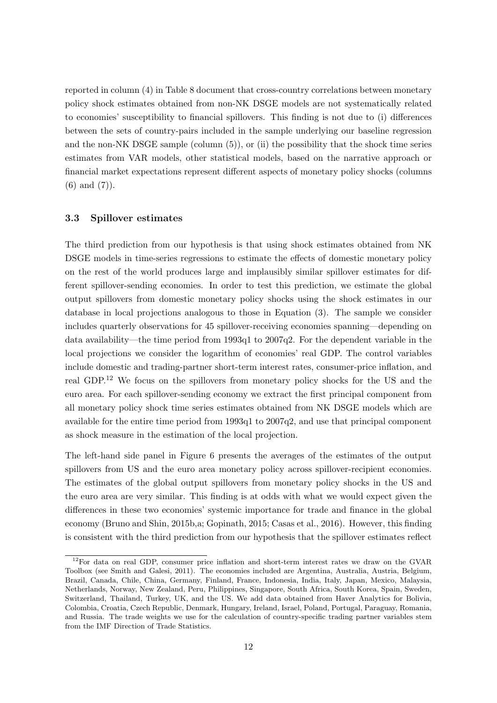reported in column (4) in Table 8 document that cross-country correlations between monetary policy shock estimates obtained from non-NK DSGE models are not systematically related to economies' susceptibility to financial spillovers. This finding is not due to (i) differences between the sets of country-pairs included in the sample underlying our baseline regression and the non-NK DSGE sample (column (5)), or (ii) the possibility that the shock time series estimates from VAR models, other statistical models, based on the narrative approach or financial market expectations represent different aspects of monetary policy shocks (columns (6) and (7)).

#### 3.3 Spillover estimates

The third prediction from our hypothesis is that using shock estimates obtained from NK DSGE models in time-series regressions to estimate the effects of domestic monetary policy on the rest of the world produces large and implausibly similar spillover estimates for different spillover-sending economies. In order to test this prediction, we estimate the global output spillovers from domestic monetary policy shocks using the shock estimates in our database in local projections analogous to those in Equation (3). The sample we consider includes quarterly observations for 45 spillover-receiving economies spanning—depending on data availability—the time period from 1993q1 to 2007q2. For the dependent variable in the local projections we consider the logarithm of economies' real GDP. The control variables include domestic and trading-partner short-term interest rates, consumer-price inflation, and real GDP.<sup>12</sup> We focus on the spillovers from monetary policy shocks for the US and the euro area. For each spillover-sending economy we extract the first principal component from all monetary policy shock time series estimates obtained from NK DSGE models which are available for the entire time period from 1993q1 to 2007q2, and use that principal component as shock measure in the estimation of the local projection.

The left-hand side panel in Figure 6 presents the averages of the estimates of the output spillovers from US and the euro area monetary policy across spillover-recipient economies. The estimates of the global output spillovers from monetary policy shocks in the US and the euro area are very similar. This finding is at odds with what we would expect given the differences in these two economies' systemic importance for trade and finance in the global economy (Bruno and Shin, 2015b,a; Gopinath, 2015; Casas et al., 2016). However, this finding is consistent with the third prediction from our hypothesis that the spillover estimates reflect

 $12$ For data on real GDP, consumer price inflation and short-term interest rates we draw on the GVAR Toolbox (see Smith and Galesi, 2011). The economies included are Argentina, Australia, Austria, Belgium, Brazil, Canada, Chile, China, Germany, Finland, France, Indonesia, India, Italy, Japan, Mexico, Malaysia, Netherlands, Norway, New Zealand, Peru, Philippines, Singapore, South Africa, South Korea, Spain, Sweden, Switzerland, Thailand, Turkey, UK, and the US. We add data obtained from Haver Analytics for Bolivia, Colombia, Croatia, Czech Republic, Denmark, Hungary, Ireland, Israel, Poland, Portugal, Paraguay, Romania, and Russia. The trade weights we use for the calculation of country-specific trading partner variables stem from the IMF Direction of Trade Statistics.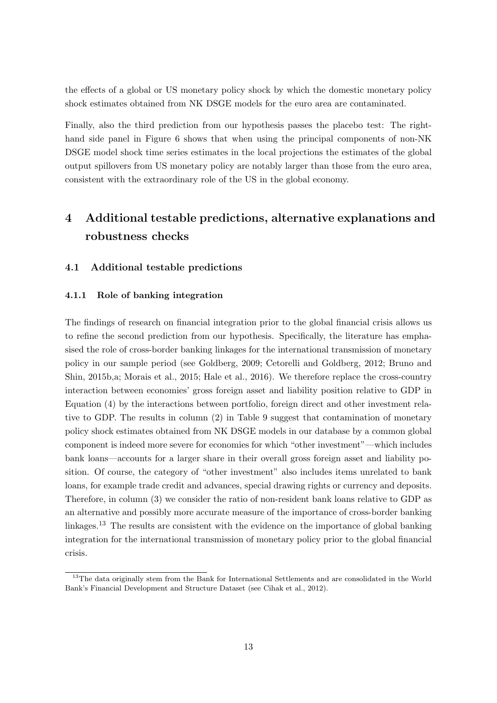the effects of a global or US monetary policy shock by which the domestic monetary policy shock estimates obtained from NK DSGE models for the euro area are contaminated.

Finally, also the third prediction from our hypothesis passes the placebo test: The righthand side panel in Figure 6 shows that when using the principal components of non-NK DSGE model shock time series estimates in the local projections the estimates of the global output spillovers from US monetary policy are notably larger than those from the euro area, consistent with the extraordinary role of the US in the global economy.

# 4 Additional testable predictions, alternative explanations and robustness checks

#### 4.1 Additional testable predictions

#### 4.1.1 Role of banking integration

The findings of research on financial integration prior to the global financial crisis allows us to refine the second prediction from our hypothesis. Specifically, the literature has emphasised the role of cross-border banking linkages for the international transmission of monetary policy in our sample period (see Goldberg, 2009; Cetorelli and Goldberg, 2012; Bruno and Shin, 2015b,a; Morais et al., 2015; Hale et al., 2016). We therefore replace the cross-country interaction between economies' gross foreign asset and liability position relative to GDP in Equation (4) by the interactions between portfolio, foreign direct and other investment relative to GDP. The results in column (2) in Table 9 suggest that contamination of monetary policy shock estimates obtained from NK DSGE models in our database by a common global component is indeed more severe for economies for which "other investment"—which includes bank loans—accounts for a larger share in their overall gross foreign asset and liability position. Of course, the category of "other investment" also includes items unrelated to bank loans, for example trade credit and advances, special drawing rights or currency and deposits. Therefore, in column (3) we consider the ratio of non-resident bank loans relative to GDP as an alternative and possibly more accurate measure of the importance of cross-border banking linkages.<sup>13</sup> The results are consistent with the evidence on the importance of global banking integration for the international transmission of monetary policy prior to the global financial crisis.

<sup>&</sup>lt;sup>13</sup>The data originally stem from the Bank for International Settlements and are consolidated in the World Bank's Financial Development and Structure Dataset (see Cihak et al., 2012).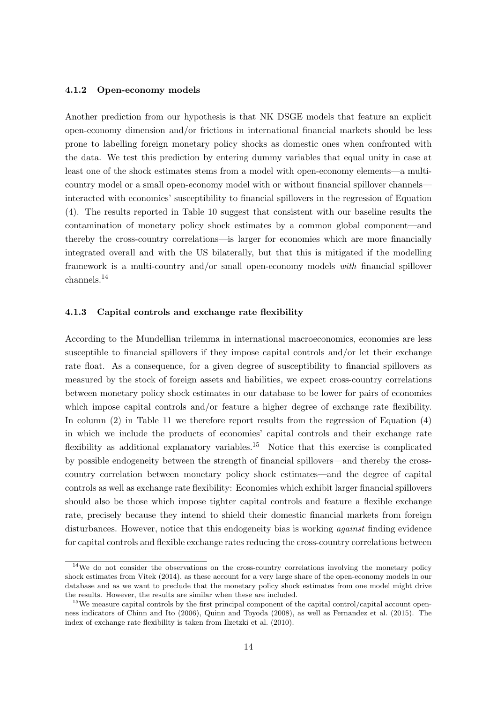#### 4.1.2 Open-economy models

Another prediction from our hypothesis is that NK DSGE models that feature an explicit open-economy dimension and/or frictions in international financial markets should be less prone to labelling foreign monetary policy shocks as domestic ones when confronted with the data. We test this prediction by entering dummy variables that equal unity in case at least one of the shock estimates stems from a model with open-economy elements—a multicountry model or a small open-economy model with or without financial spillover channels interacted with economies' susceptibility to financial spillovers in the regression of Equation (4). The results reported in Table 10 suggest that consistent with our baseline results the contamination of monetary policy shock estimates by a common global component—and thereby the cross-country correlations—is larger for economies which are more financially integrated overall and with the US bilaterally, but that this is mitigated if the modelling framework is a multi-country and/or small open-economy models with financial spillover channels.<sup>14</sup>

#### 4.1.3 Capital controls and exchange rate flexibility

According to the Mundellian trilemma in international macroeconomics, economies are less susceptible to financial spillovers if they impose capital controls and/or let their exchange rate float. As a consequence, for a given degree of susceptibility to financial spillovers as measured by the stock of foreign assets and liabilities, we expect cross-country correlations between monetary policy shock estimates in our database to be lower for pairs of economies which impose capital controls and/or feature a higher degree of exchange rate flexibility. In column (2) in Table 11 we therefore report results from the regression of Equation (4) in which we include the products of economies' capital controls and their exchange rate flexibility as additional explanatory variables.<sup>15</sup> Notice that this exercise is complicated by possible endogeneity between the strength of financial spillovers—and thereby the crosscountry correlation between monetary policy shock estimates—and the degree of capital controls as well as exchange rate flexibility: Economies which exhibit larger financial spillovers should also be those which impose tighter capital controls and feature a flexible exchange rate, precisely because they intend to shield their domestic financial markets from foreign disturbances. However, notice that this endogeneity bias is working *against* finding evidence for capital controls and flexible exchange rates reducing the cross-country correlations between

<sup>&</sup>lt;sup>14</sup>We do not consider the observations on the cross-country correlations involving the monetary policy shock estimates from Vitek (2014), as these account for a very large share of the open-economy models in our database and as we want to preclude that the monetary policy shock estimates from one model might drive the results. However, the results are similar when these are included.

<sup>&</sup>lt;sup>15</sup>We measure capital controls by the first principal component of the capital control/capital account openness indicators of Chinn and Ito (2006), Quinn and Toyoda (2008), as well as Fernandez et al. (2015). The index of exchange rate flexibility is taken from Ilzetzki et al. (2010).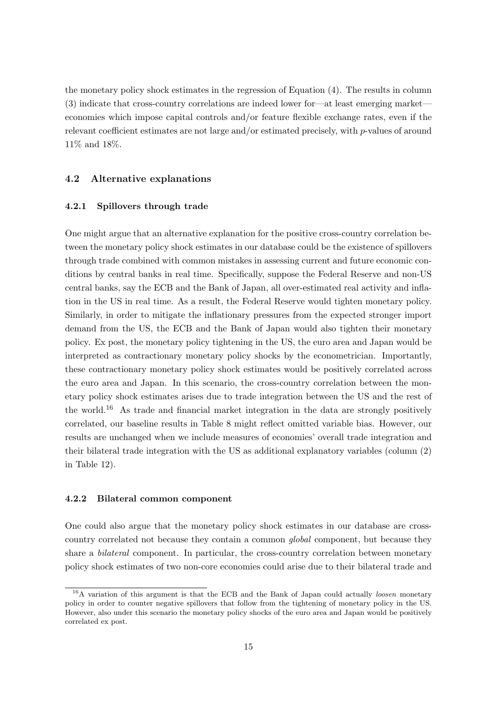the monetary policy shock estimates in the regression of Equation (4). The results in column (3) indicate that cross-country correlations are indeed lower for—at least emerging market economies which impose capital controls and/or feature flexible exchange rates, even if the relevant coefficient estimates are not large and/or estimated precisely, with p-values of around 11% and 18%.

#### 4.2 Alternative explanations

#### 4.2.1 Spillovers through trade

One might argue that an alternative explanation for the positive cross-country correlation between the monetary policy shock estimates in our database could be the existence of spillovers through trade combined with common mistakes in assessing current and future economic conditions by central banks in real time. Specifically, suppose the Federal Reserve and non-US central banks, say the ECB and the Bank of Japan, all over-estimated real activity and inflation in the US in real time. As a result, the Federal Reserve would tighten monetary policy. Similarly, in order to mitigate the inflationary pressures from the expected stronger import demand from the US, the ECB and the Bank of Japan would also tighten their monetary policy. Ex post, the monetary policy tightening in the US, the euro area and Japan would be interpreted as contractionary monetary policy shocks by the econometrician. Importantly, these contractionary monetary policy shock estimates would be positively correlated across the euro area and Japan. In this scenario, the cross-country correlation between the monetary policy shock estimates arises due to trade integration between the US and the rest of the world.<sup>16</sup> As trade and financial market integration in the data are strongly positively correlated, our baseline results in Table 8 might reflect omitted variable bias. However, our results are unchanged when we include measures of economies' overall trade integration and their bilateral trade integration with the US as additional explanatory variables (column (2) in Table 12).

#### 4.2.2 Bilateral common component

One could also argue that the monetary policy shock estimates in our database are crosscountry correlated not because they contain a common *global* component, but because they share a *bilateral* component. In particular, the cross-country correlation between monetary policy shock estimates of two non-core economies could arise due to their bilateral trade and

<sup>&</sup>lt;sup>16</sup>A variation of this argument is that the ECB and the Bank of Japan could actually *loosen* monetary policy in order to counter negative spillovers that follow from the tightening of monetary policy in the US. However, also under this scenario the monetary policy shocks of the euro area and Japan would be positively correlated ex post.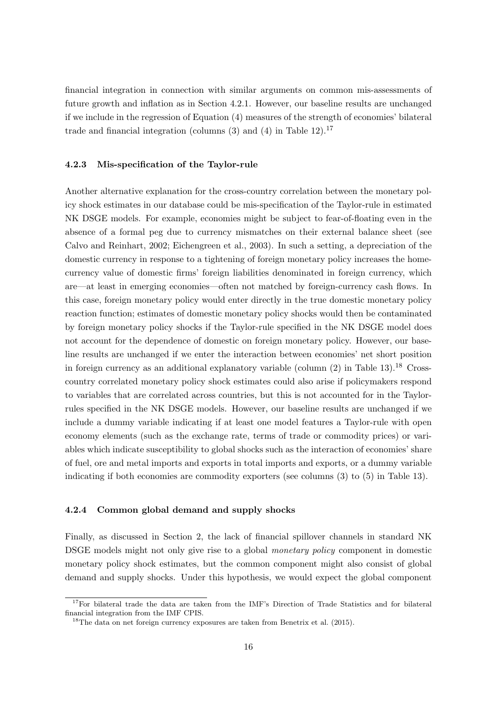financial integration in connection with similar arguments on common mis-assessments of future growth and inflation as in Section 4.2.1. However, our baseline results are unchanged if we include in the regression of Equation (4) measures of the strength of economies' bilateral trade and financial integration (columns  $(3)$  and  $(4)$  in Table 12).<sup>17</sup>

#### 4.2.3 Mis-specification of the Taylor-rule

Another alternative explanation for the cross-country correlation between the monetary policy shock estimates in our database could be mis-specification of the Taylor-rule in estimated NK DSGE models. For example, economies might be subject to fear-of-floating even in the absence of a formal peg due to currency mismatches on their external balance sheet (see Calvo and Reinhart, 2002; Eichengreen et al., 2003). In such a setting, a depreciation of the domestic currency in response to a tightening of foreign monetary policy increases the homecurrency value of domestic firms' foreign liabilities denominated in foreign currency, which are—at least in emerging economies—often not matched by foreign-currency cash flows. In this case, foreign monetary policy would enter directly in the true domestic monetary policy reaction function; estimates of domestic monetary policy shocks would then be contaminated by foreign monetary policy shocks if the Taylor-rule specified in the NK DSGE model does not account for the dependence of domestic on foreign monetary policy. However, our baseline results are unchanged if we enter the interaction between economies' net short position in foreign currency as an additional explanatory variable (column  $(2)$  in Table 13).<sup>18</sup> Crosscountry correlated monetary policy shock estimates could also arise if policymakers respond to variables that are correlated across countries, but this is not accounted for in the Taylorrules specified in the NK DSGE models. However, our baseline results are unchanged if we include a dummy variable indicating if at least one model features a Taylor-rule with open economy elements (such as the exchange rate, terms of trade or commodity prices) or variables which indicate susceptibility to global shocks such as the interaction of economies' share of fuel, ore and metal imports and exports in total imports and exports, or a dummy variable indicating if both economies are commodity exporters (see columns (3) to (5) in Table 13).

#### 4.2.4 Common global demand and supply shocks

Finally, as discussed in Section 2, the lack of financial spillover channels in standard NK DSGE models might not only give rise to a global monetary policy component in domestic monetary policy shock estimates, but the common component might also consist of global demand and supply shocks. Under this hypothesis, we would expect the global component

<sup>&</sup>lt;sup>17</sup>For bilateral trade the data are taken from the IMF's Direction of Trade Statistics and for bilateral financial integration from the IMF CPIS.

<sup>&</sup>lt;sup>18</sup>The data on net foreign currency exposures are taken from Benetrix et al. (2015).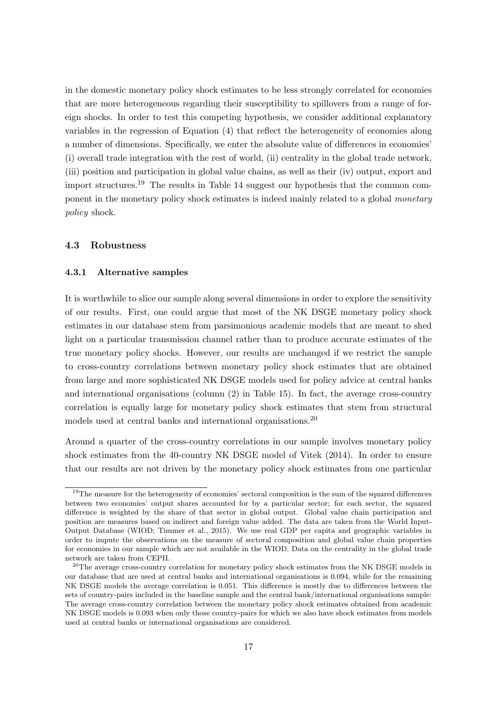in the domestic monetary policy shock estimates to be less strongly correlated for economies that are more heterogeneous regarding their susceptibility to spillovers from a range of foreign shocks. In order to test this competing hypothesis, we consider additional explanatory variables in the regression of Equation (4) that reflect the heterogeneity of economies along a number of dimensions. Specifically, we enter the absolute value of differences in economies' (i) overall trade integration with the rest of world, (ii) centrality in the global trade network, (iii) position and participation in global value chains, as well as their (iv) output, export and import structures.<sup>19</sup> The results in Table 14 suggest our hypothesis that the common component in the monetary policy shock estimates is indeed mainly related to a global monetary policy shock.

#### 4.3 Robustness

#### 4.3.1 Alternative samples

It is worthwhile to slice our sample along several dimensions in order to explore the sensitivity of our results. First, one could argue that most of the NK DSGE monetary policy shock estimates in our database stem from parsimonious academic models that are meant to shed light on a particular transmission channel rather than to produce accurate estimates of the true monetary policy shocks. However, our results are unchanged if we restrict the sample to cross-country correlations between monetary policy shock estimates that are obtained from large and more sophisticated NK DSGE models used for policy advice at central banks and international organisations (column (2) in Table 15). In fact, the average cross-country correlation is equally large for monetary policy shock estimates that stem from structural models used at central banks and international organisations.<sup>20</sup>

Around a quarter of the cross-country correlations in our sample involves monetary policy shock estimates from the 40-country NK DSGE model of Vitek (2014). In order to ensure that our results are not driven by the monetary policy shock estimates from one particular

<sup>&</sup>lt;sup>19</sup>The measure for the heterogeneity of economies' sectoral composition is the sum of the squared differences between two economies' output shares accounted for by a particular sector; for each sector, the squared difference is weighted by the share of that sector in global output. Global value chain participation and position are measures based on indirect and foreign value added. The data are taken from the World Input-Output Database (WIOD; Timmer et al., 2015). We use real GDP per capita and geographic variables in order to impute the observations on the measure of sectoral composition and global value chain properties for economies in our sample which are not available in the WIOD. Data on the centrality in the global trade network are taken from CEPII.

 $^{20}$ The average cross-country correlation for monetary policy shock estimates from the NK DSGE models in our database that are used at central banks and international organisations is 0.094, while for the remaining NK DSGE models the average correlation is 0.051. This difference is mostly due to differences between the sets of country-pairs included in the baseline sample and the central bank/international organisations sample: The average cross-country correlation between the monetary policy shock estimates obtained from academic NK DSGE models is 0.093 when only those country-pairs for which we also have shock estimates from models used at central banks or international organisations are considered.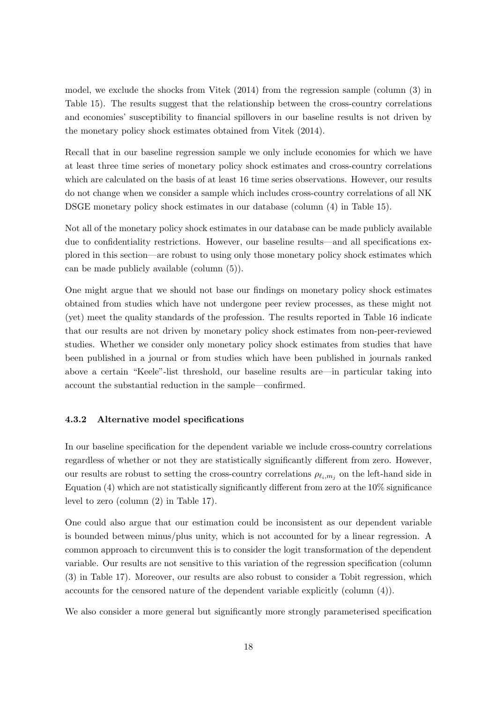model, we exclude the shocks from Vitek (2014) from the regression sample (column (3) in Table 15). The results suggest that the relationship between the cross-country correlations and economies' susceptibility to financial spillovers in our baseline results is not driven by the monetary policy shock estimates obtained from Vitek (2014).

Recall that in our baseline regression sample we only include economies for which we have at least three time series of monetary policy shock estimates and cross-country correlations which are calculated on the basis of at least 16 time series observations. However, our results do not change when we consider a sample which includes cross-country correlations of all NK DSGE monetary policy shock estimates in our database (column (4) in Table 15).

Not all of the monetary policy shock estimates in our database can be made publicly available due to confidentiality restrictions. However, our baseline results—and all specifications explored in this section—are robust to using only those monetary policy shock estimates which can be made publicly available (column (5)).

One might argue that we should not base our findings on monetary policy shock estimates obtained from studies which have not undergone peer review processes, as these might not (yet) meet the quality standards of the profession. The results reported in Table 16 indicate that our results are not driven by monetary policy shock estimates from non-peer-reviewed studies. Whether we consider only monetary policy shock estimates from studies that have been published in a journal or from studies which have been published in journals ranked above a certain "Keele"-list threshold, our baseline results are—in particular taking into account the substantial reduction in the sample—confirmed.

#### 4.3.2 Alternative model specifications

In our baseline specification for the dependent variable we include cross-country correlations regardless of whether or not they are statistically significantly different from zero. However, our results are robust to setting the cross-country correlations  $\rho_{\ell_i,m_j}$  on the left-hand side in Equation  $(4)$  which are not statistically significantly different from zero at the 10% significance level to zero (column (2) in Table 17).

One could also argue that our estimation could be inconsistent as our dependent variable is bounded between minus/plus unity, which is not accounted for by a linear regression. A common approach to circumvent this is to consider the logit transformation of the dependent variable. Our results are not sensitive to this variation of the regression specification (column (3) in Table 17). Moreover, our results are also robust to consider a Tobit regression, which accounts for the censored nature of the dependent variable explicitly (column (4)).

We also consider a more general but significantly more strongly parameterised specification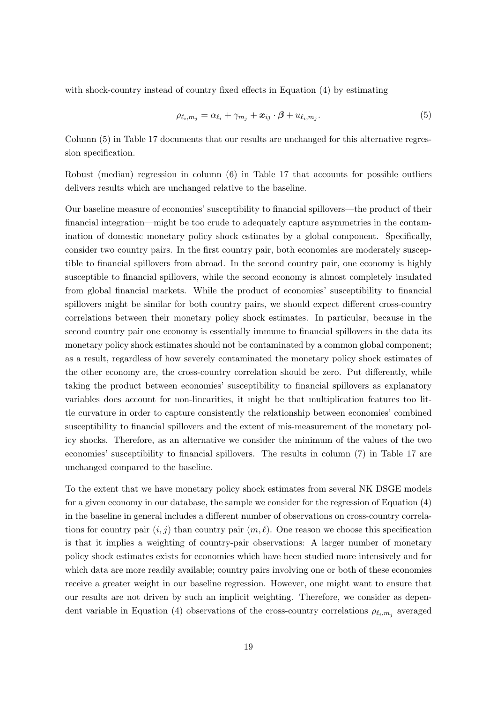with shock-country instead of country fixed effects in Equation (4) by estimating

$$
\rho_{\ell_i,m_j} = \alpha_{\ell_i} + \gamma_{m_j} + \boldsymbol{x}_{ij} \cdot \boldsymbol{\beta} + u_{\ell_i,m_j}.
$$
\n
$$
(5)
$$

Column (5) in Table 17 documents that our results are unchanged for this alternative regression specification.

Robust (median) regression in column (6) in Table 17 that accounts for possible outliers delivers results which are unchanged relative to the baseline.

Our baseline measure of economies' susceptibility to financial spillovers—the product of their financial integration—might be too crude to adequately capture asymmetries in the contamination of domestic monetary policy shock estimates by a global component. Specifically, consider two country pairs. In the first country pair, both economies are moderately susceptible to financial spillovers from abroad. In the second country pair, one economy is highly susceptible to financial spillovers, while the second economy is almost completely insulated from global financial markets. While the product of economies' susceptibility to financial spillovers might be similar for both country pairs, we should expect different cross-country correlations between their monetary policy shock estimates. In particular, because in the second country pair one economy is essentially immune to financial spillovers in the data its monetary policy shock estimates should not be contaminated by a common global component; as a result, regardless of how severely contaminated the monetary policy shock estimates of the other economy are, the cross-country correlation should be zero. Put differently, while taking the product between economies' susceptibility to financial spillovers as explanatory variables does account for non-linearities, it might be that multiplication features too little curvature in order to capture consistently the relationship between economies' combined susceptibility to financial spillovers and the extent of mis-measurement of the monetary policy shocks. Therefore, as an alternative we consider the minimum of the values of the two economies' susceptibility to financial spillovers. The results in column (7) in Table 17 are unchanged compared to the baseline.

To the extent that we have monetary policy shock estimates from several NK DSGE models for a given economy in our database, the sample we consider for the regression of Equation (4) in the baseline in general includes a different number of observations on cross-country correlations for country pair  $(i, j)$  than country pair  $(m, \ell)$ . One reason we choose this specification is that it implies a weighting of country-pair observations: A larger number of monetary policy shock estimates exists for economies which have been studied more intensively and for which data are more readily available; country pairs involving one or both of these economies receive a greater weight in our baseline regression. However, one might want to ensure that our results are not driven by such an implicit weighting. Therefore, we consider as dependent variable in Equation (4) observations of the cross-country correlations  $\rho_{\ell_i,m_j}$  averaged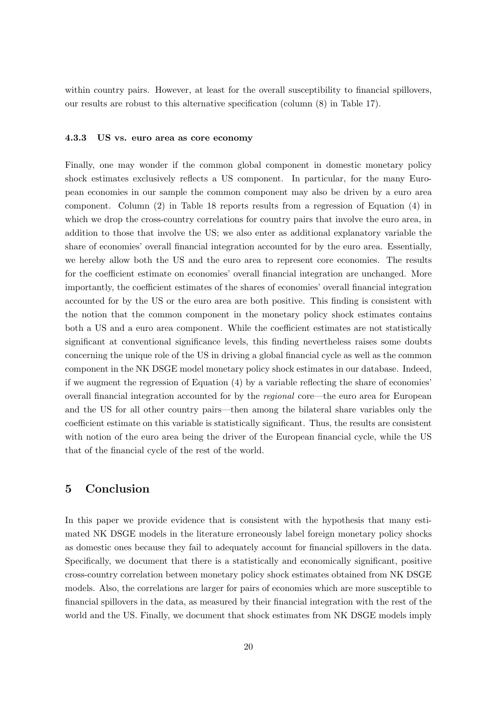within country pairs. However, at least for the overall susceptibility to financial spillovers, our results are robust to this alternative specification (column (8) in Table 17).

#### 4.3.3 US vs. euro area as core economy

Finally, one may wonder if the common global component in domestic monetary policy shock estimates exclusively reflects a US component. In particular, for the many European economies in our sample the common component may also be driven by a euro area component. Column (2) in Table 18 reports results from a regression of Equation (4) in which we drop the cross-country correlations for country pairs that involve the euro area, in addition to those that involve the US; we also enter as additional explanatory variable the share of economies' overall financial integration accounted for by the euro area. Essentially, we hereby allow both the US and the euro area to represent core economies. The results for the coefficient estimate on economies' overall financial integration are unchanged. More importantly, the coefficient estimates of the shares of economies' overall financial integration accounted for by the US or the euro area are both positive. This finding is consistent with the notion that the common component in the monetary policy shock estimates contains both a US and a euro area component. While the coefficient estimates are not statistically significant at conventional significance levels, this finding nevertheless raises some doubts concerning the unique role of the US in driving a global financial cycle as well as the common component in the NK DSGE model monetary policy shock estimates in our database. Indeed, if we augment the regression of Equation (4) by a variable reflecting the share of economies' overall financial integration accounted for by the regional core—the euro area for European and the US for all other country pairs—then among the bilateral share variables only the coefficient estimate on this variable is statistically significant. Thus, the results are consistent with notion of the euro area being the driver of the European financial cycle, while the US that of the financial cycle of the rest of the world.

# 5 Conclusion

In this paper we provide evidence that is consistent with the hypothesis that many estimated NK DSGE models in the literature erroneously label foreign monetary policy shocks as domestic ones because they fail to adequately account for financial spillovers in the data. Specifically, we document that there is a statistically and economically significant, positive cross-country correlation between monetary policy shock estimates obtained from NK DSGE models. Also, the correlations are larger for pairs of economies which are more susceptible to financial spillovers in the data, as measured by their financial integration with the rest of the world and the US. Finally, we document that shock estimates from NK DSGE models imply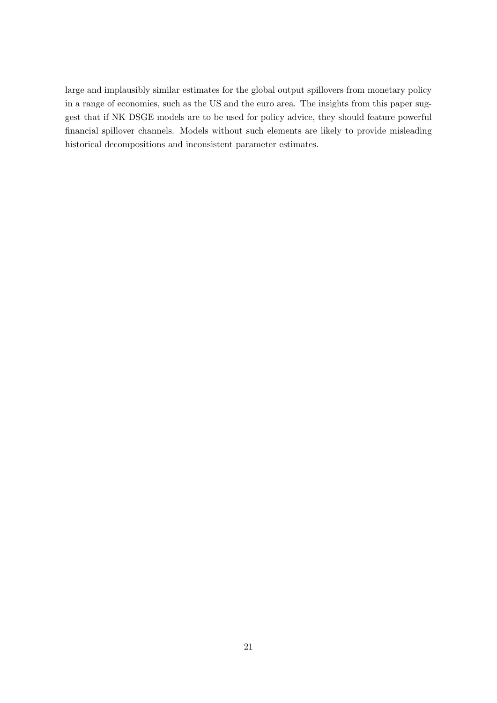large and implausibly similar estimates for the global output spillovers from monetary policy in a range of economies, such as the US and the euro area. The insights from this paper suggest that if NK DSGE models are to be used for policy advice, they should feature powerful financial spillover channels. Models without such elements are likely to provide misleading historical decompositions and inconsistent parameter estimates.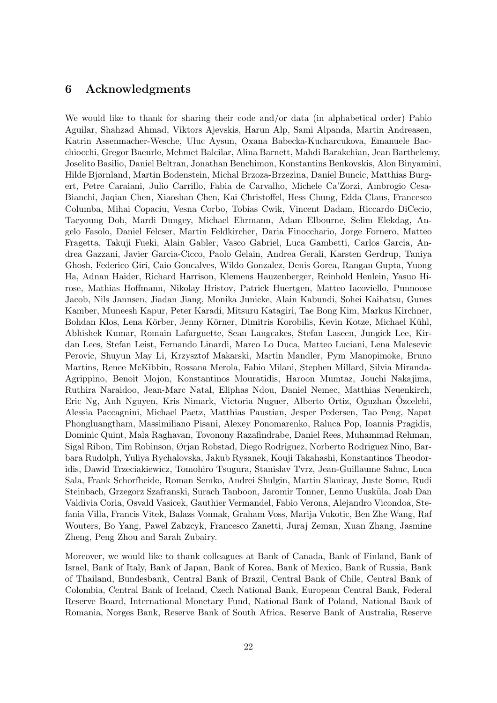## 6 Acknowledgments

We would like to thank for sharing their code and/or data (in alphabetical order) Pablo Aguilar, Shahzad Ahmad, Viktors Ajevskis, Harun Alp, Sami Alpanda, Martin Andreasen, Katrin Assenmacher-Wesche, Uluc Aysun, Oxana Babecka-Kucharcukova, Emanuele Bacchiocchi, Gregor Baeurle, Mehmet Balcilar, Alina Barnett, Mahdi Barakchian, Jean Barthelemy, Joselito Basilio, Daniel Beltran, Jonathan Benchimon, Konstantins Benkovskis, Alon Binyamini, Hilde Bjørnland, Martin Bodenstein, Michal Brzoza-Brzezina, Daniel Buncic, Matthias Burgert, Petre Caraiani, Julio Carrillo, Fabia de Carvalho, Michele Ca'Zorzi, Ambrogio Cesa-Bianchi, Jaqian Chen, Xiaoshan Chen, Kai Christoffel, Hess Chung, Edda Claus, Francesco Columba, Mihai Copaciu, Vesna Corbo, Tobias Cwik, Vincent Dadam, Riccardo DiCecio, Taeyoung Doh, Mardi Dungey, Michael Ehrmann, Adam Elbourne, Selim Elekdag, Angelo Fasolo, Daniel Felcser, Martin Feldkircher, Daria Finocchario, Jorge Fornero, Matteo Fragetta, Takuji Fueki, Alain Gabler, Vasco Gabriel, Luca Gambetti, Carlos Garcia, Andrea Gazzani, Javier Garcia-Cicco, Paolo Gelain, Andrea Gerali, Karsten Gerdrup, Taniya Ghosh, Federico Giri, Caio Goncalves, Wildo Gonzalez, Denis Gorea, Rangan Gupta, Yuong Ha, Adnan Haider, Richard Harrison, Klemens Hauzenberger, Reinhold Henlein, Yasuo Hirose, Mathias Hoffmann, Nikolay Hristov, Patrick Huertgen, Matteo Iacoviello, Punnoose Jacob, Nils Jannsen, Jiadan Jiang, Monika Junicke, Alain Kabundi, Sohei Kaihatsu, Gunes Kamber, Muneesh Kapur, Peter Karadi, Mitsuru Katagiri, Tae Bong Kim, Markus Kirchner, Bohdan Klos, Lena Körber, Jenny Körner, Dimitris Korobilis, Kevin Kotze, Michael Kühl, Abhishek Kumar, Romain Lafarguette, Sean Langcakes, Stefan Laseen, Jungick Lee, Kirdan Lees, Stefan Leist, Fernando Linardi, Marco Lo Duca, Matteo Luciani, Lena Malesevic Perovic, Shuyun May Li, Krzysztof Makarski, Martin Mandler, Pym Manopimoke, Bruno Martins, Renee McKibbin, Rossana Merola, Fabio Milani, Stephen Millard, Silvia Miranda-Agrippino, Benoit Mojon, Konstantinos Mouratidis, Haroon Mumtaz, Jouchi Nakajima, Ruthira Naraidoo, Jean-Marc Natal, Eliphas Ndou, Daniel Nemec, Matthias Neuenkirch, Eric Ng, Anh Nguyen, Kris Nimark, Victoria Nuguer, Alberto Ortiz, Oguzhan Ozcelebi, ¨ Alessia Paccagnini, Michael Paetz, Matthias Paustian, Jesper Pedersen, Tao Peng, Napat Phongluangtham, Massimiliano Pisani, Alexey Ponomarenko, Raluca Pop, Ioannis Pragidis, Dominic Quint, Mala Raghavan, Tovonony Razafindrabe, Daniel Rees, Muhammad Rehman, Sigal Ribon, Tim Robinson, Ørjan Robstad, Diego Rodriguez, Norberto Rodriguez Nino, Barbara Rudolph, Yuliya Rychalovska, Jakub Rysanek, Kouji Takahashi, Konstantinos Theodoridis, Dawid Trzeciakiewicz, Tomohiro Tsugura, Stanislav Tvrz, Jean-Guillaume Sahuc, Luca Sala, Frank Schorfheide, Roman Semko, Andrei Shulgin, Martin Slanicay, Juste Some, Rudi Steinbach, Grzegorz Szafranski, Surach Tanboon, Jaromir Tonner, Lenno Uusküla, Joab Dan Valdivia Coria, Osvald Vasicek, Gauthier Vermandel, Fabio Verona, Alejandro Vicondoa, Stefania Villa, Francis Vitek, Balazs Vonnak, Graham Voss, Marija Vukotic, Ben Zhe Wang, Raf Wouters, Bo Yang, Pawel Zabzcyk, Francesco Zanetti, Juraj Zeman, Xuan Zhang, Jasmine Zheng, Peng Zhou and Sarah Zubairy.

Moreover, we would like to thank colleagues at Bank of Canada, Bank of Finland, Bank of Israel, Bank of Italy, Bank of Japan, Bank of Korea, Bank of Mexico, Bank of Russia, Bank of Thailand, Bundesbank, Central Bank of Brazil, Central Bank of Chile, Central Bank of Colombia, Central Bank of Iceland, Czech National Bank, European Central Bank, Federal Reserve Board, International Monetary Fund, National Bank of Poland, National Bank of Romania, Norges Bank, Reserve Bank of South Africa, Reserve Bank of Australia, Reserve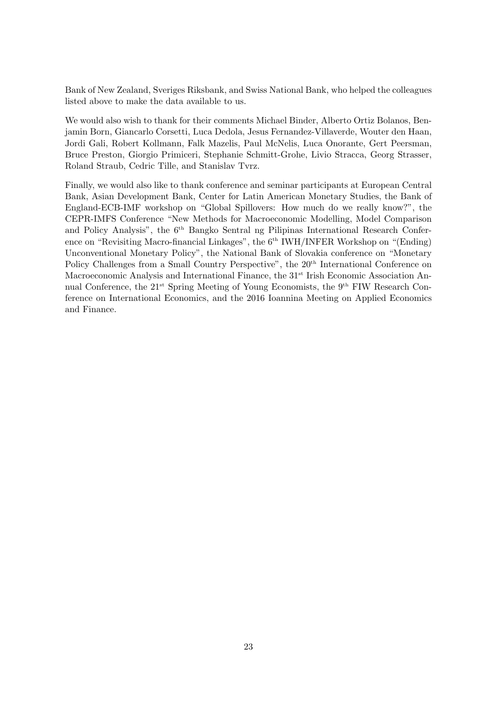Bank of New Zealand, Sveriges Riksbank, and Swiss National Bank, who helped the colleagues listed above to make the data available to us.

We would also wish to thank for their comments Michael Binder, Alberto Ortiz Bolanos, Benjamin Born, Giancarlo Corsetti, Luca Dedola, Jesus Fernandez-Villaverde, Wouter den Haan, Jordi Gali, Robert Kollmann, Falk Mazelis, Paul McNelis, Luca Onorante, Gert Peersman, Bruce Preston, Giorgio Primiceri, Stephanie Schmitt-Grohe, Livio Stracca, Georg Strasser, Roland Straub, Cedric Tille, and Stanislav Tvrz.

Finally, we would also like to thank conference and seminar participants at European Central Bank, Asian Development Bank, Center for Latin American Monetary Studies, the Bank of England-ECB-IMF workshop on "Global Spillovers: How much do we really know?", the CEPR-IMFS Conference "New Methods for Macroeconomic Modelling, Model Comparison and Policy Analysis", the 6th Bangko Sentral ng Pilipinas International Research Conference on "Revisiting Macro-financial Linkages", the  $6<sup>th</sup> IWH/INFER$  Workshop on "(Ending) Unconventional Monetary Policy", the National Bank of Slovakia conference on "Monetary Policy Challenges from a Small Country Perspective", the 20<sup>th</sup> International Conference on Macroeconomic Analysis and International Finance, the 31<sup>st</sup> Irish Economic Association Annual Conference, the 21<sup>st</sup> Spring Meeting of Young Economists, the 9<sup>th</sup> FIW Research Conference on International Economics, and the 2016 Ioannina Meeting on Applied Economics and Finance.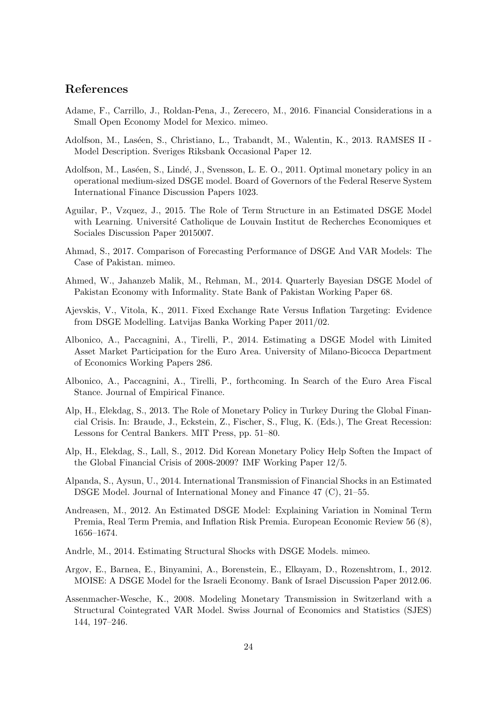## References

- Adame, F., Carrillo, J., Roldan-Pena, J., Zerecero, M., 2016. Financial Considerations in a Small Open Economy Model for Mexico. mimeo.
- Adolfson, M., Laséen, S., Christiano, L., Trabandt, M., Walentin, K., 2013. RAMSES II -Model Description. Sveriges Riksbank Occasional Paper 12.
- Adolfson, M., Laséen, S., Lindé, J., Svensson, L. E. O., 2011. Optimal monetary policy in an operational medium-sized DSGE model. Board of Governors of the Federal Reserve System International Finance Discussion Papers 1023.
- Aguilar, P., Vzquez, J., 2015. The Role of Term Structure in an Estimated DSGE Model with Learning. Université Catholique de Louvain Institut de Recherches Economiques et Sociales Discussion Paper 2015007.
- Ahmad, S., 2017. Comparison of Forecasting Performance of DSGE And VAR Models: The Case of Pakistan. mimeo.
- Ahmed, W., Jahanzeb Malik, M., Rehman, M., 2014. Quarterly Bayesian DSGE Model of Pakistan Economy with Informality. State Bank of Pakistan Working Paper 68.
- Ajevskis, V., Vitola, K., 2011. Fixed Exchange Rate Versus Inflation Targeting: Evidence from DSGE Modelling. Latvijas Banka Working Paper 2011/02.
- Albonico, A., Paccagnini, A., Tirelli, P., 2014. Estimating a DSGE Model with Limited Asset Market Participation for the Euro Area. University of Milano-Bicocca Department of Economics Working Papers 286.
- Albonico, A., Paccagnini, A., Tirelli, P., forthcoming. In Search of the Euro Area Fiscal Stance. Journal of Empirical Finance.
- Alp, H., Elekdag, S., 2013. The Role of Monetary Policy in Turkey During the Global Financial Crisis. In: Braude, J., Eckstein, Z., Fischer, S., Flug, K. (Eds.), The Great Recession: Lessons for Central Bankers. MIT Press, pp. 51–80.
- Alp, H., Elekdag, S., Lall, S., 2012. Did Korean Monetary Policy Help Soften the Impact of the Global Financial Crisis of 2008-2009? IMF Working Paper 12/5.
- Alpanda, S., Aysun, U., 2014. International Transmission of Financial Shocks in an Estimated DSGE Model. Journal of International Money and Finance 47 (C), 21–55.
- Andreasen, M., 2012. An Estimated DSGE Model: Explaining Variation in Nominal Term Premia, Real Term Premia, and Inflation Risk Premia. European Economic Review 56 (8), 1656–1674.
- Andrle, M., 2014. Estimating Structural Shocks with DSGE Models. mimeo.
- Argov, E., Barnea, E., Binyamini, A., Borenstein, E., Elkayam, D., Rozenshtrom, I., 2012. MOISE: A DSGE Model for the Israeli Economy. Bank of Israel Discussion Paper 2012.06.
- Assenmacher-Wesche, K., 2008. Modeling Monetary Transmission in Switzerland with a Structural Cointegrated VAR Model. Swiss Journal of Economics and Statistics (SJES) 144, 197–246.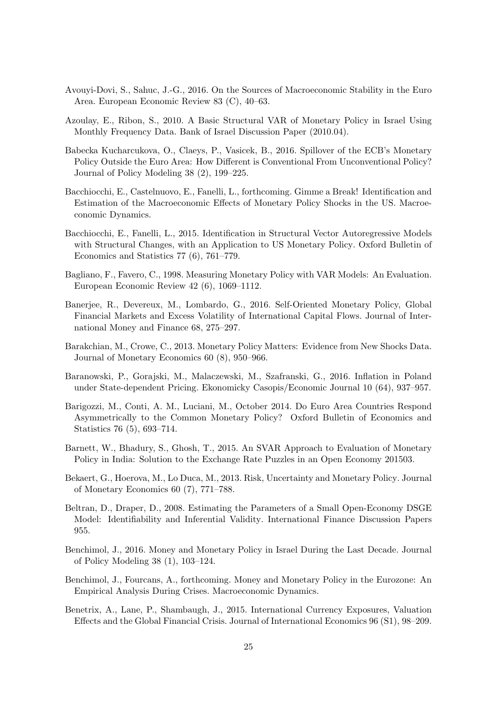- Avouyi-Dovi, S., Sahuc, J.-G., 2016. On the Sources of Macroeconomic Stability in the Euro Area. European Economic Review 83 (C), 40–63.
- Azoulay, E., Ribon, S., 2010. A Basic Structural VAR of Monetary Policy in Israel Using Monthly Frequency Data. Bank of Israel Discussion Paper (2010.04).
- Babecka Kucharcukova, O., Claeys, P., Vasicek, B., 2016. Spillover of the ECB's Monetary Policy Outside the Euro Area: How Different is Conventional From Unconventional Policy? Journal of Policy Modeling 38 (2), 199–225.
- Bacchiocchi, E., Castelnuovo, E., Fanelli, L., forthcoming. Gimme a Break! Identification and Estimation of the Macroeconomic Effects of Monetary Policy Shocks in the US. Macroeconomic Dynamics.
- Bacchiocchi, E., Fanelli, L., 2015. Identification in Structural Vector Autoregressive Models with Structural Changes, with an Application to US Monetary Policy. Oxford Bulletin of Economics and Statistics 77 (6), 761–779.
- Bagliano, F., Favero, C., 1998. Measuring Monetary Policy with VAR Models: An Evaluation. European Economic Review 42 (6), 1069–1112.
- Banerjee, R., Devereux, M., Lombardo, G., 2016. Self-Oriented Monetary Policy, Global Financial Markets and Excess Volatility of International Capital Flows. Journal of International Money and Finance 68, 275–297.
- Barakchian, M., Crowe, C., 2013. Monetary Policy Matters: Evidence from New Shocks Data. Journal of Monetary Economics 60 (8), 950–966.
- Baranowski, P., Gorajski, M., Malaczewski, M., Szafranski, G., 2016. Inflation in Poland under State-dependent Pricing. Ekonomicky Casopis/Economic Journal 10 (64), 937–957.
- Barigozzi, M., Conti, A. M., Luciani, M., October 2014. Do Euro Area Countries Respond Asymmetrically to the Common Monetary Policy? Oxford Bulletin of Economics and Statistics 76 (5), 693–714.
- Barnett, W., Bhadury, S., Ghosh, T., 2015. An SVAR Approach to Evaluation of Monetary Policy in India: Solution to the Exchange Rate Puzzles in an Open Economy 201503.
- Bekaert, G., Hoerova, M., Lo Duca, M., 2013. Risk, Uncertainty and Monetary Policy. Journal of Monetary Economics 60 (7), 771–788.
- Beltran, D., Draper, D., 2008. Estimating the Parameters of a Small Open-Economy DSGE Model: Identifiability and Inferential Validity. International Finance Discussion Papers 955.
- Benchimol, J., 2016. Money and Monetary Policy in Israel During the Last Decade. Journal of Policy Modeling 38 (1), 103–124.
- Benchimol, J., Fourcans, A., forthcoming. Money and Monetary Policy in the Eurozone: An Empirical Analysis During Crises. Macroeconomic Dynamics.
- Benetrix, A., Lane, P., Shambaugh, J., 2015. International Currency Exposures, Valuation Effects and the Global Financial Crisis. Journal of International Economics 96 (S1), 98–209.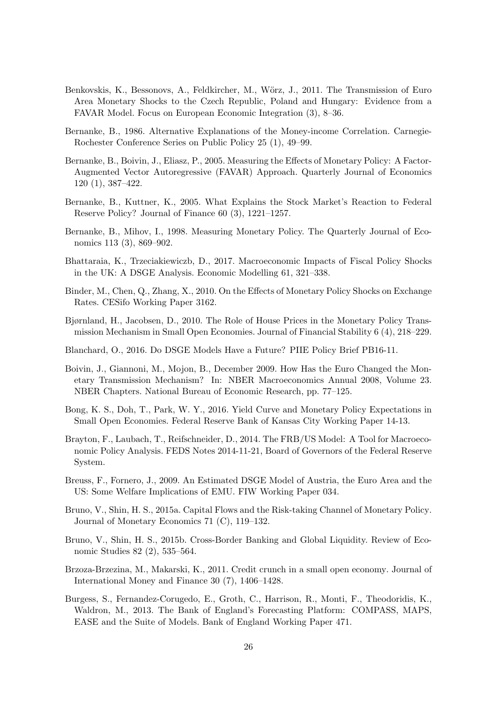- Benkovskis, K., Bessonovs, A., Feldkircher, M., Wörz, J., 2011. The Transmission of Euro Area Monetary Shocks to the Czech Republic, Poland and Hungary: Evidence from a FAVAR Model. Focus on European Economic Integration (3), 8–36.
- Bernanke, B., 1986. Alternative Explanations of the Money-income Correlation. Carnegie-Rochester Conference Series on Public Policy 25 (1), 49–99.
- Bernanke, B., Boivin, J., Eliasz, P., 2005. Measuring the Effects of Monetary Policy: A Factor-Augmented Vector Autoregressive (FAVAR) Approach. Quarterly Journal of Economics 120 (1), 387–422.
- Bernanke, B., Kuttner, K., 2005. What Explains the Stock Market's Reaction to Federal Reserve Policy? Journal of Finance 60 (3), 1221–1257.
- Bernanke, B., Mihov, I., 1998. Measuring Monetary Policy. The Quarterly Journal of Economics 113 (3), 869–902.
- Bhattaraia, K., Trzeciakiewiczb, D., 2017. Macroeconomic Impacts of Fiscal Policy Shocks in the UK: A DSGE Analysis. Economic Modelling 61, 321–338.
- Binder, M., Chen, Q., Zhang, X., 2010. On the Effects of Monetary Policy Shocks on Exchange Rates. CESifo Working Paper 3162.
- Bjørnland, H., Jacobsen, D., 2010. The Role of House Prices in the Monetary Policy Transmission Mechanism in Small Open Economies. Journal of Financial Stability 6 (4), 218–229.
- Blanchard, O., 2016. Do DSGE Models Have a Future? PIIE Policy Brief PB16-11.
- Boivin, J., Giannoni, M., Mojon, B., December 2009. How Has the Euro Changed the Monetary Transmission Mechanism? In: NBER Macroeconomics Annual 2008, Volume 23. NBER Chapters. National Bureau of Economic Research, pp. 77–125.
- Bong, K. S., Doh, T., Park, W. Y., 2016. Yield Curve and Monetary Policy Expectations in Small Open Economies. Federal Reserve Bank of Kansas City Working Paper 14-13.
- Brayton, F., Laubach, T., Reifschneider, D., 2014. The FRB/US Model: A Tool for Macroeconomic Policy Analysis. FEDS Notes 2014-11-21, Board of Governors of the Federal Reserve System.
- Breuss, F., Fornero, J., 2009. An Estimated DSGE Model of Austria, the Euro Area and the US: Some Welfare Implications of EMU. FIW Working Paper 034.
- Bruno, V., Shin, H. S., 2015a. Capital Flows and the Risk-taking Channel of Monetary Policy. Journal of Monetary Economics 71 (C), 119–132.
- Bruno, V., Shin, H. S., 2015b. Cross-Border Banking and Global Liquidity. Review of Economic Studies 82 (2), 535–564.
- Brzoza-Brzezina, M., Makarski, K., 2011. Credit crunch in a small open economy. Journal of International Money and Finance 30 (7), 1406–1428.
- Burgess, S., Fernandez-Corugedo, E., Groth, C., Harrison, R., Monti, F., Theodoridis, K., Waldron, M., 2013. The Bank of England's Forecasting Platform: COMPASS, MAPS, EASE and the Suite of Models. Bank of England Working Paper 471.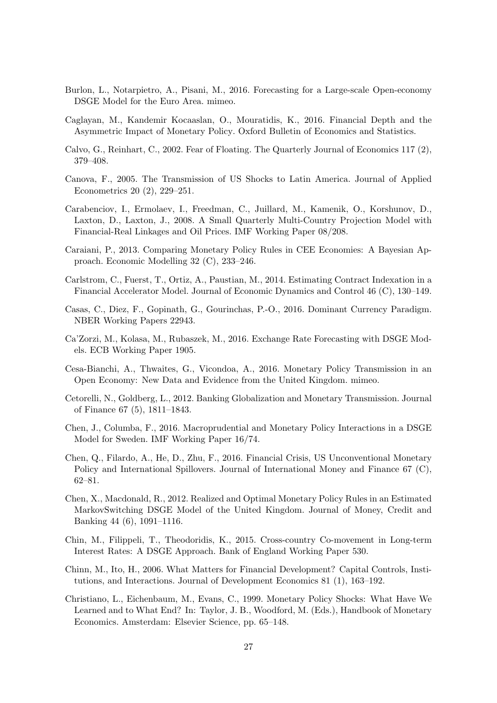- Burlon, L., Notarpietro, A., Pisani, M., 2016. Forecasting for a Large-scale Open-economy DSGE Model for the Euro Area. mimeo.
- Caglayan, M., Kandemir Kocaaslan, O., Mouratidis, K., 2016. Financial Depth and the Asymmetric Impact of Monetary Policy. Oxford Bulletin of Economics and Statistics.
- Calvo, G., Reinhart, C., 2002. Fear of Floating. The Quarterly Journal of Economics 117 (2), 379–408.
- Canova, F., 2005. The Transmission of US Shocks to Latin America. Journal of Applied Econometrics 20 (2), 229–251.
- Carabenciov, I., Ermolaev, I., Freedman, C., Juillard, M., Kamenik, O., Korshunov, D., Laxton, D., Laxton, J., 2008. A Small Quarterly Multi-Country Projection Model with Financial-Real Linkages and Oil Prices. IMF Working Paper 08/208.
- Caraiani, P., 2013. Comparing Monetary Policy Rules in CEE Economies: A Bayesian Approach. Economic Modelling 32 (C), 233–246.
- Carlstrom, C., Fuerst, T., Ortiz, A., Paustian, M., 2014. Estimating Contract Indexation in a Financial Accelerator Model. Journal of Economic Dynamics and Control 46 (C), 130–149.
- Casas, C., Diez, F., Gopinath, G., Gourinchas, P.-O., 2016. Dominant Currency Paradigm. NBER Working Papers 22943.
- Ca'Zorzi, M., Kolasa, M., Rubaszek, M., 2016. Exchange Rate Forecasting with DSGE Models. ECB Working Paper 1905.
- Cesa-Bianchi, A., Thwaites, G., Vicondoa, A., 2016. Monetary Policy Transmission in an Open Economy: New Data and Evidence from the United Kingdom. mimeo.
- Cetorelli, N., Goldberg, L., 2012. Banking Globalization and Monetary Transmission. Journal of Finance 67 (5), 1811–1843.
- Chen, J., Columba, F., 2016. Macroprudential and Monetary Policy Interactions in a DSGE Model for Sweden. IMF Working Paper 16/74.
- Chen, Q., Filardo, A., He, D., Zhu, F., 2016. Financial Crisis, US Unconventional Monetary Policy and International Spillovers. Journal of International Money and Finance 67 (C), 62–81.
- Chen, X., Macdonald, R., 2012. Realized and Optimal Monetary Policy Rules in an Estimated MarkovSwitching DSGE Model of the United Kingdom. Journal of Money, Credit and Banking 44 (6), 1091–1116.
- Chin, M., Filippeli, T., Theodoridis, K., 2015. Cross-country Co-movement in Long-term Interest Rates: A DSGE Approach. Bank of England Working Paper 530.
- Chinn, M., Ito, H., 2006. What Matters for Financial Development? Capital Controls, Institutions, and Interactions. Journal of Development Economics 81 (1), 163–192.
- Christiano, L., Eichenbaum, M., Evans, C., 1999. Monetary Policy Shocks: What Have We Learned and to What End? In: Taylor, J. B., Woodford, M. (Eds.), Handbook of Monetary Economics. Amsterdam: Elsevier Science, pp. 65–148.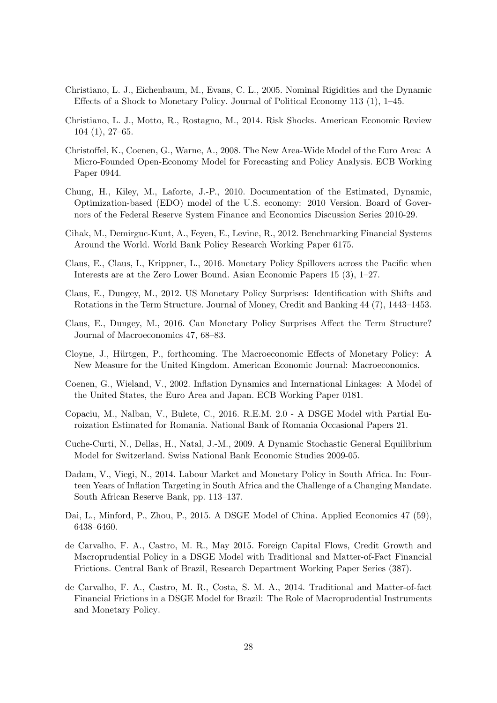- Christiano, L. J., Eichenbaum, M., Evans, C. L., 2005. Nominal Rigidities and the Dynamic Effects of a Shock to Monetary Policy. Journal of Political Economy 113 (1), 1–45.
- Christiano, L. J., Motto, R., Rostagno, M., 2014. Risk Shocks. American Economic Review 104 (1), 27–65.
- Christoffel, K., Coenen, G., Warne, A., 2008. The New Area-Wide Model of the Euro Area: A Micro-Founded Open-Economy Model for Forecasting and Policy Analysis. ECB Working Paper 0944.
- Chung, H., Kiley, M., Laforte, J.-P., 2010. Documentation of the Estimated, Dynamic, Optimization-based (EDO) model of the U.S. economy: 2010 Version. Board of Governors of the Federal Reserve System Finance and Economics Discussion Series 2010-29.
- Cihak, M., Demirguc-Kunt, A., Feyen, E., Levine, R., 2012. Benchmarking Financial Systems Around the World. World Bank Policy Research Working Paper 6175.
- Claus, E., Claus, I., Krippner, L., 2016. Monetary Policy Spillovers across the Pacific when Interests are at the Zero Lower Bound. Asian Economic Papers 15 (3), 1–27.
- Claus, E., Dungey, M., 2012. US Monetary Policy Surprises: Identification with Shifts and Rotations in the Term Structure. Journal of Money, Credit and Banking 44 (7), 1443–1453.
- Claus, E., Dungey, M., 2016. Can Monetary Policy Surprises Affect the Term Structure? Journal of Macroeconomics 47, 68–83.
- Cloyne, J., Hürtgen, P., forthcoming. The Macroeconomic Effects of Monetary Policy: A New Measure for the United Kingdom. American Economic Journal: Macroeconomics.
- Coenen, G., Wieland, V., 2002. Inflation Dynamics and International Linkages: A Model of the United States, the Euro Area and Japan. ECB Working Paper 0181.
- Copaciu, M., Nalban, V., Bulete, C., 2016. R.E.M. 2.0 A DSGE Model with Partial Euroization Estimated for Romania. National Bank of Romania Occasional Papers 21.
- Cuche-Curti, N., Dellas, H., Natal, J.-M., 2009. A Dynamic Stochastic General Equilibrium Model for Switzerland. Swiss National Bank Economic Studies 2009-05.
- Dadam, V., Viegi, N., 2014. Labour Market and Monetary Policy in South Africa. In: Fourteen Years of Inflation Targeting in South Africa and the Challenge of a Changing Mandate. South African Reserve Bank, pp. 113–137.
- Dai, L., Minford, P., Zhou, P., 2015. A DSGE Model of China. Applied Economics 47 (59), 6438–6460.
- de Carvalho, F. A., Castro, M. R., May 2015. Foreign Capital Flows, Credit Growth and Macroprudential Policy in a DSGE Model with Traditional and Matter-of-Fact Financial Frictions. Central Bank of Brazil, Research Department Working Paper Series (387).
- de Carvalho, F. A., Castro, M. R., Costa, S. M. A., 2014. Traditional and Matter-of-fact Financial Frictions in a DSGE Model for Brazil: The Role of Macroprudential Instruments and Monetary Policy.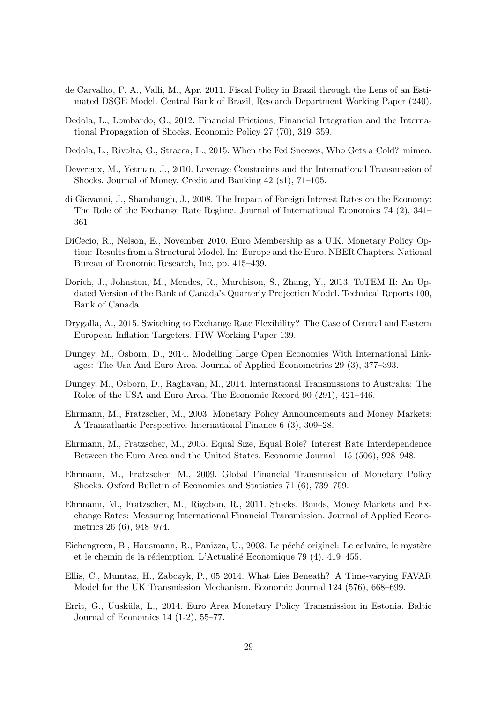- de Carvalho, F. A., Valli, M., Apr. 2011. Fiscal Policy in Brazil through the Lens of an Estimated DSGE Model. Central Bank of Brazil, Research Department Working Paper (240).
- Dedola, L., Lombardo, G., 2012. Financial Frictions, Financial Integration and the International Propagation of Shocks. Economic Policy 27 (70), 319–359.
- Dedola, L., Rivolta, G., Stracca, L., 2015. When the Fed Sneezes, Who Gets a Cold? mimeo.
- Devereux, M., Yetman, J., 2010. Leverage Constraints and the International Transmission of Shocks. Journal of Money, Credit and Banking 42 (s1), 71–105.
- di Giovanni, J., Shambaugh, J., 2008. The Impact of Foreign Interest Rates on the Economy: The Role of the Exchange Rate Regime. Journal of International Economics 74 (2), 341– 361.
- DiCecio, R., Nelson, E., November 2010. Euro Membership as a U.K. Monetary Policy Option: Results from a Structural Model. In: Europe and the Euro. NBER Chapters. National Bureau of Economic Research, Inc, pp. 415–439.
- Dorich, J., Johnston, M., Mendes, R., Murchison, S., Zhang, Y., 2013. ToTEM II: An Updated Version of the Bank of Canada's Quarterly Projection Model. Technical Reports 100, Bank of Canada.
- Drygalla, A., 2015. Switching to Exchange Rate Flexibility? The Case of Central and Eastern European Inflation Targeters. FIW Working Paper 139.
- Dungey, M., Osborn, D., 2014. Modelling Large Open Economies With International Linkages: The Usa And Euro Area. Journal of Applied Econometrics 29 (3), 377–393.
- Dungey, M., Osborn, D., Raghavan, M., 2014. International Transmissions to Australia: The Roles of the USA and Euro Area. The Economic Record 90 (291), 421–446.
- Ehrmann, M., Fratzscher, M., 2003. Monetary Policy Announcements and Money Markets: A Transatlantic Perspective. International Finance 6 (3), 309–28.
- Ehrmann, M., Fratzscher, M., 2005. Equal Size, Equal Role? Interest Rate Interdependence Between the Euro Area and the United States. Economic Journal 115 (506), 928–948.
- Ehrmann, M., Fratzscher, M., 2009. Global Financial Transmission of Monetary Policy Shocks. Oxford Bulletin of Economics and Statistics 71 (6), 739–759.
- Ehrmann, M., Fratzscher, M., Rigobon, R., 2011. Stocks, Bonds, Money Markets and Exchange Rates: Measuring International Financial Transmission. Journal of Applied Econometrics 26 (6), 948–974.
- Eichengreen, B., Hausmann, R., Panizza, U., 2003. Le péché originel: Le calvaire, le mystère et le chemin de la rédemption. L'Actualité Economique 79  $(4)$ , 419–455.
- Ellis, C., Mumtaz, H., Zabczyk, P., 05 2014. What Lies Beneath? A Time-varying FAVAR Model for the UK Transmission Mechanism. Economic Journal 124 (576), 668–699.
- Errit, G., Uusk¨ula, L., 2014. Euro Area Monetary Policy Transmission in Estonia. Baltic Journal of Economics 14 (1-2), 55–77.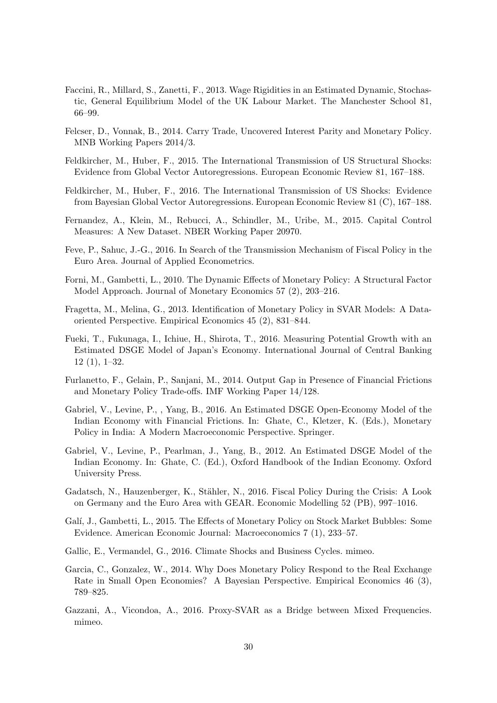- Faccini, R., Millard, S., Zanetti, F., 2013. Wage Rigidities in an Estimated Dynamic, Stochastic, General Equilibrium Model of the UK Labour Market. The Manchester School 81, 66–99.
- Felcser, D., Vonnak, B., 2014. Carry Trade, Uncovered Interest Parity and Monetary Policy. MNB Working Papers 2014/3.
- Feldkircher, M., Huber, F., 2015. The International Transmission of US Structural Shocks: Evidence from Global Vector Autoregressions. European Economic Review 81, 167–188.
- Feldkircher, M., Huber, F., 2016. The International Transmission of US Shocks: Evidence from Bayesian Global Vector Autoregressions. European Economic Review 81 (C), 167–188.
- Fernandez, A., Klein, M., Rebucci, A., Schindler, M., Uribe, M., 2015. Capital Control Measures: A New Dataset. NBER Working Paper 20970.
- Feve, P., Sahuc, J.-G., 2016. In Search of the Transmission Mechanism of Fiscal Policy in the Euro Area. Journal of Applied Econometrics.
- Forni, M., Gambetti, L., 2010. The Dynamic Effects of Monetary Policy: A Structural Factor Model Approach. Journal of Monetary Economics 57 (2), 203–216.
- Fragetta, M., Melina, G., 2013. Identification of Monetary Policy in SVAR Models: A Dataoriented Perspective. Empirical Economics 45 (2), 831–844.
- Fueki, T., Fukunaga, I., Ichiue, H., Shirota, T., 2016. Measuring Potential Growth with an Estimated DSGE Model of Japan's Economy. International Journal of Central Banking 12 (1), 1–32.
- Furlanetto, F., Gelain, P., Sanjani, M., 2014. Output Gap in Presence of Financial Frictions and Monetary Policy Trade-offs. IMF Working Paper 14/128.
- Gabriel, V., Levine, P., , Yang, B., 2016. An Estimated DSGE Open-Economy Model of the Indian Economy with Financial Frictions. In: Ghate, C., Kletzer, K. (Eds.), Monetary Policy in India: A Modern Macroeconomic Perspective. Springer.
- Gabriel, V., Levine, P., Pearlman, J., Yang, B., 2012. An Estimated DSGE Model of the Indian Economy. In: Ghate, C. (Ed.), Oxford Handbook of the Indian Economy. Oxford University Press.
- Gadatsch, N., Hauzenberger, K., Stähler, N., 2016. Fiscal Policy During the Crisis: A Look on Germany and the Euro Area with GEAR. Economic Modelling 52 (PB), 997–1016.
- Galí, J., Gambetti, L., 2015. The Effects of Monetary Policy on Stock Market Bubbles: Some Evidence. American Economic Journal: Macroeconomics 7 (1), 233–57.
- Gallic, E., Vermandel, G., 2016. Climate Shocks and Business Cycles. mimeo.
- Garcia, C., Gonzalez, W., 2014. Why Does Monetary Policy Respond to the Real Exchange Rate in Small Open Economies? A Bayesian Perspective. Empirical Economics 46 (3), 789–825.
- Gazzani, A., Vicondoa, A., 2016. Proxy-SVAR as a Bridge between Mixed Frequencies. mimeo.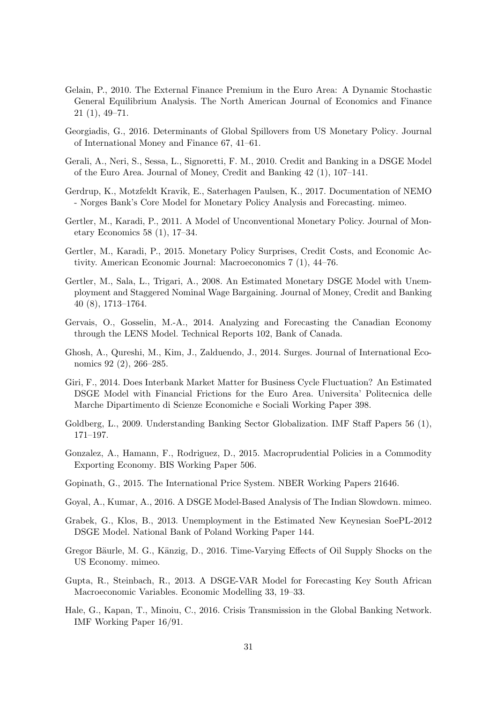- Gelain, P., 2010. The External Finance Premium in the Euro Area: A Dynamic Stochastic General Equilibrium Analysis. The North American Journal of Economics and Finance 21 (1), 49–71.
- Georgiadis, G., 2016. Determinants of Global Spillovers from US Monetary Policy. Journal of International Money and Finance 67, 41–61.
- Gerali, A., Neri, S., Sessa, L., Signoretti, F. M., 2010. Credit and Banking in a DSGE Model of the Euro Area. Journal of Money, Credit and Banking 42 (1), 107–141.
- Gerdrup, K., Motzfeldt Kravik, E., Saterhagen Paulsen, K., 2017. Documentation of NEMO - Norges Bank's Core Model for Monetary Policy Analysis and Forecasting. mimeo.
- Gertler, M., Karadi, P., 2011. A Model of Unconventional Monetary Policy. Journal of Monetary Economics 58 (1), 17–34.
- Gertler, M., Karadi, P., 2015. Monetary Policy Surprises, Credit Costs, and Economic Activity. American Economic Journal: Macroeconomics 7 (1), 44–76.
- Gertler, M., Sala, L., Trigari, A., 2008. An Estimated Monetary DSGE Model with Unemployment and Staggered Nominal Wage Bargaining. Journal of Money, Credit and Banking 40 (8), 1713–1764.
- Gervais, O., Gosselin, M.-A., 2014. Analyzing and Forecasting the Canadian Economy through the LENS Model. Technical Reports 102, Bank of Canada.
- Ghosh, A., Qureshi, M., Kim, J., Zalduendo, J., 2014. Surges. Journal of International Economics 92 (2), 266–285.
- Giri, F., 2014. Does Interbank Market Matter for Business Cycle Fluctuation? An Estimated DSGE Model with Financial Frictions for the Euro Area. Universita' Politecnica delle Marche Dipartimento di Scienze Economiche e Sociali Working Paper 398.
- Goldberg, L., 2009. Understanding Banking Sector Globalization. IMF Staff Papers 56 (1), 171–197.
- Gonzalez, A., Hamann, F., Rodriguez, D., 2015. Macroprudential Policies in a Commodity Exporting Economy. BIS Working Paper 506.
- Gopinath, G., 2015. The International Price System. NBER Working Papers 21646.
- Goyal, A., Kumar, A., 2016. A DSGE Model-Based Analysis of The Indian Slowdown. mimeo.
- Grabek, G., Klos, B., 2013. Unemployment in the Estimated New Keynesian SoePL-2012 DSGE Model. National Bank of Poland Working Paper 144.
- Gregor Bäurle, M. G., Känzig, D., 2016. Time-Varying Effects of Oil Supply Shocks on the US Economy. mimeo.
- Gupta, R., Steinbach, R., 2013. A DSGE-VAR Model for Forecasting Key South African Macroeconomic Variables. Economic Modelling 33, 19–33.
- Hale, G., Kapan, T., Minoiu, C., 2016. Crisis Transmission in the Global Banking Network. IMF Working Paper 16/91.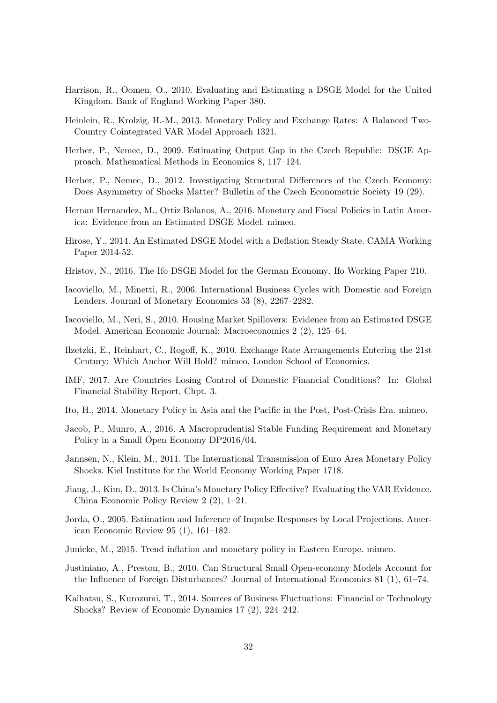- Harrison, R., Oomen, O., 2010. Evaluating and Estimating a DSGE Model for the United Kingdom. Bank of England Working Paper 380.
- Heinlein, R., Krolzig, H.-M., 2013. Monetary Policy and Exchange Rates: A Balanced Two-Country Cointegrated VAR Model Approach 1321.
- Herber, P., Nemec, D., 2009. Estimating Output Gap in the Czech Republic: DSGE Approach. Mathematical Methods in Economics 8, 117–124.
- Herber, P., Nemec, D., 2012. Investigating Structural Differences of the Czech Economy: Does Asymmetry of Shocks Matter? Bulletin of the Czech Econometric Society 19 (29).
- Hernan Hernandez, M., Ortiz Bolanos, A., 2016. Monetary and Fiscal Policies in Latin America: Evidence from an Estimated DSGE Model. mimeo.
- Hirose, Y., 2014. An Estimated DSGE Model with a Deflation Steady State. CAMA Working Paper 2014-52.
- Hristov, N., 2016. The Ifo DSGE Model for the German Economy. Ifo Working Paper 210.
- Iacoviello, M., Minetti, R., 2006. International Business Cycles with Domestic and Foreign Lenders. Journal of Monetary Economics 53 (8), 2267–2282.
- Iacoviello, M., Neri, S., 2010. Housing Market Spillovers: Evidence from an Estimated DSGE Model. American Economic Journal: Macroeconomics 2 (2), 125–64.
- Ilzetzki, E., Reinhart, C., Rogoff, K., 2010. Exchange Rate Arrangements Entering the 21st Century: Which Anchor Will Hold? mimeo, London School of Economics.
- IMF, 2017. Are Countries Losing Control of Domestic Financial Conditions? In: Global Financial Stability Report, Chpt. 3.
- Ito, H., 2014. Monetary Policy in Asia and the Pacific in the Post, Post-Crisis Era. mimeo.
- Jacob, P., Munro, A., 2016. A Macroprudential Stable Funding Requirement and Monetary Policy in a Small Open Economy DP2016/04.
- Jannsen, N., Klein, M., 2011. The International Transmission of Euro Area Monetary Policy Shocks. Kiel Institute for the World Economy Working Paper 1718.
- Jiang, J., Kim, D., 2013. Is China's Monetary Policy Effective? Evaluating the VAR Evidence. China Economic Policy Review 2 (2), 1–21.
- Jorda, O., 2005. Estimation and Inference of Impulse Responses by Local Projections. American Economic Review 95 (1), 161–182.
- Junicke, M., 2015. Trend inflation and monetary policy in Eastern Europe. mimeo.
- Justiniano, A., Preston, B., 2010. Can Structural Small Open-economy Models Account for the Influence of Foreign Disturbances? Journal of International Economics 81 (1), 61–74.
- Kaihatsu, S., Kurozumi, T., 2014. Sources of Business Fluctuations: Financial or Technology Shocks? Review of Economic Dynamics 17 (2), 224–242.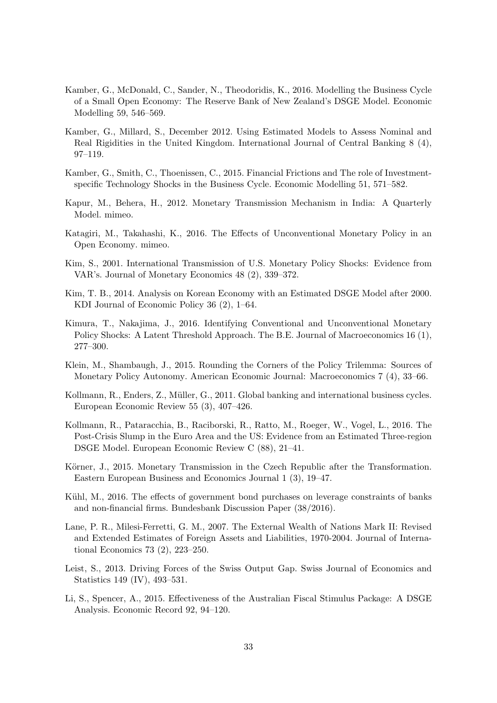- Kamber, G., McDonald, C., Sander, N., Theodoridis, K., 2016. Modelling the Business Cycle of a Small Open Economy: The Reserve Bank of New Zealand's DSGE Model. Economic Modelling 59, 546–569.
- Kamber, G., Millard, S., December 2012. Using Estimated Models to Assess Nominal and Real Rigidities in the United Kingdom. International Journal of Central Banking 8 (4), 97–119.
- Kamber, G., Smith, C., Thoenissen, C., 2015. Financial Frictions and The role of Investmentspecific Technology Shocks in the Business Cycle. Economic Modelling 51, 571–582.
- Kapur, M., Behera, H., 2012. Monetary Transmission Mechanism in India: A Quarterly Model. mimeo.
- Katagiri, M., Takahashi, K., 2016. The Effects of Unconventional Monetary Policy in an Open Economy. mimeo.
- Kim, S., 2001. International Transmission of U.S. Monetary Policy Shocks: Evidence from VAR's. Journal of Monetary Economics 48 (2), 339–372.
- Kim, T. B., 2014. Analysis on Korean Economy with an Estimated DSGE Model after 2000. KDI Journal of Economic Policy 36 (2), 1–64.
- Kimura, T., Nakajima, J., 2016. Identifying Conventional and Unconventional Monetary Policy Shocks: A Latent Threshold Approach. The B.E. Journal of Macroeconomics 16 (1), 277–300.
- Klein, M., Shambaugh, J., 2015. Rounding the Corners of the Policy Trilemma: Sources of Monetary Policy Autonomy. American Economic Journal: Macroeconomics 7 (4), 33–66.
- Kollmann, R., Enders, Z., Müller, G., 2011. Global banking and international business cycles. European Economic Review 55 (3), 407–426.
- Kollmann, R., Pataracchia, B., Raciborski, R., Ratto, M., Roeger, W., Vogel, L., 2016. The Post-Crisis Slump in the Euro Area and the US: Evidence from an Estimated Three-region DSGE Model. European Economic Review C (88), 21–41.
- Körner, J., 2015. Monetary Transmission in the Czech Republic after the Transformation. Eastern European Business and Economics Journal 1 (3), 19–47.
- Kühl, M., 2016. The effects of government bond purchases on leverage constraints of banks and non-financial firms. Bundesbank Discussion Paper (38/2016).
- Lane, P. R., Milesi-Ferretti, G. M., 2007. The External Wealth of Nations Mark II: Revised and Extended Estimates of Foreign Assets and Liabilities, 1970-2004. Journal of International Economics 73 (2), 223–250.
- Leist, S., 2013. Driving Forces of the Swiss Output Gap. Swiss Journal of Economics and Statistics 149 (IV), 493–531.
- Li, S., Spencer, A., 2015. Effectiveness of the Australian Fiscal Stimulus Package: A DSGE Analysis. Economic Record 92, 94–120.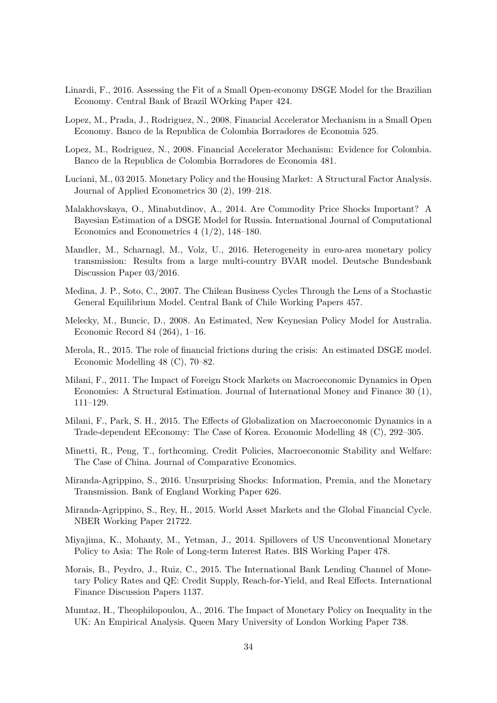- Linardi, F., 2016. Assessing the Fit of a Small Open-economy DSGE Model for the Brazilian Economy. Central Bank of Brazil WOrking Paper 424.
- Lopez, M., Prada, J., Rodriguez, N., 2008. Financial Accelerator Mechanism in a Small Open Economy. Banco de la Republica de Colombia Borradores de Economia 525.
- Lopez, M., Rodriguez, N., 2008. Financial Accelerator Mechanism: Evidence for Colombia. Banco de la Republica de Colombia Borradores de Economia 481.
- Luciani, M., 03 2015. Monetary Policy and the Housing Market: A Structural Factor Analysis. Journal of Applied Econometrics 30 (2), 199–218.
- Malakhovskaya, O., Minabutdinov, A., 2014. Are Commodity Price Shocks Important? A Bayesian Estimation of a DSGE Model for Russia. International Journal of Computational Economics and Econometrics  $4(1/2), 148-180$ .
- Mandler, M., Scharnagl, M., Volz, U., 2016. Heterogeneity in euro-area monetary policy transmission: Results from a large multi-country BVAR model. Deutsche Bundesbank Discussion Paper 03/2016.
- Medina, J. P., Soto, C., 2007. The Chilean Business Cycles Through the Lens of a Stochastic General Equilibrium Model. Central Bank of Chile Working Papers 457.
- Melecky, M., Buncic, D., 2008. An Estimated, New Keynesian Policy Model for Australia. Economic Record 84 (264), 1–16.
- Merola, R., 2015. The role of financial frictions during the crisis: An estimated DSGE model. Economic Modelling 48 (C), 70–82.
- Milani, F., 2011. The Impact of Foreign Stock Markets on Macroeconomic Dynamics in Open Economies: A Structural Estimation. Journal of International Money and Finance 30 (1), 111–129.
- Milani, F., Park, S. H., 2015. The Effects of Globalization on Macroeconomic Dynamics in a Trade-dependent EEconomy: The Case of Korea. Economic Modelling 48 (C), 292–305.
- Minetti, R., Peng, T., forthcoming. Credit Policies, Macroeconomic Stability and Welfare: The Case of China. Journal of Comparative Economics.
- Miranda-Agrippino, S., 2016. Unsurprising Shocks: Information, Premia, and the Monetary Transmission. Bank of England Working Paper 626.
- Miranda-Agrippino, S., Rey, H., 2015. World Asset Markets and the Global Financial Cycle. NBER Working Paper 21722.
- Miyajima, K., Mohanty, M., Yetman, J., 2014. Spillovers of US Unconventional Monetary Policy to Asia: The Role of Long-term Interest Rates. BIS Working Paper 478.
- Morais, B., Peydro, J., Ruiz, C., 2015. The International Bank Lending Channel of Monetary Policy Rates and QE: Credit Supply, Reach-for-Yield, and Real Effects. International Finance Discussion Papers 1137.
- Mumtaz, H., Theophilopoulou, A., 2016. The Impact of Monetary Policy on Inequality in the UK: An Empirical Analysis. Queen Mary University of London Working Paper 738.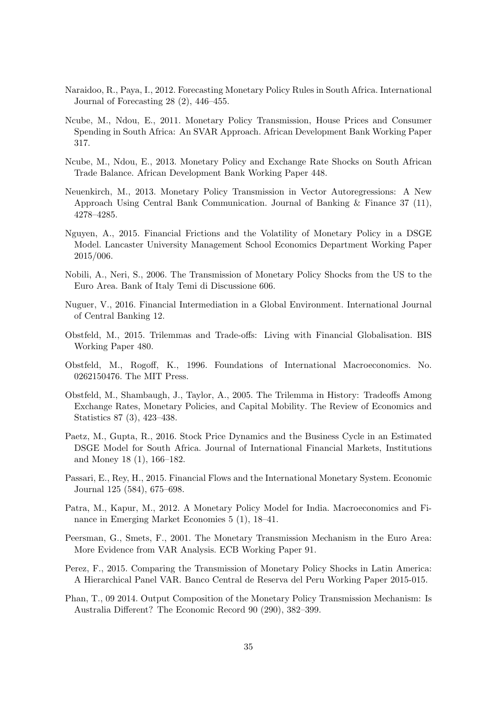- Naraidoo, R., Paya, I., 2012. Forecasting Monetary Policy Rules in South Africa. International Journal of Forecasting 28 (2), 446–455.
- Ncube, M., Ndou, E., 2011. Monetary Policy Transmission, House Prices and Consumer Spending in South Africa: An SVAR Approach. African Development Bank Working Paper 317.
- Ncube, M., Ndou, E., 2013. Monetary Policy and Exchange Rate Shocks on South African Trade Balance. African Development Bank Working Paper 448.
- Neuenkirch, M., 2013. Monetary Policy Transmission in Vector Autoregressions: A New Approach Using Central Bank Communication. Journal of Banking & Finance 37 (11), 4278–4285.
- Nguyen, A., 2015. Financial Frictions and the Volatility of Monetary Policy in a DSGE Model. Lancaster University Management School Economics Department Working Paper 2015/006.
- Nobili, A., Neri, S., 2006. The Transmission of Monetary Policy Shocks from the US to the Euro Area. Bank of Italy Temi di Discussione 606.
- Nuguer, V., 2016. Financial Intermediation in a Global Environment. International Journal of Central Banking 12.
- Obstfeld, M., 2015. Trilemmas and Trade-offs: Living with Financial Globalisation. BIS Working Paper 480.
- Obstfeld, M., Rogoff, K., 1996. Foundations of International Macroeconomics. No. 0262150476. The MIT Press.
- Obstfeld, M., Shambaugh, J., Taylor, A., 2005. The Trilemma in History: Tradeoffs Among Exchange Rates, Monetary Policies, and Capital Mobility. The Review of Economics and Statistics 87 (3), 423–438.
- Paetz, M., Gupta, R., 2016. Stock Price Dynamics and the Business Cycle in an Estimated DSGE Model for South Africa. Journal of International Financial Markets, Institutions and Money 18 (1), 166–182.
- Passari, E., Rey, H., 2015. Financial Flows and the International Monetary System. Economic Journal 125 (584), 675–698.
- Patra, M., Kapur, M., 2012. A Monetary Policy Model for India. Macroeconomics and Finance in Emerging Market Economies 5 (1), 18–41.
- Peersman, G., Smets, F., 2001. The Monetary Transmission Mechanism in the Euro Area: More Evidence from VAR Analysis. ECB Working Paper 91.
- Perez, F., 2015. Comparing the Transmission of Monetary Policy Shocks in Latin America: A Hierarchical Panel VAR. Banco Central de Reserva del Peru Working Paper 2015-015.
- Phan, T., 09 2014. Output Composition of the Monetary Policy Transmission Mechanism: Is Australia Different? The Economic Record 90 (290), 382–399.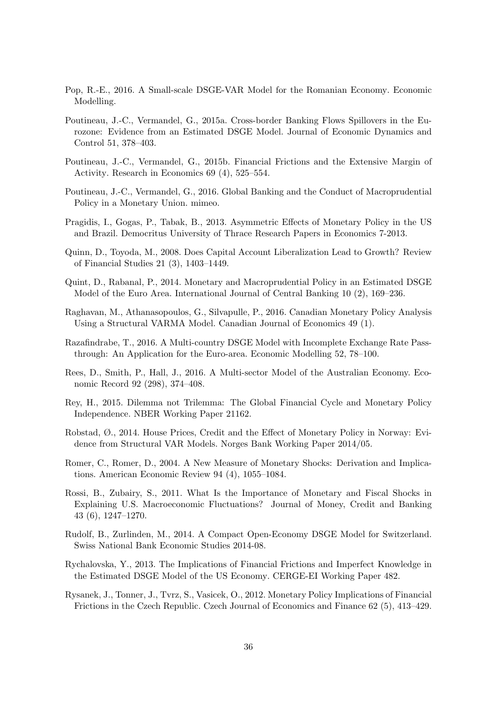- Pop, R.-E., 2016. A Small-scale DSGE-VAR Model for the Romanian Economy. Economic Modelling.
- Poutineau, J.-C., Vermandel, G., 2015a. Cross-border Banking Flows Spillovers in the Eurozone: Evidence from an Estimated DSGE Model. Journal of Economic Dynamics and Control 51, 378–403.
- Poutineau, J.-C., Vermandel, G., 2015b. Financial Frictions and the Extensive Margin of Activity. Research in Economics 69 (4), 525–554.
- Poutineau, J.-C., Vermandel, G., 2016. Global Banking and the Conduct of Macroprudential Policy in a Monetary Union. mimeo.
- Pragidis, I., Gogas, P., Tabak, B., 2013. Asymmetric Effects of Monetary Policy in the US and Brazil. Democritus University of Thrace Research Papers in Economics 7-2013.
- Quinn, D., Toyoda, M., 2008. Does Capital Account Liberalization Lead to Growth? Review of Financial Studies 21 (3), 1403–1449.
- Quint, D., Rabanal, P., 2014. Monetary and Macroprudential Policy in an Estimated DSGE Model of the Euro Area. International Journal of Central Banking 10 (2), 169–236.
- Raghavan, M., Athanasopoulos, G., Silvapulle, P., 2016. Canadian Monetary Policy Analysis Using a Structural VARMA Model. Canadian Journal of Economics 49 (1).
- Razafindrabe, T., 2016. A Multi-country DSGE Model with Incomplete Exchange Rate Passthrough: An Application for the Euro-area. Economic Modelling 52, 78–100.
- Rees, D., Smith, P., Hall, J., 2016. A Multi-sector Model of the Australian Economy. Economic Record 92 (298), 374–408.
- Rey, H., 2015. Dilemma not Trilemma: The Global Financial Cycle and Monetary Policy Independence. NBER Working Paper 21162.
- Robstad, Ø., 2014. House Prices, Credit and the Effect of Monetary Policy in Norway: Evidence from Structural VAR Models. Norges Bank Working Paper 2014/05.
- Romer, C., Romer, D., 2004. A New Measure of Monetary Shocks: Derivation and Implications. American Economic Review 94 (4), 1055–1084.
- Rossi, B., Zubairy, S., 2011. What Is the Importance of Monetary and Fiscal Shocks in Explaining U.S. Macroeconomic Fluctuations? Journal of Money, Credit and Banking 43 (6), 1247–1270.
- Rudolf, B., Zurlinden, M., 2014. A Compact Open-Economy DSGE Model for Switzerland. Swiss National Bank Economic Studies 2014-08.
- Rychalovska, Y., 2013. The Implications of Financial Frictions and Imperfect Knowledge in the Estimated DSGE Model of the US Economy. CERGE-EI Working Paper 482.
- Rysanek, J., Tonner, J., Tvrz, S., Vasicek, O., 2012. Monetary Policy Implications of Financial Frictions in the Czech Republic. Czech Journal of Economics and Finance 62 (5), 413–429.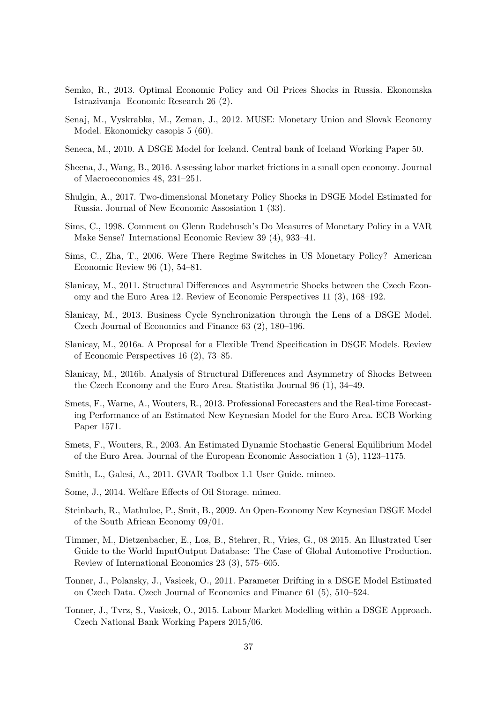- Semko, R., 2013. Optimal Economic Policy and Oil Prices Shocks in Russia. Ekonomska Istrazivanja Economic Research 26 (2).
- Senaj, M., Vyskrabka, M., Zeman, J., 2012. MUSE: Monetary Union and Slovak Economy Model. Ekonomicky casopis 5 (60).
- Seneca, M., 2010. A DSGE Model for Iceland. Central bank of Iceland Working Paper 50.
- Sheena, J., Wang, B., 2016. Assessing labor market frictions in a small open economy. Journal of Macroeconomics 48, 231–251.
- Shulgin, A., 2017. Two-dimensional Monetary Policy Shocks in DSGE Model Estimated for Russia. Journal of New Economic Assosiation 1 (33).
- Sims, C., 1998. Comment on Glenn Rudebusch's Do Measures of Monetary Policy in a VAR Make Sense? International Economic Review 39 (4), 933–41.
- Sims, C., Zha, T., 2006. Were There Regime Switches in US Monetary Policy? American Economic Review 96 (1), 54–81.
- Slanicay, M., 2011. Structural Differences and Asymmetric Shocks between the Czech Economy and the Euro Area 12. Review of Economic Perspectives 11 (3), 168–192.
- Slanicay, M., 2013. Business Cycle Synchronization through the Lens of a DSGE Model. Czech Journal of Economics and Finance 63 (2), 180–196.
- Slanicay, M., 2016a. A Proposal for a Flexible Trend Specification in DSGE Models. Review of Economic Perspectives 16 (2), 73–85.
- Slanicay, M., 2016b. Analysis of Structural Differences and Asymmetry of Shocks Between the Czech Economy and the Euro Area. Statistika Journal 96 (1), 34–49.
- Smets, F., Warne, A., Wouters, R., 2013. Professional Forecasters and the Real-time Forecasting Performance of an Estimated New Keynesian Model for the Euro Area. ECB Working Paper 1571.
- Smets, F., Wouters, R., 2003. An Estimated Dynamic Stochastic General Equilibrium Model of the Euro Area. Journal of the European Economic Association 1 (5), 1123–1175.
- Smith, L., Galesi, A., 2011. GVAR Toolbox 1.1 User Guide. mimeo.
- Some, J., 2014. Welfare Effects of Oil Storage. mimeo.
- Steinbach, R., Mathuloe, P., Smit, B., 2009. An Open-Economy New Keynesian DSGE Model of the South African Economy 09/01.
- Timmer, M., Dietzenbacher, E., Los, B., Stehrer, R., Vries, G., 08 2015. An Illustrated User Guide to the World InputOutput Database: The Case of Global Automotive Production. Review of International Economics 23 (3), 575–605.
- Tonner, J., Polansky, J., Vasicek, O., 2011. Parameter Drifting in a DSGE Model Estimated on Czech Data. Czech Journal of Economics and Finance 61 (5), 510–524.
- Tonner, J., Tvrz, S., Vasicek, O., 2015. Labour Market Modelling within a DSGE Approach. Czech National Bank Working Papers 2015/06.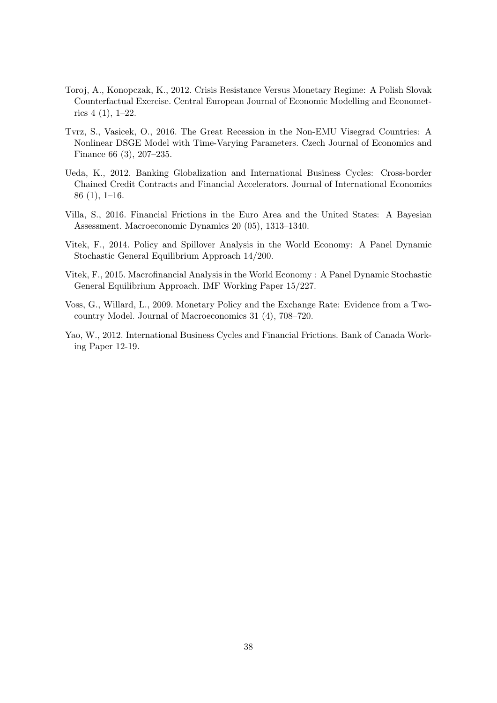- Toroj, A., Konopczak, K., 2012. Crisis Resistance Versus Monetary Regime: A Polish Slovak Counterfactual Exercise. Central European Journal of Economic Modelling and Econometrics 4  $(1)$ , 1–22.
- Tvrz, S., Vasicek, O., 2016. The Great Recession in the Non-EMU Visegrad Countries: A Nonlinear DSGE Model with Time-Varying Parameters. Czech Journal of Economics and Finance 66 (3), 207–235.
- Ueda, K., 2012. Banking Globalization and International Business Cycles: Cross-border Chained Credit Contracts and Financial Accelerators. Journal of International Economics 86 (1), 1–16.
- Villa, S., 2016. Financial Frictions in the Euro Area and the United States: A Bayesian Assessment. Macroeconomic Dynamics 20 (05), 1313–1340.
- Vitek, F., 2014. Policy and Spillover Analysis in the World Economy: A Panel Dynamic Stochastic General Equilibrium Approach 14/200.
- Vitek, F., 2015. Macrofinancial Analysis in the World Economy : A Panel Dynamic Stochastic General Equilibrium Approach. IMF Working Paper 15/227.
- Voss, G., Willard, L., 2009. Monetary Policy and the Exchange Rate: Evidence from a Twocountry Model. Journal of Macroeconomics 31 (4), 708–720.
- Yao, W., 2012. International Business Cycles and Financial Frictions. Bank of Canada Working Paper 12-19.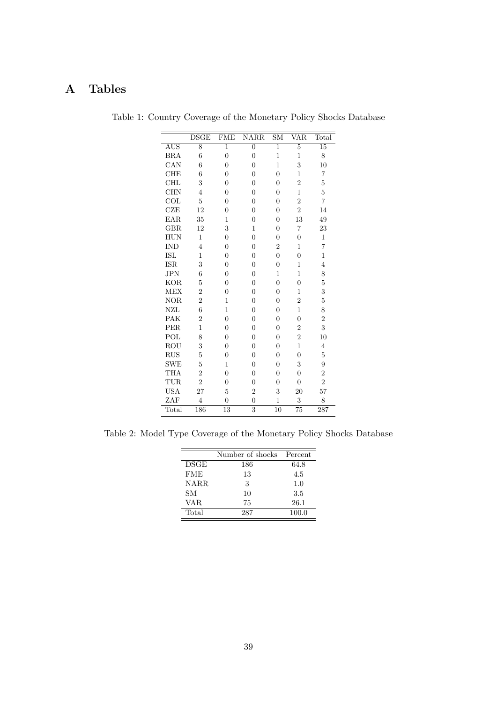# A Tables

|            | <b>DSGE</b>    | <b>FME</b>       | <b>NARR</b>    | SM             | VAR                     | Total           |
|------------|----------------|------------------|----------------|----------------|-------------------------|-----------------|
| AUS        | 8              | $\overline{1}$   | $\overline{0}$ | $\overline{1}$ | $\overline{5}$          | $\overline{15}$ |
| <b>BRA</b> | 6              | $\overline{0}$   | $\overline{0}$ | $\overline{1}$ | $\overline{1}$          | 8               |
| CAN        | 6              | $\overline{0}$   | $\overline{0}$ | $\mathbf{1}$   | 3                       | 10              |
| <b>CHE</b> | 6              | $\overline{0}$   | $\overline{0}$ | $\overline{0}$ | $\overline{1}$          | 7               |
| <b>CHL</b> | 3              | $\overline{0}$   | $\overline{0}$ | $\overline{0}$ | $\overline{2}$          | $\bf 5$         |
| <b>CHN</b> | 4              | $\overline{0}$   | $\overline{0}$ | $\overline{0}$ | $\overline{1}$          | $\overline{5}$  |
| COL        | $\overline{5}$ | $\overline{0}$   | $\overline{0}$ | $\overline{0}$ | $\overline{2}$          | $\overline{7}$  |
| CZE        | 12             | $\overline{0}$   | $\overline{0}$ | $\overline{0}$ | $\overline{2}$          | 14              |
| EAR        | 35             | $\mathbf{1}$     | $\overline{0}$ | $\overline{0}$ | 13                      | 49              |
| <b>GBR</b> | 12             | 3                | $\mathbf{1}$   | $\overline{0}$ | 7                       | 23              |
| <b>HUN</b> | $\overline{1}$ | $\overline{0}$   | $\overline{0}$ | $\overline{0}$ | $\overline{0}$          | $\mathbf{1}$    |
| <b>IND</b> | $\overline{4}$ | $\overline{0}$   | $\overline{0}$ | $\overline{2}$ | $\overline{1}$          | 7               |
| <b>ISL</b> | $\overline{1}$ | $\overline{0}$   | $\overline{0}$ | $\overline{0}$ | $\overline{0}$          | $\mathbf{1}$    |
| <b>ISR</b> | 3              | $\overline{0}$   | $\overline{0}$ | $\overline{0}$ | $\overline{1}$          | $\overline{4}$  |
| <b>JPN</b> | 6              | $\overline{0}$   | $\overline{0}$ | $\overline{1}$ | $\overline{1}$          | 8               |
| <b>KOR</b> | 5              | $\overline{0}$   | $\overline{0}$ | $\overline{0}$ | $\overline{0}$          | 5               |
| <b>MEX</b> | $\overline{2}$ | $\boldsymbol{0}$ | $\overline{0}$ | $\overline{0}$ | $\mathbf{1}$            | 3               |
| <b>NOR</b> | $\overline{2}$ | $\mathbf{1}$     | $\overline{0}$ | $\overline{0}$ | $\overline{2}$          | 5               |
| <b>NZL</b> | 6              | $\overline{1}$   | $\overline{0}$ | $\overline{0}$ | $\overline{1}$          | 8               |
| PAK        | $\overline{2}$ | $\overline{0}$   | $\overline{0}$ | $\overline{0}$ | $\overline{0}$          | $\overline{2}$  |
| PER        | $\overline{1}$ | $\overline{0}$   | $\overline{0}$ | $\overline{0}$ | $\overline{2}$          | $\overline{3}$  |
| POL        | 8              | $\overline{0}$   | $\overline{0}$ | $\overline{0}$ | $\overline{\mathbf{2}}$ | 10              |
| ROU        | 3              | $\overline{0}$   | $\overline{0}$ | $\overline{0}$ | $\overline{1}$          | $\overline{4}$  |
| <b>RUS</b> | 5              | $\overline{0}$   | $\overline{0}$ | $\overline{0}$ | $\overline{0}$          | 5               |
| <b>SWE</b> | 5              | $\mathbf{1}$     | $\overline{0}$ | $\overline{0}$ | 3                       | 9               |
| <b>THA</b> | $\overline{2}$ | $\overline{0}$   | $\overline{0}$ | $\overline{0}$ | $\overline{0}$          | $\overline{2}$  |
| TUR        | $\overline{2}$ | $\overline{0}$   | $\overline{0}$ | $\overline{0}$ | $\overline{0}$          | $\overline{2}$  |
| <b>USA</b> | 27             | 5                | $\overline{2}$ | 3              | 20                      | 57              |
| ZAF        | $\overline{4}$ | $\overline{0}$   | $\overline{0}$ | $\mathbf{1}$   | 3                       | 8               |
| Total      | 186            | 13               | 3              | 10             | 75                      | 287             |

Table 1: Country Coverage of the Monetary Policy Shocks Database

Table 2: Model Type Coverage of the Monetary Policy Shocks Database

|             | Number of shocks | Percent |
|-------------|------------------|---------|
| DSGE        | 186              | 64.8    |
| <b>FME</b>  | 13               | 4.5     |
| <b>NARR</b> | 3                | 1.0     |
| SM          | 10               | 3.5     |
| VAR.        | 75               | 26.1    |
| Total       | 287              | 100.0   |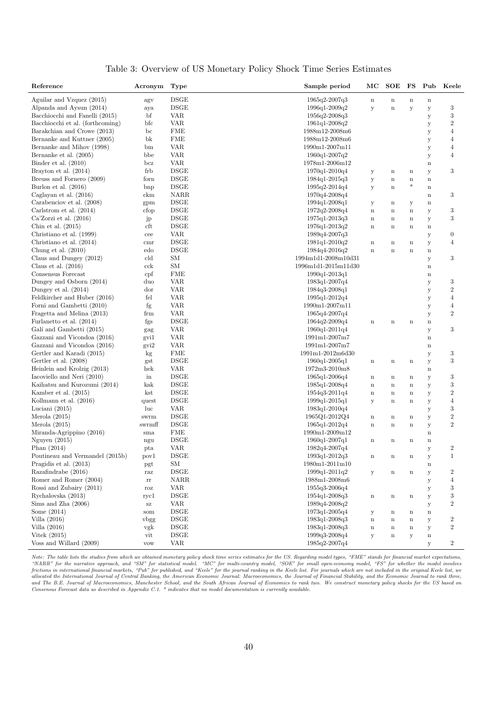| Table 3: Overview of US Monetary Policy Shock Time Series Estimates |  |  |  |
|---------------------------------------------------------------------|--|--|--|
|---------------------------------------------------------------------|--|--|--|

| Reference                                   | Acronym                    | Type                      | Sample period                   | МC          | SOE FS      |             | Pub          | Keele               |
|---------------------------------------------|----------------------------|---------------------------|---------------------------------|-------------|-------------|-------------|--------------|---------------------|
| Aguilar and Vzquez (2015)                   | agv                        | DSGE                      | $1965q2-2007q3$                 | $\mathbf n$ | $\mathbf n$ | $\mathbf n$ | $\bf n$      |                     |
| Alpanda and Aysun (2014)                    | aya                        | DSGE                      | 1996q1-2009q2                   | y           | $\mathbf n$ | y           | y            | 3                   |
| Bacchiocchi and Fanelli (2015)              | bf                         | VAR                       | 1956q2-2008q3                   |             |             |             | y            | 3                   |
| Bacchiocchi et al. (forthcoming)            | bfc                        | VAR                       | 1961q1-2008q2                   |             |             |             | y            | $\overline{2}$      |
| Barakchian and Crowe (2013)                 | bc                         | <b>FME</b>                | 1988m12-2008m6                  |             |             |             | y            | $\overline{4}$      |
| Bernanke and Kuttner (2005)                 | bk                         | <b>FME</b>                | 1988m12-2008m6                  |             |             |             | y            | $\overline{4}$      |
| Bernanke and Mihov (1998)                   | $_{\text{bm}}$             | <b>VAR</b>                | 1990m1-2007m11                  |             |             |             | y            | 4                   |
| Bernanke et al. (2005)                      | bbe                        | <b>VAR</b>                | $1960q1-2007q2$                 |             |             |             | У            | 4                   |
| Binder et al. (2010)                        | bcz                        | <b>VAR</b>                | 1978m1-2006m12                  |             |             |             | $\mathbf n$  |                     |
| Brayton et al. (2014)                       | frb                        | <b>DSGE</b>               | 1970q1-2010q4                   | y           | $\mathbf n$ | $\mathbf n$ | y            | 3                   |
| Breuss and Fornero (2009)                   | forn                       | <b>DSGE</b>               | $1984q1-2015q3$                 | y           | $\mathbf n$ | $\mathbf n$ | $\mathbf n$  |                     |
| Burlon et al. $(2016)$                      | bnp                        | DSGE                      | 1995q2-2014q4                   | у           | $\mathbf n$ | ∗           | $\mathbf n$  |                     |
| Caglayan et al. $(2016)$                    | ckm                        | <b>NARR</b>               | 1970q4-2008q4                   |             |             |             | $\mathbf n$  | 3                   |
| Carabenciov et al. (2008)                   | gpm                        | <b>DSGE</b>               | 1994q1-2008q1                   | у           | n           | у           | $\mathbf n$  |                     |
| Carlstrom et al. $(2014)$                   | cfop                       | DSGE                      | 1972q2-2008q4                   | $\mathbf n$ | $\mathbf n$ | $\mathbf n$ | у            | 3                   |
| $Ca'Zorzi$ et al. $(2016)$                  | jp                         | <b>DSGE</b>               | $1975q1-2013q3$                 | $\mathbf n$ | $\mathbf n$ | $\mathbf n$ | У            | 3                   |
| Chin et al. $(2015)$                        | $_{\rm cft}$               | <b>DSGE</b>               | 1976q1-2013q2                   | $\mathbf n$ | $\mathbf n$ | $\mathbf n$ | $\bf n$      |                     |
| Christiano et al. (1999)                    | cee                        | <b>VAR</b>                | 1989q4-2007q3                   |             |             |             | y            | 0                   |
| Christiano et al. (2014)                    | cmr                        | DSGE                      | $1981q1-2010q2$                 | $\mathbf n$ | $\mathbf n$ | $\mathbf n$ | У            | 4                   |
| Chung et al. $(2010)$                       | edo                        | DSGE                      | 1984q4-2016q2                   | $\mathbf n$ | $\mathbf n$ | $\mathbf n$ | $\bf n$      |                     |
| Claus and Dungey (2012)                     | cld                        | SM                        | 1994m1d1-2008m10d31             |             |             |             | y            | 3                   |
| Claus et al. $(2016)$                       | cck                        | <b>SM</b>                 | 1996m1d1-2015m11d30             |             |             |             | $\mathbf n$  |                     |
| Consensus Forecast                          | $_{\rm cpf}$               | <b>FME</b>                | 1990q1-2013q1                   |             |             |             | $\mathbf n$  |                     |
| Dungey and Osborn (2014)                    | duo                        | <b>VAR</b>                | 1983q1-2007q4                   |             |             |             | У            | 3                   |
| Dungey et al. $(2014)$                      | dor                        | <b>VAR</b>                | 1984q3-2008q1                   |             |             |             |              | $\boldsymbol{2}$    |
| Feldkircher and Huber (2016)                | fel                        | <b>VAR</b>                | $1995q1-2012q4$                 |             |             |             | У<br>y       | 4                   |
| Forni and Gambetti (2010)                   | fg                         | VAR                       | 1990m1-2007m11                  |             |             |             |              | $\overline{4}$      |
| Fragetta and Melina (2013)                  | frm                        | <b>VAR</b>                | $1965q4\text{-}2007q4$          |             |             |             | y            | $\overline{2}$      |
| Furlanetto et al. (2014)                    | fgs                        | <b>DSGE</b>               | $1964q2-2009q4$                 | $\mathbf n$ | $\mathbf n$ | $\mathbf n$ | y<br>$\bf n$ |                     |
| Galí and Gambetti (2015)                    | gag                        | <b>VAR</b>                | 1960q1-2011q4                   |             |             |             | y            | 3                   |
| Gazzani and Vicondoa (2016)                 | gvi1                       | <b>VAR</b>                | 1991m1-2007m7                   |             |             |             | $\mathbf n$  |                     |
| Gazzani and Vicondoa (2016)                 | gvi2                       | <b>VAR</b>                | 1991m1-2007m7                   |             |             |             | $\bf n$      |                     |
| Gertler and Karadi (2015)                   | kg                         | <b>FME</b>                | 1991m1-2012m6d30                |             |             |             |              | 3                   |
| Gertler et al. (2008)                       | gst                        | <b>DSGE</b>               | $1960q1-2005q1$                 | $\mathbf n$ | $\mathbf n$ |             | y            | 3                   |
| Heinlein and Krolzig (2013)                 | hek                        | <b>VAR</b>                | 1972m3-2010m8                   |             |             | $\mathbf n$ | у            |                     |
| Iacoviello and Neri (2010)                  |                            | <b>DSGE</b>               | $1965q1-2006q4$                 |             |             |             | $\mathbf n$  |                     |
| Kaihatsu and Kurozumi (2014)                | in<br>kak                  | DSGE                      |                                 | $\mathbf n$ | $\mathbf n$ | $\mathbf n$ | y            | 3<br>$\,3$          |
|                                             |                            | <b>DSGE</b>               | 1985q1-2008q4                   | $\mathbf n$ | n           | $\mathbf n$ | у            | $\,2$               |
| Kamber et al. $(2015)$                      | kst                        |                           | 1954q3-2011q4                   | $\mathbf n$ | $\mathbf n$ | $\mathbf n$ | У            |                     |
| Kollmann et al. (2016)                      | quest                      | <b>DSGE</b>               | $1999q1-2015q1$                 | y           | $\mathbf n$ | $\mathbf n$ | y            | $\overline{4}$<br>3 |
| Luciani $(2015)$                            | luc                        | <b>VAR</b><br><b>DSGE</b> | $1983q1-2010q4$                 |             |             |             | y            | $\overline{2}$      |
| Merola $(2015)$                             | swrm                       | DSGE                      | 1965Q1-2012Q4                   | $\mathbf n$ | $\mathbf n$ | $\mathbf n$ | y            | $\overline{2}$      |
| Merola $(2015)$<br>Miranda-Agrippino (2016) | swrmff                     | <b>FME</b>                | 1965q1-2012q4<br>1990m1-2009m12 | $\mathbf n$ | $\mathbf n$ | $\mathbf n$ | У            |                     |
|                                             | $\operatorname{sma}$       |                           |                                 |             |             |             | $\mathbf n$  |                     |
| Nguyen $(2015)$                             | ngu                        | DSGE                      | $1960q1-2007q1$                 | $\mathbf n$ | $\mathbf n$ | $\mathbf n$ | $\mathbf n$  |                     |
| Phan $(2014)$                               | pta                        | VAR                       | 1982q4-2007q4                   |             |             |             | у            | $\overline{2}$      |
| Poutineau and Vermandel (2015b)             | pov1                       | DSGE                      | 1993q1-2012q3                   | $\mathbf n$ | $\mathbf n$ | $\mathbf n$ | $\mathbf y$  | 1                   |
| Pragidis et al. $(2013)$                    | pgt                        | SM                        | 1980m1-2011m10                  |             |             |             | $\mathbf n$  |                     |
| Razafindrabe (2016)                         | $_{\rm raz}$               | DSGE                      | 1999q1-2011q2                   | y           | $\mathbf n$ | $\mathbf n$ | У            | 2                   |
| Romer and Romer (2004)                      | $\mathop{\rm rr}\nolimits$ | NARR                      | 1988m1-2008m6                   |             |             |             | y            | $\overline{4}$      |
| Rossi and Zubairy (2011)                    | roz                        | <b>VAR</b>                | $1955q3-2006q4$                 |             |             |             | y            | 3                   |
| Rychalovska (2013)                          | ryc1                       | <b>DSGE</b>               | 1954q1-2008q3                   | $\mathbf n$ | $\mathbf n$ | $\mathbf n$ | у            | 3                   |
| Sims and Zha $(2006)$                       | $\mathbf{SZ}$              | VAR                       | 1989q4-2008q2                   |             |             |             | y            | $\overline{2}$      |
| Some (2014)                                 | $\operatorname{som}$       | <b>DSGE</b>               | $1973q1-2005q4$                 | y           | n           | n           | $\mathbf n$  |                     |
| Villa $(2016)$                              | vbgg                       | <b>DSGE</b>               | 1983q1-2008q3                   | $\mathbf n$ | $\mathbf n$ | $\mathbf n$ | y            | $\boldsymbol{2}$    |
| Villa $(2016)$                              | vgk                        | DSGE                      | 1983q1-2008q3                   | $\mathbf n$ | $\mathbf n$ | $\mathbf n$ | y            | $\overline{2}$      |
| Vitek $(2015)$                              | vit                        | $_{\rm DSGE}$             | 1999q3-2008q4                   | y           | $\mathbf n$ | У           | $\mathbf n$  |                     |
| Voss and Willard (2009)                     | <b>VOW</b>                 | VAR                       | 1985q2-2007q4                   |             |             |             | у            | $\boldsymbol{2}$    |

Note: The table lists the studies from which we obtained monetary policy shock time series estimates for the US. Regarding model types, "FME" stands for financial market expectations, "NARR" for the narrative approach, an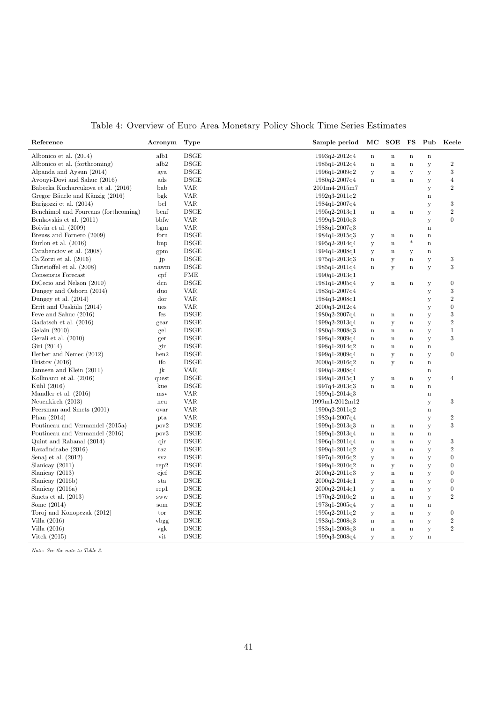| Table 4: Overview of Euro Area Monetary Policy Shock Time Series Estimates |  |  |  |  |  |  |
|----------------------------------------------------------------------------|--|--|--|--|--|--|
|----------------------------------------------------------------------------|--|--|--|--|--|--|

| Reference                            | Acronym              | Type          | Sample period     | МC          | <b>SOE</b>  | $_{\rm FS}$ | Pub         | Keele            |
|--------------------------------------|----------------------|---------------|-------------------|-------------|-------------|-------------|-------------|------------------|
| Albonico et al. (2014)               | alb1                 | DSGE          | 1993q2-2012q4     | $\mathbf n$ | $\mathbf n$ | $\mathbf n$ | $\mathbf n$ |                  |
| Albonico et al. (forthcoming)        | alb <sub>2</sub>     | DSGE          | $1985q1-2012q4$   | $\mathbf n$ | $\mathbf n$ | $\bf n$     | y           | $\boldsymbol{2}$ |
| Alpanda and Aysun (2014)             | aya                  | <b>DSGE</b>   | 1996q1-2009q2     | y           | $\mathbf n$ | y           | y           | $\boldsymbol{3}$ |
| Avouyi-Dovi and Sahue (2016)         | ads                  | DSGE          | 1980q2-2007q4     | $\mathbf n$ | $\mathbf n$ | $\bf n$     | y           | $\overline{4}$   |
| Babecka Kucharcukova et al. (2016)   | bab                  | <b>VAR</b>    | 2001m4-2015m7     |             |             |             | y           | $\overline{2}$   |
| Gregor Bäurle and Känzig (2016)      | bgk                  | <b>VAR</b>    | 1992q3-2011q2     |             |             |             | $\mathbf n$ |                  |
| Barigozzi et al. (2014)              | bcl                  | <b>VAR</b>    | 1984q1-2007q4     |             |             |             | y           | 3                |
| Benchimol and Fourcans (forthcoming) | benf                 | DSGE          | 1995q2-2013q1     | $\mathbf n$ | $\mathbf n$ | $\bf n$     | y           | $\overline{2}$   |
| Benkovskis et al. (2011)             | bbfw                 | VAR           | $1999q3 - 2010q3$ |             |             |             | y           | $\theta$         |
| Boivin et al. $(2009)$               | $^{bgm}$             | <b>VAR</b>    | 1988q1-2007q3     |             |             |             | $\mathbf n$ |                  |
| Breuss and Fornero (2009)            | forn                 | DSGE          | $1984q1 - 2015q3$ | y           | $\mathbf n$ | $\mathbf n$ | $\bf n$     |                  |
| Burlon et al. $(2016)$               | bnp                  | DSGE          | 1995q2-2014q4     | y           | $\mathbf n$ | $\ast$      | $\mathbf n$ |                  |
| Carabenciov et al. (2008)            | gpm                  | DSGE          | 1994q1-2008q1     | y           | $\mathbf n$ | у           | $\bf n$     |                  |
| $Ca'Zorzi$ et al. $(2016)$           | jp                   | DSGE          | 1975q1-2013q3     | $\mathbf n$ | y           | $\mathbf n$ | y           | 3                |
| Christoffel et al. (2008)            | nawm                 | DSGE          | 1985q1-2011q4     | $\mathbf n$ | y           | $\mathbf n$ | y           | 3                |
| Consensus Forecast                   | $_{\rm cpf}$         | <b>FME</b>    | 1990q1-2013q1     |             |             |             |             |                  |
| DiCecio and Nelson (2010)            | dcn                  | DSGE          | 1981q1-2005q4     | y           | $\mathbf n$ | $\mathbf n$ | y           | $\boldsymbol{0}$ |
| Dungey and Osborn (2014)             | duo                  | <b>VAR</b>    | 1983q1-2007q4     |             |             |             | y           | 3                |
| Dungey et al. $(2014)$               | dor                  | <b>VAR</b>    | 1984q3-2008q1     |             |             |             |             | $\overline{2}$   |
| Errit and Uusküla (2014)             | ues                  | <b>VAR</b>    | 2000q3-2012q4     |             |             |             | y           | $\overline{0}$   |
| Feve and Sahuc (2016)                | fes                  | <b>DSGE</b>   | 1980q2-2007q4     | $\mathbf n$ |             |             | $\mathbf y$ | $\boldsymbol{3}$ |
| Gadatsch et al. (2016)               | gear                 | DSGE          | 1999q2-2013q4     | $\mathbf n$ | $\mathbf n$ | $\mathbf n$ | y           | $\overline{2}$   |
| Gelain $(2010)$                      |                      | DSGE          |                   |             | y           | $\mathbf n$ | y           | $\mathbf{1}$     |
| Gerali et al. $(2010)$               | gel                  | DSGE          | 1980q1-2008q3     | $\mathbf n$ | $\mathbf n$ | $\mathbf n$ | y           | 3                |
| Giri (2014)                          | ger                  | <b>DSGE</b>   | 1998q1-2009q4     | $\mathbf n$ | $\mathbf n$ | $\mathbf n$ | y           |                  |
|                                      | gir                  |               | 1998q1-2014q2     | $\mathbf n$ | $\mathbf n$ | $\mathbf n$ | $\mathbf n$ |                  |
| Herber and Nemec (2012)              | hen2                 | <b>DSGE</b>   | 1999q1-2009q4     | $\mathbf n$ | y           | $\mathbf n$ | y           | $\overline{0}$   |
| Hristov $(2016)$                     | ifo                  | DSGE          | $2000q1 - 2016q2$ | $\mathbf n$ | y           | $\bf n$     | $\mathbf n$ |                  |
| Jannsen and Klein (2011)             | jk                   | VAR           | $1990q1-2008q4$   |             |             |             | $\mathbf n$ |                  |
| Kollmann et al. (2016)               | quest                | DSGE          | $1999q1-2015q1$   | у           | $\mathbf n$ | $\mathbf n$ | y           | $\overline{4}$   |
| Kühl (2016)                          | kue                  | <b>DSGE</b>   | $1997q4 - 2013q3$ | $\mathbf n$ | $\mathbf n$ | $\bf n$     | $\mathbf n$ |                  |
| Mandler et al. $(2016)$              | msv                  | <b>VAR</b>    | 1999q1-2014q3     |             |             |             | $\mathbf n$ |                  |
| Neuenkirch (2013)                    | neu                  | <b>VAR</b>    | 1999m1-2012m12    |             |             |             | y           | 3                |
| Peersman and Smets (2001)            | ovar                 | <b>VAR</b>    | 1990q2-2011q2     |             |             |             | $\mathbf n$ |                  |
| Phan $(2014)$                        | pta                  | VAR           | 1982q4-2007q4     |             |             |             | y           | $\,2$            |
| Poutineau and Vermandel (2015a)      | pov2                 | DSGE          | 1999q1-2013q3     | $\mathbf n$ | $\mathbf n$ | $\mathbf n$ | $\mathbf y$ | 3                |
| Poutineau and Vermandel (2016)       | pov3                 | DSGE          | 1999q1-2013q4     | $\mathbf n$ | $\mathbf n$ | $\mathbf n$ | $\mathbf n$ |                  |
| Quint and Rabanal (2014)             | qir                  | DSGE          | 1996q1-2011q4     | $\mathbf n$ | $\mathbf n$ | $\mathbf n$ | $\mathbf y$ | 3                |
| Razafindrabe (2016)                  | raz                  | <b>DSGE</b>   | 1999q1-2011q2     | y           | $\mathbf n$ | $\mathbf n$ | y           | $\overline{2}$   |
| Senaj et al. $(2012)$                | $_{\mathrm{SVZ}}$    | DSGE          | 1997q1-2016q2     | y           | $\mathbf n$ | $\mathbf n$ | y           | $\overline{0}$   |
| Slanicay $(2011)$                    | rep2                 | <b>DSGE</b>   | 1999q1-2010q2     | $\mathbf n$ | y           | $\mathbf n$ | y           | $\overline{0}$   |
| Slanicay $(2013)$                    | cjef                 | DSGE          | 2000q2-2011q3     | у           | $\mathbf n$ | $\bf n$     | y           | $\boldsymbol{0}$ |
| Slanicay $(2016b)$                   | sta                  | <b>DSGE</b>   | $2000q2 - 2014q1$ | y           | $\mathbf n$ | $\bf n$     | y           | $\boldsymbol{0}$ |
| Slanicay $(2016a)$                   | rep1                 | DSGE          | $2000q2 - 2014q1$ | у           | $\mathbf n$ | $\mathbf n$ | y           | $\boldsymbol{0}$ |
| Smets et al. $(2013)$                | <b>SWW</b>           | <b>DSGE</b>   | 1970q2-2010q2     | $\mathbf n$ | $\mathbf n$ | $\mathbf n$ | y           | $\boldsymbol{2}$ |
| Some $(2014)$                        | $\operatorname{som}$ | DSGE          | 1973q1-2005q4     | y           | $\mathbf n$ | $\mathbf n$ | $\mathbf n$ |                  |
| Toroj and Konopczak (2012)           | tor                  | DSGE          | $1995q2-2011q2$   | y           | $\mathbf n$ | $\mathbf n$ | y           | $\overline{0}$   |
| Villa $(2016)$                       | vbgg                 | DSGE          | 1983q1-2008q3     | $\mathbf n$ | $\mathbf n$ | $\mathbf n$ | y           | $\,2$            |
| Villa $(2016)$                       | vgk                  | $_{\rm DSGE}$ | 1983q1-2008q3     | $\mathbf n$ | $\mathbf n$ | $\mathbf n$ | y           | $\overline{2}$   |
| Vitek $(2015)$                       | vit                  | DSGE          | 1999q3-2008q4     | у           | $\mathbf n$ | у           | $\mathbf n$ |                  |

Note: See the note to Table 3.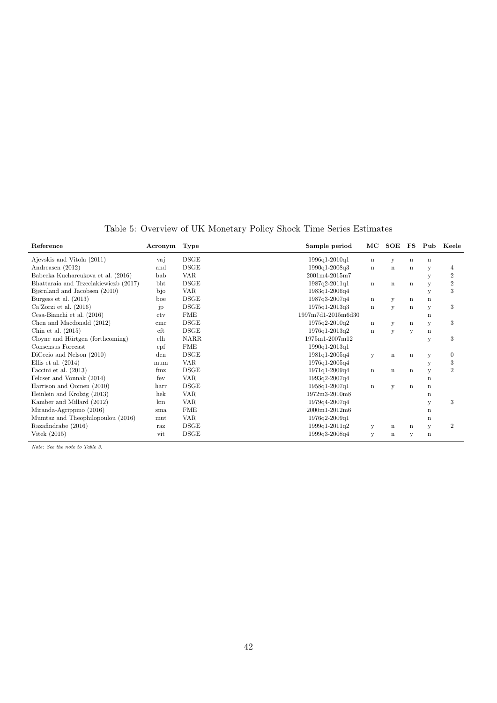| Reference                             | Acronym      | Type        | Sample period      | МC          | <b>SOE</b>  | $_{\rm FS}$ | Pub         | Keele          |
|---------------------------------------|--------------|-------------|--------------------|-------------|-------------|-------------|-------------|----------------|
| Ajevskis and Vitola (2011)            | vaj          | DSGE        | 1996q1-2010q1      | $\mathbf n$ | y           | $\mathbf n$ | n           |                |
| Andreasen (2012)                      | and          | DSGE        | $1990q1 - 2008q3$  | $\mathbf n$ | $\mathbf n$ | $\mathbf n$ | y           | 4              |
| Babecka Kucharcukova et al. (2016)    | bab          | VAR         | 2001m4-2015m7      |             |             |             | У           | $\overline{2}$ |
| Bhattaraia and Trzeciakiewiczb (2017) | bht          | DSGE        | 1987q2-2011q1      | $\mathbf n$ | $\mathbf n$ | $\mathbf n$ | y           | $\overline{2}$ |
| Bjørnland and Jacobsen (2010)         | bjo          | VAR         | $1983q1-2006q4$    |             |             |             | y           | 3              |
| Burgess et al. $(2013)$               | boe          | DSGE        | 1987q3-2007q4      | $\mathbf n$ | y           | n           | n           |                |
| $Ca'Zorzi$ et al. $(2016)$            | jp           | DSGE        | 1975q1-2013q3      | $\mathbf n$ | y           | n           | y           | 3              |
| Cesa-Bianchi et al. (2016)            | ctv          | <b>FME</b>  | 1997m7d1-2015m6d30 |             |             |             | $\mathbf n$ |                |
| Chen and Macdonald (2012)             | $_{\rm cmc}$ | DSGE        | 1975q2-2010q2      | n           | y           | n           | y           | 3              |
| Chin et al. $(2015)$                  | $_{\rm cft}$ | DSGE        | 1976q1-2013q2      | $\mathbf n$ | y           | У           | n           |                |
| Cloyne and Hürtgen (forthcoming)      | clh          | <b>NARR</b> | 1975m1-2007m12     |             |             |             | y           | 3              |
| Consensus Forecast                    | $_{\rm cpf}$ | <b>FME</b>  | 1990q1-2013q1      |             |             |             |             |                |
| DiCecio and Nelson (2010)             | dcn          | DSGE        | $1981q1-2005q4$    | y           | $\mathbf n$ | $\mathbf n$ | y           | 0              |
| Ellis et al. $(2014)$                 | mum          | <b>VAR</b>  | 1976q1-2005q4      |             |             |             | y           | 3              |
| Faccini et al. (2013)                 | fmz          | DSGE        | 1971q1-2009q4      | $\mathbf n$ | $\mathbf n$ | $\mathbf n$ | V           | $\overline{2}$ |
| Felcser and Vonnak (2014)             | fev          | <b>VAR</b>  | 1993q2-2007q4      |             |             |             | n           |                |
| Harrison and Oomen (2010)             | harr         | DSGE        | 1958q1-2007q1      | $\mathbf n$ | V           | $\mathbf n$ | n           |                |
| Heinlein and Krolzig (2013)           | hek          | VAR         | 1972m3-2010m8      |             |             |             | n           |                |
| Kamber and Millard (2012)             | km           | <b>VAR</b>  | 1979q4-2007q4      |             |             |             | V           | 3              |
| Miranda-Agrippino (2016)              | sma          | <b>FME</b>  | 2000m1-2012m6      |             |             |             | n           |                |
| Mumtaz and Theophilopoulou (2016)     | mut          | <b>VAR</b>  | 1976q2-2009q1      |             |             |             | n           |                |
| Razafindrabe (2016)                   | raz          | <b>DSGE</b> | 1999q1-2011q2      | y           | $\mathbf n$ | $\mathbf n$ | y           | $\overline{2}$ |
| Vitek $(2015)$                        | vit          | DSGE        | 1999q3-2008q4      | y           | n           | y           | n           |                |

Table 5: Overview of UK Monetary Policy Shock Time Series Estimates

Note: See the note to Table 3.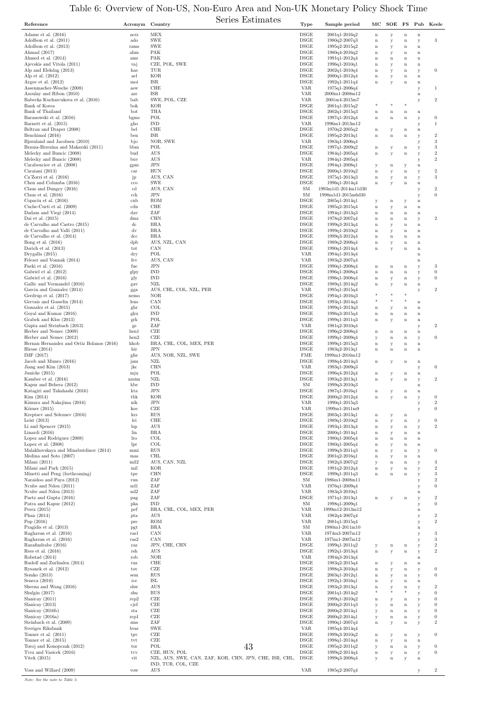#### Table 6: Overview of Non-US, Non-Euro Area and Non-UK Monetary Policy Shock Time

| Reference                                                        | Acronym               | Country                               | Series Estimates                                       | Type                       | Sample period                        | мс                         |                                        |                        |                            | SOE FS Pub Keele                     |
|------------------------------------------------------------------|-----------------------|---------------------------------------|--------------------------------------------------------|----------------------------|--------------------------------------|----------------------------|----------------------------------------|------------------------|----------------------------|--------------------------------------|
| Adame et al. (2016)                                              | acrz                  | <b>MEX</b>                            |                                                        | <b>DSGE</b>                | 2001q1-2016q2                        | $\bf n$                    | y                                      | $\bf n$                | $\bf n$                    |                                      |
| Adolfson et al. (2011)<br>Adolfson et al. (2013)                 | ado<br>rams           | <b>SWE</b><br><b>SWE</b>              |                                                        | <b>DSGE</b><br>DSGE        | 1980q2-2007q3<br>1995q2-2015q2       | $\bf n$<br>$\mathbf n$     | $\mathbf y$<br>y                       | $\bf n$<br>$\bf n$     | $\mathbf y$<br>$\bf n$     | 3                                    |
| Ahmad (2017)                                                     | ahm                   | PAK                                   |                                                        | <b>DSGE</b>                | 1980q4-2016q2                        | $\mathbf n$                | y                                      | $\mathbf n$            | $\bf n$                    |                                      |
| Ahmed et al. (2014)<br>Ajevskis and Vitola (2011)                | amr<br>vaj            | PAK<br>CZE, POL, SWE                  |                                                        | <b>DSGE</b><br><b>DSGE</b> | 1991q1-2012q4<br>$1996q1-2010q1$     | $\bf n$<br>$\mathbf n$     | $\mathbf n$<br>y                       | $\bf n$<br>$\bf n$     | $\bf n$<br>$\bf n$         |                                      |
| Alp and Elekdag (2013)                                           | has                   | TUR                                   |                                                        | DSGE                       | 2002q1-2010q4                        | $\mathbf n$                | y                                      | $\bf n$                | y                          | $\boldsymbol{0}$                     |
| Alp et al. $(2012)$<br>Argov et al. $(2012)$                     | ael<br>moi            | KOR<br>ISR                            |                                                        | DSGE<br><b>DSGE</b>        | 2000q1-2012q4<br>1992q1-2011q4       | $\bf n$<br>$\mathbf n$     | y<br>y                                 | $\bf n$<br>$\bf n$     | $\bf n$<br>$\bf n$         |                                      |
| Assenmacher-Wesche (2008)                                        | $\operatorname{asw}$  | <b>CHE</b>                            |                                                        | VAR                        | 1975q1-2006q4                        |                            |                                        |                        | y                          | 1                                    |
| Azoulay and Ribon (2010)<br>Babecka Kucharcukova et al. (2016)   | azr<br>bab            | <b>ISR</b><br>SWE, POL, CZE           |                                                        | VAR<br>VAR                 | 2000m1-2008m12<br>2001m4-2015m7      |                            |                                        |                        | $\mathbf n$<br>y           | $\overline{2}$                       |
| Bank of Korea                                                    | bok                   | KOR                                   |                                                        | <b>DSGE</b>                | 2001q1-2015q2                        |                            |                                        | $\ast$                 |                            |                                      |
| Bank of Thailand<br>Baranowski et al. (2016)                     | bot<br>bgms           | THA<br>POL                            |                                                        | <b>DSGE</b><br>DSGE        | $2002q1 - 2015q3$<br>1997q1-2012q4   | $\mathbf n$<br>$\mathbf n$ | $\mathbf n$<br>$\bf n$                 | $\bf n$<br>$\mathbf n$ | $\bf n$<br>y               | $\boldsymbol{0}$                     |
| Barnett et al. (2015)                                            | gho                   | <b>IND</b>                            |                                                        | VAR                        | 1996m1-2013m12                       |                            |                                        |                        | y                          | 1                                    |
| Beltran and Draper (2008)<br>Benchimol (2016)                    | bel<br>ben            | <b>CHE</b><br>ISR                     |                                                        | <b>DSGE</b><br>DSGE        | 1970q2-2005q2<br>1995q2-2013q1       | $\bf n$<br>$\bf n$         | ${\bf y}$<br>$\mathbf n$               | n<br>$\bf n$           | $\bf n$<br>y               | $\overline{2}$                       |
| Bjørnland and Jacobsen (2010)                                    | bjo                   | NOR, SWE                              |                                                        | VAR                        | 1983q1-2006q4                        |                            |                                        |                        | y                          | $\,3$                                |
| Brzoza-Brzezina and Makarski (2011)<br>Melecky and Buncic (2008) | bbm<br>bud            | POL<br>AUS                            |                                                        | <b>DSGE</b><br><b>DSGE</b> | 1997q1-2009q2<br>1984q1-2005q4       | $\mathbf n$<br>$\bf n$     | у<br>${\bf y}$                         | $\mathbf n$<br>$\bf n$ | y<br>y                     | 3<br>$\overline{2}$                  |
| Melecky and Buncic (2008)                                        | buv                   | AUS                                   |                                                        | VAR                        | 1984q1-2005q4                        |                            |                                        |                        | y                          | $\,2$                                |
| Carabenciov et al. (2008)<br>Caraiani (2013)                     | gpm<br>car            | <b>JPN</b><br><b>HUN</b>              |                                                        | DSGE<br>DSGE               | 1994q1-2008q1<br>2000q1-2010q2       | ${\bf y}$<br>$\mathbf n$   | $\mathbf n$<br>y                       | y<br>$\bf n$           | $\bf n$<br>y               | $\overline{2}$                       |
| Ca'Zorzi et al. (2016)                                           | jp                    | AUS, CAN                              |                                                        | <b>DSGE</b>                | 1975q1-2013q3                        | $\mathbf n$                | y                                      | $\bf n$                | y                          | 3                                    |
| Chen and Columba (2016)<br>Claus and Dungey (2016)               | cco<br>cd             | <b>SWE</b><br>AUS, CAN                |                                                        | <b>DSGE</b><br><b>SM</b>   | 1996q1-2014q4<br>1993m1d1-2014m11d30 | $\bf n$                    | y                                      | $\bf n$                | $\bf n$<br>y               | $\overline{2}$                       |
| Claus et al. $(2016)$                                            | cck                   | <b>JPN</b>                            |                                                        | <b>SM</b>                  | 1998m1d1-2015m6d30                   |                            |                                        |                        | y                          | $\bf{0}$                             |
| Copaciu et al. (2016)<br>Cuche-Curti et al. (2009)               | cnb<br>cdn            | ROM<br>CHE                            |                                                        | <b>DSGE</b><br><b>DSGE</b> | 2005q1-2014q1<br>1995q2-2015q4       | y<br>$\bf n$               | $\mathbf n$<br>y                       | y<br>$\bf n$           | $\bf n$<br>$\bf n$         |                                      |
| Dadam and Viegi (2014)                                           | dav                   | ZAF                                   |                                                        | DSGE                       | 1994q1-2013q3                        | $\bf n$                    | $\mathbf n$                            | $\bf n$                | $\bf n$                    |                                      |
| Dai et al. (2015)<br>de Carvalho and Castro (2015)               | dmz<br>$_{\rm dc}$    | <b>CHN</b><br>BRA                     |                                                        | <b>DSGE</b><br><b>DSGE</b> | 1978q2-2007q4<br>1999q3-2013q4       | $\bf n$<br>$\mathbf n$     | $\bf n$<br>$\mathbf y$                 | n<br>$\bf n$           | y<br>$\bf n$               | $\overline{2}$                       |
| de Carvalho and Valli (2011)                                     | dv                    | <b>BRA</b>                            |                                                        | <b>DSGE</b>                | 1999q1-2010q2                        | $\bf n$                    | y                                      | $\bf n$                | $\bf n$                    |                                      |
| de Carvalho et al. (2014)<br>Bong et al. (2016)                  | $_{\rm dec}$<br>dpb   | BRA<br>AUS, NZL, CAN                  |                                                        | DSGE<br><b>DSGE</b>        | 1999q3-2012q4<br>1989q2-2006q4       | $\bf n$<br>$\mathbf n$     | $\bf n$<br>$\mathbf y$                 | $\bf n$<br>$\mathbf n$ | $\mathbf n$<br>$\bf n$     |                                      |
| Dorich et al. (2013)                                             | tot                   | CAN                                   |                                                        | <b>DSGE</b>                | 1990q1-2014q4                        | $\bf n$                    | y                                      | $\bf n$                | $\mathbf n$                |                                      |
| Drygalla (2015)<br>Felcser and Vonnak (2014)                     | dry<br>fev            | POL<br>AUS, CAN                       |                                                        | VAR<br>VAR                 | 1994q1-2013q4<br>1993q2-2007q4       |                            |                                        |                        | $\mathbf n$<br>$\mathbf n$ |                                      |
| Fueki et al. (2016)                                              | fue                   | <b>JPN</b>                            |                                                        | <b>DSGE</b>                | 1990q1-2008q4                        | $\bf n$                    | $\mathbf n$                            | n                      | y                          | 3                                    |
| Gabriel et al. (2012)<br>Gabriel et al. (2016)                   | glpy<br>gly           | <b>IND</b><br><b>IND</b>              |                                                        | <b>DSGE</b><br>DSGE        | 1996q1-2008q4<br>1996q1-2008q4       | $\bf n$<br>$\bf n$         | $\mathbf n$<br>y                       | $\bf n$<br>$\bf n$     | y<br>y                     | $\bf{0}$<br>$\bf{0}$                 |
| Gallic and Vermandel (2016)                                      | gav                   | NZL                                   |                                                        | <b>DSGE</b>                | 1989q1-2014q2                        | $\bf n$                    | y                                      | $\mathbf n$            | $\bf n$                    |                                      |
| Garcia and Gonzalez (2014)<br>Gerdrup et al. (2017)              | gga<br>nemo           | AUS, CHL, COL, NZL, PER<br>NOR        |                                                        | VAR<br><b>DSGE</b>         | 1995q1-2015q4<br>1994q1-2016q3       |                            |                                        | ş                      | y                          | $\overline{2}$                       |
| Gervais and Gosselin (2014)                                      | lens                  | CAN                                   |                                                        | DSGE                       | 1993q1-2014q4                        | *                          | *                                      | *                      | $\mathbf n$                |                                      |
| Gonzalez et al. (2015)<br>Goyal and Kumar (2016)                 | ghr<br>gku            | COL<br><b>IND</b>                     |                                                        | <b>DSGE</b><br><b>DSGE</b> | 1999q1-2013q3<br>1996q3-2015q4       | $\mathbf n$<br>$\mathbf n$ | $\mathbf y$<br>$\mathbf n$             | $\mathbf n$<br>$\bf n$ | $\bf n$<br>$\bf n$         |                                      |
| Grabek and Klos (2013)                                           | grk                   | POL                                   |                                                        | <b>DSGE</b>                | 1999q1-2011q3                        | $\bf n$                    | y                                      | $\bf n$                | $\mathbf n$                |                                      |
| Gupta and Steinbach (2013)<br>Herber and Nemec (2009)            | gs<br>hen1            | ZAF<br>CZE                            |                                                        | VAR<br><b>DSGE</b>         | 1981q2-2010q4<br>1996q2-2008q4       | $\mathbf n$                | $\mathbf n$                            | $\mathbf n$            | y<br>$\bf n$               | $\overline{2}$                       |
| Herber and Nemec (2012)                                          | hen2                  | CZE                                   |                                                        | <b>DSGE</b>                | 1999q1-2009q4                        | ${\bf y}$                  | $\mathbf n$                            | $\bf n$                | ${\bf y}$                  | $\theta$                             |
| Hernan Hernandez and Ortiz Bolanos (2016)<br>Hirose $(2014)$     | hhob<br>hir           | BRA, CHL, COL, MEX, PER<br><b>JPN</b> |                                                        | DSGE<br><b>DSGE</b>        | 1999q1-2015q3<br>1983q2-2013q1       | $\mathbf n$<br>$\mathbf n$ | y<br>$\mathbf n$                       | $\bf n$<br>$\bf n$     | $\bf n$<br>$\bf n$         |                                      |
| IMF (2017)                                                       | gfsr                  | AUS, NOR, NZL, SWE                    |                                                        | <b>FME</b>                 | 1999m1-2016m12                       |                            |                                        |                        |                            |                                      |
| Jacob and Munro (2016)<br>Jiang and Kim (2013)                   | jam<br>jkc            | NZL<br><b>CHN</b>                     |                                                        | <b>DSGE</b><br>VAR         | 1998q4-2014q3<br>$1993q1-2009q3$     | $\mathbf n$                | y                                      | n                      | $\mathbf n$<br>y           | 0                                    |
| Junicke $(2015)$                                                 | mju                   | POL                                   |                                                        | <b>DSGE</b>                | 1996q4-2012q4                        | $\mathbf n$                | у                                      | $\mathbf n$            | $\bf n$                    |                                      |
| Kamber et al. (2016)<br>Kapur and Behera (2012)                  | nzsim<br>kbe          | <b>NZL</b><br><b>IND</b>              |                                                        | DSGE<br>SM                 | 1993q2-2013q1<br>1999q3-2010q3       | $\mathbf n$                | y                                      | $\bf n$                | ${\bf y}$<br>$\bf n$       | $\overline{2}$                       |
| Katagiri and Takahashi (2016)                                    | kta                   | <b>JPN</b>                            |                                                        | $_{\rm DSGE}$              | 1987q1-2016q1                        |                            |                                        |                        | п                          |                                      |
| Kim (2014)<br>Kimura and Nakajima (2016)                         | tbk<br>nik            | <b>KOR</b><br><b>JPN</b>              |                                                        | DSGE<br>VAR                | 2000q2-2012q4<br>1990q1-2015q3       | $\bf n$                    | y                                      | $\bf n$                | $\mathbf y$<br>$\mathbf y$ | $\bf{0}$<br>$\boldsymbol{2}$         |
| Körner (2015)                                                    | koe                   | CZE                                   |                                                        | VAR                        | 1999m1-2011m9                        |                            |                                        |                        | y                          | $\bf{0}$                             |
| Kreptsev and Seleznev (2016)<br>Leist $(2013)$                   | krs<br>lei            | <b>RUS</b><br>CHE                     |                                                        | DSGE<br>DSGE               | 2003q1-2013q1<br>1989q1-2010q2       | $\bf n$<br>$\bf n$         | $\mathbf y$<br>y                       | $\bf n$<br>$\bf n$     | y                          | $\boldsymbol{0}$                     |
| Li and Spencer (2015)                                            | lsp                   | AUS                                   |                                                        | DSGE                       | 1993q1-2013q4                        | $\mathbf n$                | y                                      | $\mathbf n$            | y                          | $\,2$                                |
| Linardi (2016)<br>Lopez and Rodriguez (2008)                     | lin<br>lro            | BRA<br>COL                            |                                                        | <b>DSGE</b><br>DSGE        | 2000q1-2014q1<br>1980q1-2005q4       | $\bf n$<br>$\bf n$         | $\mathbf y$<br>$\mathbf n$             | $\bf n$<br>$\bf n$     | $\bf n$<br>$\bf n$         |                                      |
| Lopez et al. $(2008)$<br>Malakhovskaya and Minabutdinov (2014)   | lpr                   | COL                                   |                                                        | DSGE                       | 1980q1-2005q4                        | $\mathbf n$                | y                                      | $\bf n$                | $\bf n$                    |                                      |
| Medina and Soto (2007)                                           | mmi<br>$_{\rm mas}$   | <b>RUS</b><br><b>CHL</b>              |                                                        | DSGE<br>DSGE               | 1999q3-2011q3<br>2001q2-2016q1       | $\mathbf n$<br>$\bf n$     | $\mathbf y$<br>$\mathbf y$             | $\bf n$<br>$\bf n$     | y<br>$\bf n$               | $\boldsymbol{0}$                     |
| Milani (2011)<br>Milani and Park (2015)                          | mil <sub>2</sub>      | AUS, CAN, NZL                         |                                                        | DSGE<br>DSGE               | 1982q3-2007q2                        | ${\bf y}$                  | $\bf n$                                | $\bf n$                | $\mathbf y$                | 3<br>$\,2$                           |
| Minetti and Peng (forthcoming)                                   | mil<br>tpe            | KOR<br><b>CHN</b>                     |                                                        | DSGE                       | 1991q2-2012q4<br>1999q1-2011q3       | $\mathbf n$<br>$\mathbf n$ | y<br>$\bf n$                           | $\bf n$<br>$\bf n$     | y<br>y                     | $\,$ 3                               |
| Naraidoo and Paya (2012)<br>Ncube and Ndou (2011)                | $_{\rm run}$<br>nd1   | ZAF<br>ZAF                            |                                                        | SΜ<br><b>VAR</b>           | 1986m1-2008m11<br>1976q1-2009q4      |                            |                                        |                        | y                          | $\,2$<br>$\boldsymbol{0}$            |
| Ncube and Ndou (2013)                                            | nd2                   | ZAF                                   |                                                        | <b>VAR</b>                 | 1983q3-2010q1                        |                            |                                        |                        | y<br>$\mathbf n$           |                                      |
| Paetz and Gupta (2016)<br>Patra and Kapur (2012)                 | pag<br>pka            | ZAF<br><b>IND</b>                     |                                                        | DSGE<br><b>SM</b>          | 1971q1-2013q1<br>1998q1-2009q1       | $\bf n$                    | y                                      | $\bf n$                | y<br>y                     | $\overline{2}$<br>$\bf{0}$           |
| Perez $(2015)$                                                   | pef                   | BRA, CHL, COL, MEX, PER               |                                                        | <b>VAR</b>                 | 1999m12-2013m12                      |                            |                                        |                        | $\bf n$                    |                                      |
| Phan $(2014)$<br>Pop $(2016)$                                    | pta<br>pre            | AUS<br><b>ROM</b>                     |                                                        | <b>VAR</b><br>VAR          | 1982q4-2007q4<br>2001q1-2015q4       |                            |                                        |                        | ${\bf y}$<br>y             | $\,2$<br>$\overline{2}$              |
| Pragidis et al. (2013)                                           | pgt                   | <b>BRA</b>                            |                                                        | <b>SM</b>                  | 1980m1-2011m10                       |                            |                                        |                        | $\mathbf n$                |                                      |
| Raghavan et al. (2016)<br>Raghavan et al. (2016)                 | ras1<br>ras2          | CAN<br>CAN                            |                                                        | <b>VAR</b><br><b>VAR</b>   | 1974m3-2007m12<br>1975m1-2007m12     |                            |                                        |                        | y<br>y                     | 3<br>$\sqrt{3}$                      |
| Razafindrabe (2016)                                              | $_{\rm raz}$          | JPN, CHE, CHN                         |                                                        | DSGE                       | 1999q1-2011q2                        | ${\bf y}$                  | $\mathbf n$                            | $\bf n$                | y                          | $\,2$                                |
| Rees et al. (2016)<br>Robstad (2014)                             | rsh<br>rob            | AUS<br><b>NOR</b>                     |                                                        | DSGE<br><b>VAR</b>         | 1992q1-2013q4<br>1994q3-2013q4       | $\mathbf n$                | ${\bf y}$                              | $\bf n$                | y<br>$\mathbf n$           | $\overline{2}$                       |
| Rudolf and Zurlinden (2014)                                      | $_{\rm ruz}$          | <b>CHE</b>                            |                                                        | DSGE                       | 1983q2-2015q4                        | $\bf n$                    | y                                      | $\mathbf n$            | $\bf n$                    |                                      |
| Rysanek et al. (2012)<br>Semko (2013)                            | tov<br>sem            | CZE<br><b>RUS</b>                     |                                                        | <b>DSGE</b><br><b>DSGE</b> | 1998q3-2010q4<br>$2003q1 - 2012q1$   | $\bf n$<br>$\mathbf n$     | ${\bf y}$<br>$\mathbf y$               | $\bf n$<br>$\bf n$     | y<br>$\mathbf y$           | $\boldsymbol{0}$<br>$\boldsymbol{0}$ |
| Seneca $(2010)$                                                  | ice                   | ISL                                   |                                                        | DSGE                       | 1992q1-2016q1                        | $\mathbf n$                | y                                      | $\bf n$                | $\bf n$                    |                                      |
| Sheena and Wang (2016)<br>Shulgin $(2017)$                       | shw<br>shu            | AUS<br><b>RUS</b>                     |                                                        | DSGE<br><b>DSGE</b>        | 1993q2-2013q1<br>2001q1-2014q2       | $\bf n$<br>$\ast$          | y<br>*                                 | $\bf n$<br>*           | y<br>y                     | $\overline{2}$<br>$\boldsymbol{0}$   |
| Slanicay (2011)                                                  | rep2                  | CZE                                   |                                                        | DSGE                       | 1999q1-2010q2                        | $\bf n$                    | $\mathbf y$                            | $\bf n$                | y                          | $\bf{0}$                             |
| Slanicay (2013)<br>Slanicay (2016b)                              | cjef<br>$_{\rm sta}$  | CZE<br>CZE                            |                                                        | DSGE<br>DSGE               | 2000q2-2011q3<br>2000q2-2014q1       | ${\bf y}$<br>${\bf y}$     | $\overline{\mathbf{n}}$<br>$\mathbf n$ | $\bf n$<br>$\mathbf n$ | y<br>$\mathbf y$           | $\overline{0}$<br>$\boldsymbol{0}$   |
| Slanicay (2016a)                                                 | $_{\rm rep1}$         | CZE                                   |                                                        | DSGE                       | 2000q2-2014q1                        | ${\bf y}$                  | $\bf n$                                | $\bf n$                | $\mathbf y$                | $\bf{0}$                             |
| Steinbach et al. (2009)<br>Sveriges Riksbank                     | $_{\rm{sms}}$<br>bvar | ZAF<br><b>SWE</b>                     |                                                        | DSGE<br>VAR                | 1990q1-2007q4<br>1995q4-2014q4       | $\bf n$                    | y                                      | $\bf n$                | $\mathbf y$                | $\overline{2}$                       |
| Tonner et al. (2011)                                             | tpv                   | CZE                                   |                                                        | DSGE                       | 1999q3-2010q2                        | $\bf n$                    | y                                      | $\mathbf n$            | y                          | $\boldsymbol{0}$                     |
| Tonner et al. (2015)<br>Toroj and Konopczak (2012)               | tvt<br>tor            | CZE<br>POL                            | 43                                                     | <b>DSGE</b><br>DSGE        | 1998q1-2014q4<br>1995q2-2011q2       | $\bf n$<br>${\bf y}$       | $\mathbf y$<br>$\mathbf n$             | $\bf n$<br>$\bf n$     | $\bf n$<br>$\mathbf y$     | $\boldsymbol{0}$                     |
| Tvrz and Vasicek (2016)                                          | tvv                   | CZE, HUN, POL                         |                                                        | DSGE                       | 1999q2-2014q4                        | $\mathbf n$                | y                                      | $\bf n$                | $\mathbf y$                | $\overline{0}$                       |
| Vitek $(2015)$                                                   | vit                   | IND, TUR, COL, CZE                    | NZL, AUS, SWE, CAN, ZAF, KOR, CHN, JPN, CHE, ISR, CHL, | DSGE                       | 1999q3-2008q4                        | y                          | $\mathbf n$                            | y                      | $\bf n$                    |                                      |
| Voss and Willard (2009)                                          | <b>VOW</b>            | AUS                                   |                                                        | VAR                        | 1985q2-2007q4                        |                            |                                        |                        | $\mathbf y$                | $\boldsymbol{2}$                     |

Note: See the note to Table 3.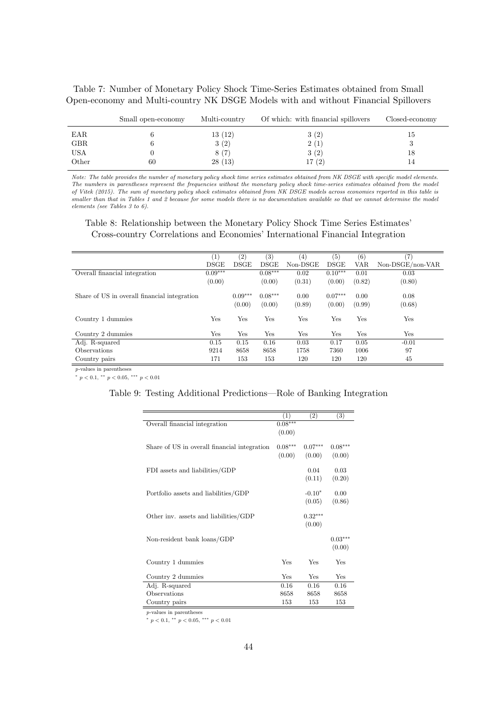| Table 7: Number of Monetary Policy Shock Time-Series Estimates obtained from Small  |  |  |  |  |
|-------------------------------------------------------------------------------------|--|--|--|--|
| Open-economy and Multi-country NK DSGE Models with and without Financial Spillovers |  |  |  |  |

|            | Small open-economy | Multi-country | Of which: with financial spillovers | Closed-economy |
|------------|--------------------|---------------|-------------------------------------|----------------|
| EAR        |                    | 13(12)        | 3(2)                                | 15             |
| <b>GBR</b> |                    | 3(2)          | 2(1)                                |                |
| <b>USA</b> |                    | 8(7)          | 3(2)                                | 18             |
| Other      | 60                 | 28(13)        | 17(2)                               | 14             |

Note: The table provides the number of monetary policy shock time series estimates obtained from NK DSGE with specific model elements. The numbers in parentheses represent the frequencies without the monetary policy shock time-series estimates obtained from the model of Vitek (2015). The sum of monetary policy shock estimates obtained from NK DSGE models across economies reported in this table is smaller than that in Tables 1 and 2 because for some models there is no documentation available so that we cannot determine the model elements (see Tables 3 to 6).

Table 8: Relationship between the Monetary Policy Shock Time Series Estimates' Cross-country Correlations and Economies' International Financial Integration

|                                              | $\left( 1\right)$ | (2)       | (3)       | (4)        | (5)       | (6)        | (7)                |
|----------------------------------------------|-------------------|-----------|-----------|------------|-----------|------------|--------------------|
|                                              | DSGE              | DSGE      | DSGE      | $Non-DSGE$ | DSGE      | <b>VAR</b> | $Non-DSGE/non-VAR$ |
|                                              |                   |           |           |            |           |            |                    |
| Overall financial integration                | $0.09***$         |           | $0.08***$ | 0.02       | $0.10***$ | 0.01       | 0.03               |
|                                              | (0.00)            |           | (0.00)    | (0.31)     | (0.00)    | (0.82)     | (0.80)             |
|                                              |                   |           |           |            |           |            |                    |
| Share of US in overall financial integration |                   | $0.09***$ | $0.08***$ | 0.00       | $0.07***$ | 0.00       | 0.08               |
|                                              |                   | (0.00)    | (0.00)    | (0.89)     | (0.00)    | (0.99)     | (0.68)             |
| Country 1 dummies                            | Yes               | Yes       | Yes       | Yes        | Yes       | Yes        | Yes                |
| Country 2 dummies                            | Yes               | Yes       | Yes       | Yes        | Yes       | Yes        | Yes                |
| Adj. R-squared                               | 0.15              | 0.15      | 0.16      | 0.03       | 0.17      | 0.05       | $-0.01$            |
| Observations                                 | 9214              | 8658      | 8658      | 1758       | 7360      | 1006       | 97                 |
| Country pairs                                | 171               | 153       | 153       | 120        | 120       | 120        | 45                 |

p-values in parentheses

\*  $p < 0.1$ , \*\*  $p < 0.05$ , \*\*\*  $p < 0.01$ 

#### Table 9: Testing Additional Predictions—Role of Banking Integration

|                                              | (1)       | (2)        | (3)       |
|----------------------------------------------|-----------|------------|-----------|
| Overall financial integration                | $0.08***$ |            |           |
|                                              | (0.00)    |            |           |
|                                              |           |            |           |
| Share of US in overall financial integration | $0.08***$ | $0.07***$  | $0.08***$ |
|                                              | (0.00)    | (0.00)     | (0.00)    |
|                                              |           |            |           |
| FDI assets and liabilities/GDP               |           | 0.04       | 0.03      |
|                                              |           | (0.11)     | (0.20)    |
| Portfolio assets and liabilities/GDP         |           | $-0.10*$   | 0.00      |
|                                              |           | (0.05)     | (0.86)    |
|                                              |           |            |           |
| Other inv. assets and liabilities/GDP        |           | $0.32***$  |           |
|                                              |           | (0.00)     |           |
|                                              |           |            | $0.03***$ |
| Non-resident bank loans/GDP                  |           |            |           |
|                                              |           |            | (0.00)    |
| Country 1 dummies                            | Yes       | Yes        | Yes       |
|                                              |           |            |           |
| Country 2 dummies                            | Yes       | <b>Yes</b> | Yes       |
| Adj. R-squared                               | 0.16      | 0.16       | 0.16      |
| Observations                                 | 8658      | 8658       | 8658      |
| Country pairs                                | 153       | 153        | 153       |

p-values in parentheses

\*  $p < 0.1$ , \*\*  $p < 0.05$ , \*\*\*  $p < 0.01$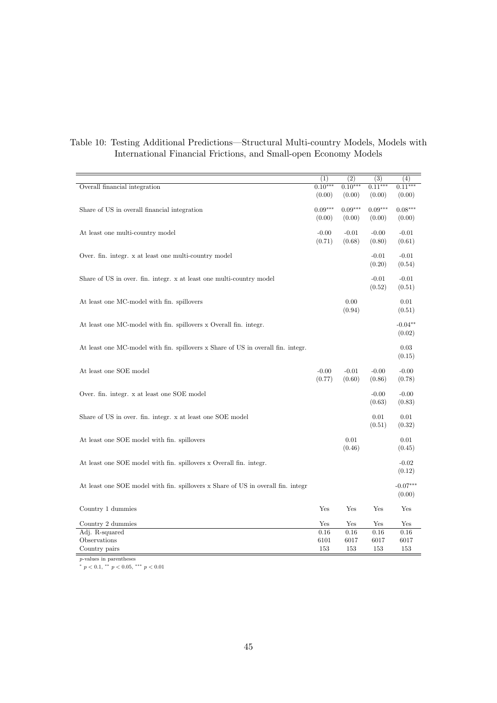| Table 10: Testing Additional Predictions—Structural Multi-country Models, Models with |
|---------------------------------------------------------------------------------------|
| International Financial Frictions, and Small-open Economy Models                      |

|                                                                                  | (1)       | (2)       | (3)       | (4)        |
|----------------------------------------------------------------------------------|-----------|-----------|-----------|------------|
| Overall financial integration                                                    | $0.10***$ | $0.10***$ | $0.11***$ | $0.11***$  |
|                                                                                  | (0.00)    | (0.00)    | (0.00)    | (0.00)     |
| Share of US in overall financial integration                                     | $0.09***$ | $0.09***$ | $0.09***$ | $0.08***$  |
|                                                                                  | (0.00)    | (0.00)    | (0.00)    | (0.00)     |
|                                                                                  |           |           |           |            |
| At least one multi-country model                                                 | $-0.00$   | $-0.01$   | $-0.00$   | $-0.01$    |
|                                                                                  | (0.71)    | (0.68)    | (0.80)    | (0.61)     |
| Over. fin. integr. x at least one multi-country model                            |           |           | $-0.01$   | $-0.01$    |
|                                                                                  |           |           | (0.20)    | (0.54)     |
|                                                                                  |           |           |           |            |
| Share of US in over. fin. integr. x at least one multi-country model             |           |           | $-0.01$   | $-0.01$    |
|                                                                                  |           |           | (0.52)    | (0.51)     |
| At least one MC-model with fin. spillovers                                       |           | 0.00      |           | 0.01       |
|                                                                                  |           | (0.94)    |           | (0.51)     |
| At least one MC-model with fin. spillovers x Overall fin. integr.                |           |           |           | $-0.04**$  |
|                                                                                  |           |           |           | (0.02)     |
|                                                                                  |           |           |           |            |
| At least one MC-model with fin. spillovers x Share of US in overall fin. integr. |           |           |           | 0.03       |
|                                                                                  |           |           |           | (0.15)     |
| At least one SOE model                                                           | $-0.00$   | $-0.01$   | $-0.00$   | $-0.00$    |
|                                                                                  | (0.77)    | (0.60)    | (0.86)    | (0.78)     |
|                                                                                  |           |           |           |            |
| Over. fin. integr. x at least one SOE model                                      |           |           | $-0.00$   | $-0.00$    |
|                                                                                  |           |           | (0.63)    | (0.83)     |
| Share of US in over. fin. integr. x at least one SOE model                       |           |           | 0.01      | 0.01       |
|                                                                                  |           |           | (0.51)    | (0.32)     |
| At least one SOE model with fin. spillovers                                      |           | 0.01      |           | 0.01       |
|                                                                                  |           | (0.46)    |           | (0.45)     |
|                                                                                  |           |           |           |            |
| At least one SOE model with fin. spillovers x Overall fin. integr.               |           |           |           | $-0.02$    |
|                                                                                  |           |           |           | (0.12)     |
| At least one SOE model with fin. spillovers x Share of US in overall fin. integr |           |           |           | $-0.07***$ |
|                                                                                  |           |           |           | (0.00)     |
|                                                                                  | Yes       |           |           |            |
| Country 1 dummies                                                                |           | Yes       | Yes       | Yes        |
| Country 2 dummies                                                                | Yes       | Yes       | Yes       | Yes        |
| Adj. R-squared                                                                   | 0.16      | 0.16      | 0.16      | 0.16       |
| Observations                                                                     | 6101      | 6017      | 6017      | 6017       |
| Country pairs                                                                    | 153       | 153       | 153       | 153        |

p-values in parentheses \*  $p < 0.1$ , \*\*  $p < 0.05$ , \*\*\*  $p < 0.01$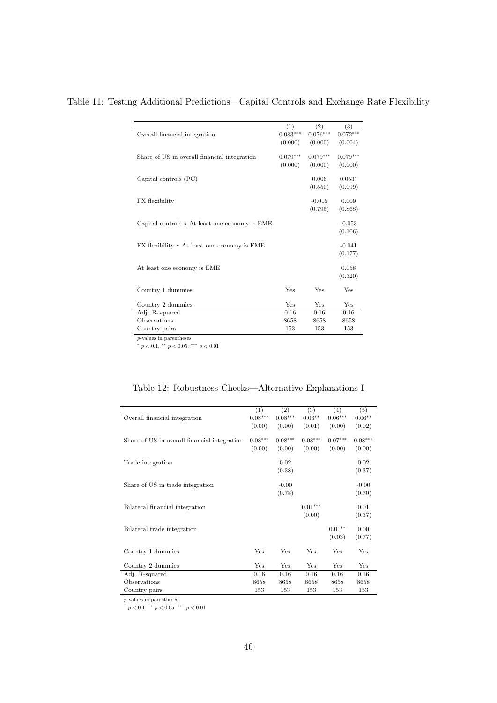| (1)        | (2)                          | (3)                                                         |
|------------|------------------------------|-------------------------------------------------------------|
| $0.083***$ | $0.076***$                   | $0.072***$                                                  |
| (0.000)    | (0.000)                      | (0.004)                                                     |
|            |                              |                                                             |
|            |                              | $0.079***$                                                  |
|            |                              | (0.000)                                                     |
|            |                              | $0.053*$                                                    |
|            |                              | (0.099)                                                     |
|            |                              |                                                             |
|            | $-0.015$                     | 0.009                                                       |
|            |                              | (0.868)                                                     |
|            |                              |                                                             |
|            |                              | $-0.053$                                                    |
|            |                              | (0.106)                                                     |
|            |                              |                                                             |
|            |                              | $-0.041$                                                    |
|            |                              | (0.177)                                                     |
|            |                              |                                                             |
|            |                              | 0.058                                                       |
|            |                              | (0.320)                                                     |
|            |                              | Yes                                                         |
|            |                              |                                                             |
| Yes        | Yes                          | Yes                                                         |
| 0.16       | 0.16                         | 0.16                                                        |
| 8658       | 8658                         | 8658                                                        |
| 153        | 153                          | 153                                                         |
|            | $0.079***$<br>(0.000)<br>Yes | $0.079***$<br>(0.000)<br>0.006<br>(0.550)<br>(0.795)<br>Yes |

Table 11: Testing Additional Predictions—Capital Controls and Exchange Rate Flexibility

p-values in parentheses

 $*$   $p$   $<$   $0.1,$   $^{**}$   $p$   $<$   $0.05,$   $^{***}$   $p$   $<$   $0.01$ 

## Table 12: Robustness Checks—Alternative Explanations I

|                                              | $\left(1\right)$ | (2)       | (3)       | $^{(4)}$  | (5)       |
|----------------------------------------------|------------------|-----------|-----------|-----------|-----------|
| Overall financial integration                | $0.08***$        | $0.08***$ | $0.06**$  | $0.06***$ | $0.06**$  |
|                                              | (0.00)           | (0.00)    | (0.01)    | (0.00)    | (0.02)    |
|                                              |                  |           |           |           |           |
| Share of US in overall financial integration | $0.08***$        | $0.08***$ | $0.08***$ | $0.07***$ | $0.08***$ |
|                                              | (0.00)           | (0.00)    | (0.00)    | (0.00)    | (0.00)    |
|                                              |                  |           |           |           |           |
| Trade integration                            |                  | 0.02      |           |           | 0.02      |
|                                              |                  | (0.38)    |           |           | (0.37)    |
| Share of US in trade integration             |                  | $-0.00$   |           |           | $-0.00$   |
|                                              |                  | (0.78)    |           |           | (0.70)    |
|                                              |                  |           |           |           |           |
| Bilateral financial integration              |                  |           | $0.01***$ |           | 0.01      |
|                                              |                  |           | (0.00)    |           | (0.37)    |
|                                              |                  |           |           |           |           |
| Bilateral trade integration                  |                  |           |           | $0.01**$  | 0.00      |
|                                              |                  |           |           | (0.03)    | (0.77)    |
|                                              |                  |           |           |           |           |
| Country 1 dummies                            | Yes              | Yes       | Yes       | Yes       | Yes       |
| Country 2 dummies                            | Yes              | Yes       | Yes       | Yes       | Yes       |
|                                              |                  |           |           |           |           |
| Adj. R-squared                               | 0.16             | 0.16      | 0.16      | 0.16      | 0.16      |
| Observations                                 | 8658             | 8658      | 8658      | 8658      | 8658      |
| Country pairs                                | 153              | 153       | 153       | 153       | 153       |

p-values in parentheses

 $*$   $p$   $<$   $0.1,$   $^{**}$   $p$   $<$   $0.05,$   $^{***}$   $p$   $<$   $0.01$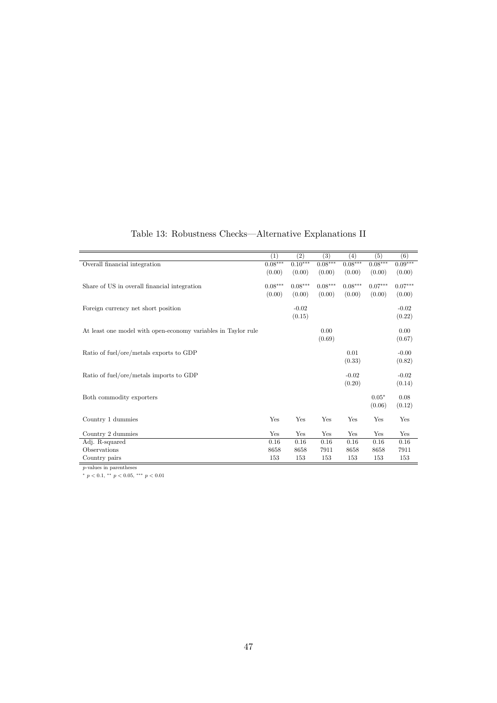|                                                               | (1)       | $\left( 2\right)$ | $\left(3\right)$ | $\left( 4\right)$   | (5)       | (6)       |
|---------------------------------------------------------------|-----------|-------------------|------------------|---------------------|-----------|-----------|
| Overall financial integration                                 | $0.08***$ | $0.10***$         | $0.08***$        | $0.08***$           | $0.08***$ | $0.09***$ |
|                                                               | (0.00)    | (0.00)            | (0.00)           | (0.00)              | (0.00)    | (0.00)    |
|                                                               |           |                   |                  |                     |           | $0.07***$ |
| Share of US in overall financial integration                  | $0.08***$ | $0.08***$         | $0.08***$        | $0.08***$<br>(0.00) | $0.07***$ |           |
|                                                               | (0.00)    | (0.00)            | (0.00)           |                     | (0.00)    | (0.00)    |
| Foreign currency net short position                           |           | $-0.02$           |                  |                     |           | $-0.02$   |
|                                                               |           | (0.15)            |                  |                     |           | (0.22)    |
|                                                               |           |                   |                  |                     |           |           |
| At least one model with open-economy variables in Taylor rule |           |                   | 0.00             |                     |           | 0.00      |
|                                                               |           |                   | (0.69)           |                     |           | (0.67)    |
|                                                               |           |                   |                  | 0.01                |           | $-0.00$   |
| Ratio of fuel/ore/metals exports to GDP                       |           |                   |                  | (0.33)              |           | (0.82)    |
|                                                               |           |                   |                  |                     |           |           |
| Ratio of fuel/ore/metals imports to GDP                       |           |                   |                  | $-0.02$             |           | $-0.02$   |
|                                                               |           |                   |                  | (0.20)              |           | (0.14)    |
|                                                               |           |                   |                  |                     |           |           |
| Both commodity exporters                                      |           |                   |                  |                     | $0.05*$   | 0.08      |
|                                                               |           |                   |                  |                     | (0.06)    | (0.12)    |
| Country 1 dummies                                             | Yes       | Yes               | Yes              | Yes                 | Yes       | Yes       |
|                                                               |           |                   |                  |                     |           |           |
| Country 2 dummies                                             | Yes       | Yes               | Yes              | Yes                 | Yes       | Yes       |
| Adj. R-squared                                                | 0.16      | 0.16              | 0.16             | 0.16                | 0.16      | 0.16      |
| Observations                                                  | 8658      | 8658              | 7911             | 8658                | 8658      | 7911      |
| Country pairs                                                 | 153       | 153               | 153              | 153                 | 153       | 153       |

Table 13: Robustness Checks—Alternative Explanations II

p-values in parentheses

 $*$   $p < 0.1$ ,  $**$   $p < 0.05$ ,  $***$   $p < 0.01$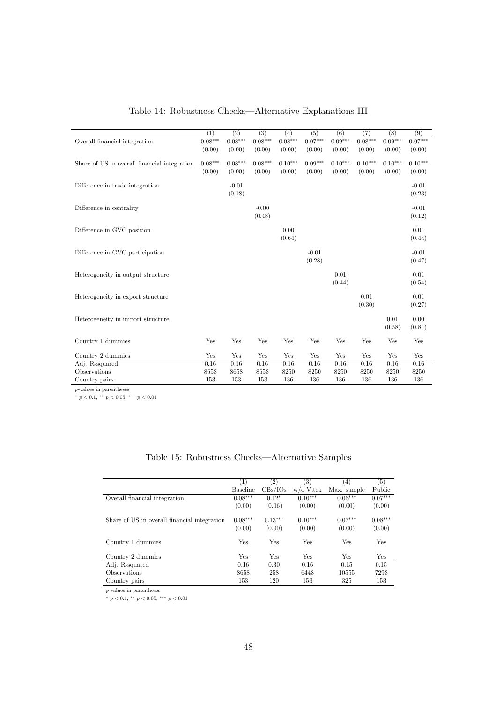|                                              | $^{(1)}$  | (2)       | (3)       | (4)       | (5)       | (6)       | (7)       | (8)       | (9)       |
|----------------------------------------------|-----------|-----------|-----------|-----------|-----------|-----------|-----------|-----------|-----------|
| Overall financial integration                | $0.08***$ | $0.08***$ | $0.08***$ | $0.08***$ | $0.07***$ | $0.09***$ | $0.08***$ | $0.09***$ | $0.07***$ |
|                                              | (0.00)    | (0.00)    | (0.00)    | (0.00)    | (0.00)    | (0.00)    | (0.00)    | (0.00)    | (0.00)    |
| Share of US in overall financial integration | $0.08***$ | $0.08***$ | $0.08***$ | $0.10***$ | $0.09***$ | $0.10***$ | $0.10***$ | $0.10***$ | $0.10***$ |
|                                              | (0.00)    | (0.00)    | (0.00)    | (0.00)    | (0.00)    | (0.00)    | (0.00)    | (0.00)    | (0.00)    |
|                                              |           |           |           |           |           |           |           |           |           |
| Difference in trade integration              |           | $-0.01$   |           |           |           |           |           |           | $-0.01$   |
|                                              |           | (0.18)    |           |           |           |           |           |           | (0.23)    |
| Difference in centrality                     |           |           | $-0.00$   |           |           |           |           |           | $-0.01$   |
|                                              |           |           | (0.48)    |           |           |           |           |           | (0.12)    |
| Difference in GVC position                   |           |           |           | 0.00      |           |           |           |           | 0.01      |
|                                              |           |           |           | (0.64)    |           |           |           |           | (0.44)    |
|                                              |           |           |           |           |           |           |           |           |           |
| Difference in GVC participation              |           |           |           |           | $-0.01$   |           |           |           | $-0.01$   |
|                                              |           |           |           |           | (0.28)    |           |           |           | (0.47)    |
| Heterogeneity in output structure            |           |           |           |           |           | 0.01      |           |           | 0.01      |
|                                              |           |           |           |           |           | (0.44)    |           |           | (0.54)    |
| Heterogeneity in export structure            |           |           |           |           |           |           | 0.01      |           | 0.01      |
|                                              |           |           |           |           |           |           | (0.30)    |           | (0.27)    |
|                                              |           |           |           |           |           |           |           |           |           |
| Heterogeneity in import structure            |           |           |           |           |           |           |           | 0.01      | 0.00      |
|                                              |           |           |           |           |           |           |           | (0.58)    | (0.81)    |
| Country 1 dummies                            | Yes       | Yes       | Yes       | Yes       | Yes       | Yes       | Yes       | Yes       | Yes       |
|                                              |           |           |           |           |           |           |           |           |           |
| Country 2 dummies                            | Yes       | Yes       | Yes       | Yes       | Yes       | Yes       | Yes       | Yes       | Yes       |
| Adj. R-squared                               | 0.16      | 0.16      | 0.16      | 0.16      | 0.16      | 0.16      | 0.16      | 0.16      | 0.16      |
| Observations                                 | 8658      | 8658      | 8658      | 8250      | 8250      | 8250      | 8250      | 8250      | 8250      |
| Country pairs                                | 153       | 153       | 153       | 136       | 136       | 136       | 136       | 136       | 136       |

Table 14: Robustness Checks—Alternative Explanations III

p-values in parentheses

\*  $p < 0.1$ , \*\*  $p < 0.05$ , \*\*\*  $p < 0.01$ 

## Table 15: Robustness Checks—Alternative Samples

|                                              | (1)       | (2)       | (3)       | (4)         | (5)       |
|----------------------------------------------|-----------|-----------|-----------|-------------|-----------|
|                                              | Baseline  | CBs/IOs   | w/o Vitek | Max. sample | Public    |
| Overall financial integration                | $0.08***$ | $0.12*$   | $0.10***$ | $0.06***$   | $0.07***$ |
|                                              | (0.00)    | (0.06)    | (0.00)    | (0.00)      | (0.00)    |
| Share of US in overall financial integration | $0.08***$ | $0.13***$ | $0.10***$ | $0.07***$   | $0.08***$ |
|                                              | (0.00)    | (0.00)    | (0.00)    | (0.00)      | (0.00)    |
| Country 1 dummies                            | Yes       | Yes       | Yes       | Yes         | Yes       |
| Country 2 dummies                            | Yes       | Yes       | Yes       | Yes         | Yes       |
| Adj. R-squared                               | 0.16      | 0.30      | 0.16      | 0.15        | 0.15      |
| <b>Observations</b>                          | 8658      | 258       | 6448      | 10555       | 7298      |
| Country pairs                                | 153       | 120       | 153       | 325         | 153       |

p-values in parentheses

 $*$   $p < 0.1$ ,  $**$   $p < 0.05$ ,  $***$   $p < 0.01$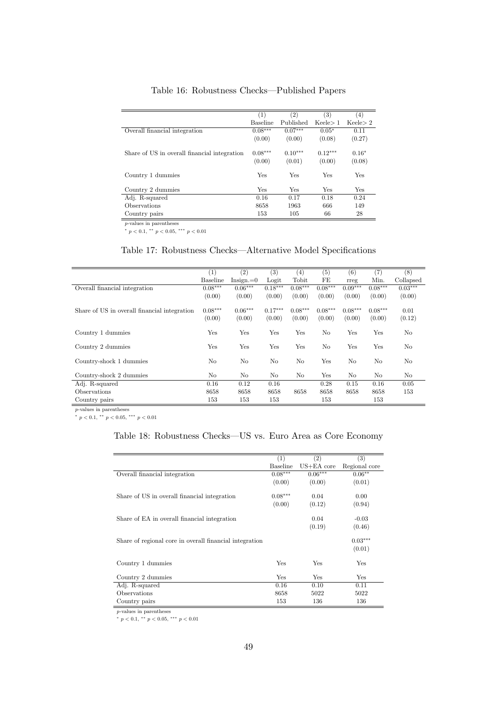|                                              | (1)             | $\left( 2\right)$ | (3)       | $\left( 4\right)$ |
|----------------------------------------------|-----------------|-------------------|-----------|-------------------|
|                                              | <b>Baseline</b> | Published         | Keele > 1 | Keele > 2         |
| Overall financial integration                | $0.08***$       | $0.07***$         | $0.05*$   | 0.11              |
|                                              | (0.00)          | (0.00)            | (0.08)    | (0.27)            |
| Share of US in overall financial integration | $0.08***$       | $0.10***$         | $0.12***$ | $0.16*$           |
|                                              | (0.00)          | (0.01)            | (0.00)    | (0.08)            |
| Country 1 dummies                            | Yes             | Yes               | Yes       | Yes               |
| Country 2 dummies                            | Yes             | Yes               | Yes       | Yes               |
| Adj. R-squared                               | 0.16            | 0.17              | 0.18      | 0.24              |
| Observations                                 | 8658            | 1963              | 666       | 149               |
| Country pairs                                | 153             | 105               | 66        | 28                |

## Table 16: Robustness Checks—Published Papers

p-values in parentheses

\*  $p < 0.1$ , \*\*  $p < 0.05$ , \*\*\*  $p < 0.01$ 

#### Table 17: Robustness Checks—Alternative Model Specifications

|                                              | (1)       | $\left( 2\right)$ | (3)       | (4)            | $\left( 5\right)$ | (6)       | (7)       | (8)       |
|----------------------------------------------|-----------|-------------------|-----------|----------------|-------------------|-----------|-----------|-----------|
|                                              | Baseline  | $Insign = 0$      | Logit     | Tobit          | FE                | rreg      | Min.      | Collapsed |
| Overall financial integration                | $0.08***$ | $0.06***$         | $0.18***$ | $0.08***$      | $0.08***$         | $0.09***$ | $0.08***$ | $0.03***$ |
|                                              | (0.00)    | (0.00)            | (0.00)    | (0.00)         | (0.00)            | (0.00)    | (0.00)    | (0.00)    |
| Share of US in overall financial integration | $0.08***$ | $0.06***$         | $0.17***$ | $0.08***$      | $0.08***$         | $0.08***$ | $0.08***$ | 0.01      |
|                                              | (0.00)    | (0.00)            | (0.00)    | (0.00)         | (0.00)            | (0.00)    | (0.00)    | (0.12)    |
| Country 1 dummies                            | Yes       | Yes               | Yes       | Yes            | No                | Yes       | Yes       | No        |
| Country 2 dummies                            | Yes       | Yes               | Yes       | Yes            | No                | Yes       | Yes       | No        |
| Country-shock 1 dummies                      | No        | No                | No        | N <sub>o</sub> | Yes               | No        | No        | No        |
| Country-shock 2 dummies                      | No        | No                | No        | No             | Yes               | No        | No        | No        |
| Adj. R-squared                               | 0.16      | 0.12              | 0.16      |                | 0.28              | 0.15      | 0.16      | 0.05      |
| Observations                                 | 8658      | 8658              | 8658      | 8658           | 8658              | 8658      | 8658      | 153       |
| Country pairs                                | 153       | 153               | 153       |                | 153               |           | 153       |           |

p-values in parentheses

 $*$   $p$   $<$   $0.1,$   $^{**}$   $p$   $<$   $0.05,$   $^{***}$   $p$   $<$   $0.01$ 

## Table 18: Robustness Checks—US vs. Euro Area as Core Economy

|                                                         | (1)       | (2)            | (3)           |
|---------------------------------------------------------|-----------|----------------|---------------|
|                                                         |           |                |               |
|                                                         | Baseline  | $US + EA$ core | Regional core |
| Overall financial integration                           | $0.08***$ | $0.06***$      | $0.06***$     |
|                                                         | (0.00)    | (0.00)         | (0.01)        |
|                                                         |           |                |               |
| Share of US in overall financial integration            | $0.08***$ | 0.04           | 0.00          |
|                                                         | (0.00)    | (0.12)         | (0.94)        |
| Share of EA in overall financial integration            |           | 0.04           | $-0.03$       |
|                                                         |           | (0.19)         | (0.46)        |
|                                                         |           |                |               |
| Share of regional core in overall financial integration |           |                | $0.03***$     |
|                                                         |           |                | (0.01)        |
|                                                         |           |                |               |
| Country 1 dummies                                       | Yes       | Yes            | Yes           |
| Country 2 dummies                                       | Yes       | Yes            | Yes           |
|                                                         |           |                |               |
| Adj. R-squared                                          | 0.16      | 0.10           | 0.11          |
| Observations                                            | 8658      | 5022           | 5022          |
| Country pairs                                           | 153       | 136            | 136           |

p-values in parentheses

 $*$   $p$   $<$   $0.1,$   $^{**}$   $p$   $<$   $0.05,$   $^{***}$   $p$   $<$   $0.01$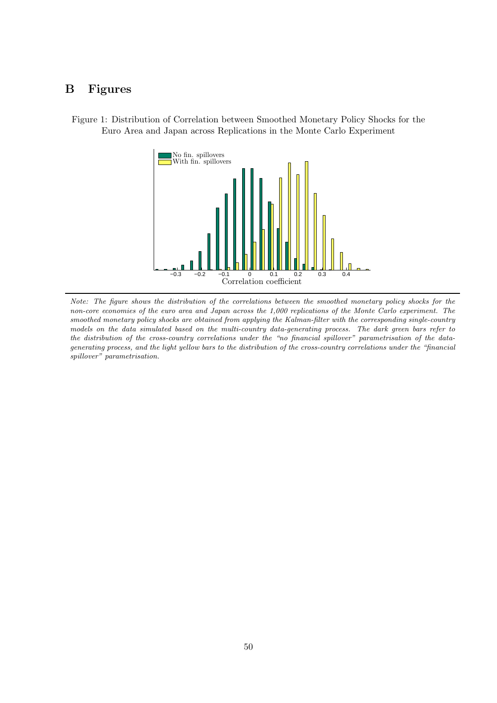# B Figures

Figure 1: Distribution of Correlation between Smoothed Monetary Policy Shocks for the Euro Area and Japan across Replications in the Monte Carlo Experiment



Note: The figure shows the distribution of the correlations between the smoothed monetary policy shocks for the non-core economies of the euro area and Japan across the 1,000 replications of the Monte Carlo experiment. The smoothed monetary policy shocks are obtained from applying the Kalman-filter with the corresponding single-country models on the data simulated based on the multi-country data-generating process. The dark green bars refer to the distribution of the cross-country correlations under the "no financial spillover" parametrisation of the datagenerating process, and the light yellow bars to the distribution of the cross-country correlations under the "financial spillover" parametrisation.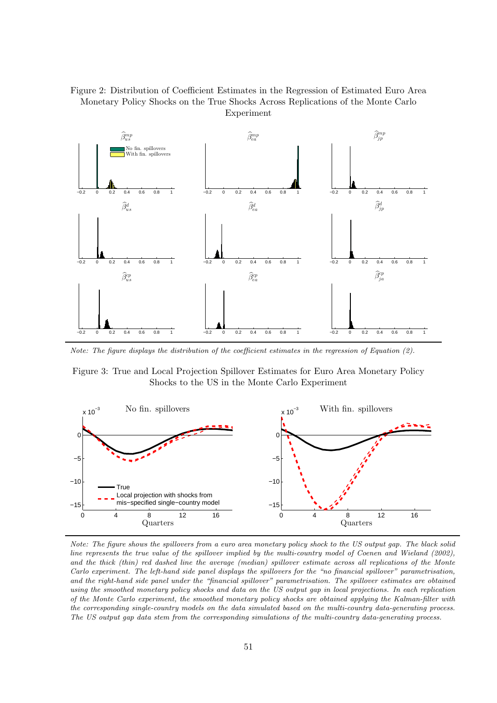## Figure 2: Distribution of Coefficient Estimates in the Regression of Estimated Euro Area Monetary Policy Shocks on the True Shocks Across Replications of the Monte Carlo Experiment



Note: The figure displays the distribution of the coefficient estimates in the regression of Equation (2).

Figure 3: True and Local Projection Spillover Estimates for Euro Area Monetary Policy Shocks to the US in the Monte Carlo Experiment



Note: The figure shows the spillovers from a euro area monetary policy shock to the US output gap. The black solid line represents the true value of the spillover implied by the multi-country model of Coenen and Wieland (2002), and the thick (thin) red dashed line the average (median) spillover estimate across all replications of the Monte Carlo experiment. The left-hand side panel displays the spillovers for the "no financial spillover" parametrisation, and the right-hand side panel under the "financial spillover" parametrisation. The spillover estimates are obtained using the smoothed monetary policy shocks and data on the US output gap in local projections. In each replication of the Monte Carlo experiment, the smoothed monetary policy shocks are obtained applying the Kalman-filter with the corresponding single-country models on the data simulated based on the multi-country data-generating process. The US output gap data stem from the corresponding simulations of the multi-country data-generating process.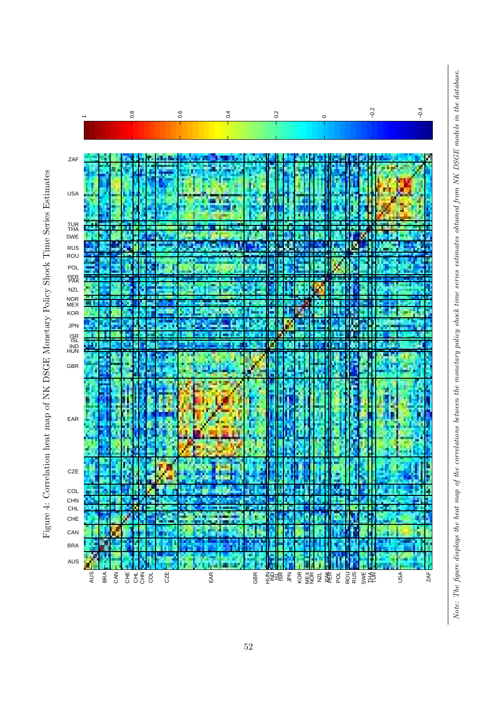Figure 4: Correlation heat map of NK DSGE Monetary Policy Shock Time Series Estimates Figure 4: Correlation heat map of NK DSGE Monetary Policy Shock Time Series Estimates



Note: The figure displays the heat map of the correlations between the monetary policy shock time series estimates obtained from NK DSGE models in the database. Note: The figure displays the heat map of the correlations between the monetary policy shock time series estimates obtained from NK DSGE models in the database.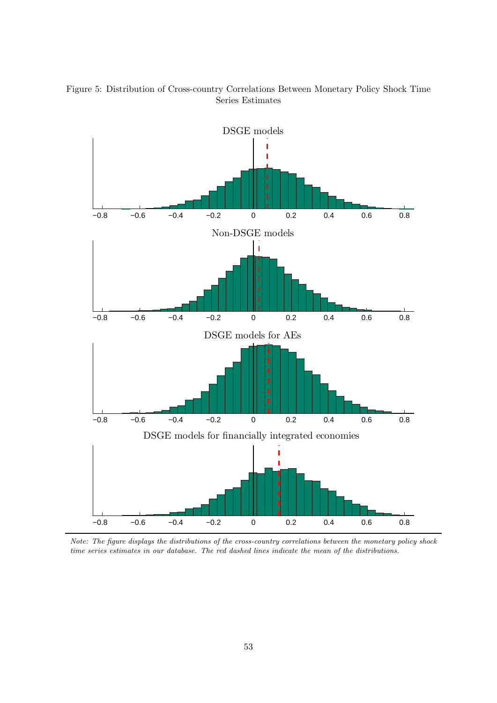

Figure 5: Distribution of Cross-country Correlations Between Monetary Policy Shock Time Series Estimates



Note: The figure displays the distributions of the cross-country correlations between the monetary policy shock time series estimates in our database. The red dashed lines indicate the mean of the distributions.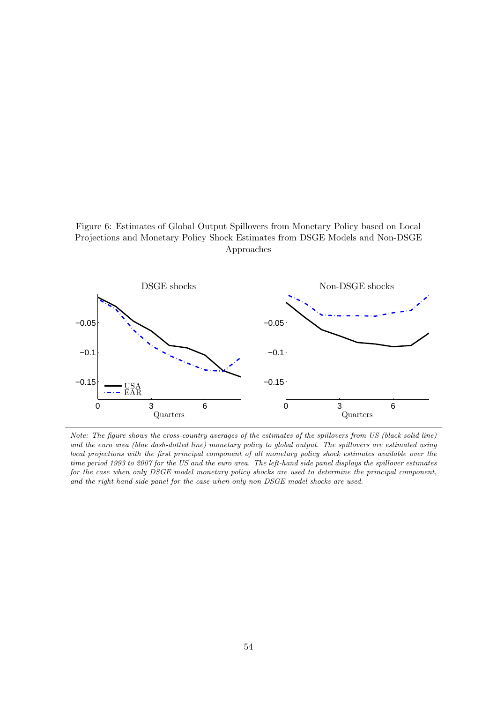Figure 6: Estimates of Global Output Spillovers from Monetary Policy based on Local Projections and Monetary Policy Shock Estimates from DSGE Models and Non-DSGE Approaches



Note: The figure shows the cross-country averages of the estimates of the spillovers from US (black solid line) and the euro area (blue dash-dotted line) monetary policy to global output. The spillovers are estimated using local projections with the first principal component of all monetary policy shock estimates available over the time period 1993 to 2007 for the US and the euro area. The left-hand side panel displays the spillover estimates for the case when only DSGE model monetary policy shocks are used to determine the principal component, and the right-hand side panel for the case when only non-DSGE model shocks are used.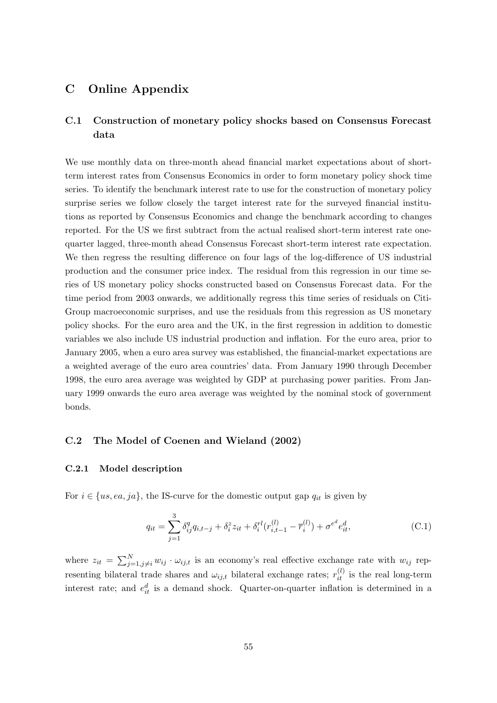# C Online Appendix

# C.1 Construction of monetary policy shocks based on Consensus Forecast data

We use monthly data on three-month ahead financial market expectations about of shortterm interest rates from Consensus Economics in order to form monetary policy shock time series. To identify the benchmark interest rate to use for the construction of monetary policy surprise series we follow closely the target interest rate for the surveyed financial institutions as reported by Consensus Economics and change the benchmark according to changes reported. For the US we first subtract from the actual realised short-term interest rate onequarter lagged, three-month ahead Consensus Forecast short-term interest rate expectation. We then regress the resulting difference on four lags of the log-difference of US industrial production and the consumer price index. The residual from this regression in our time series of US monetary policy shocks constructed based on Consensus Forecast data. For the time period from 2003 onwards, we additionally regress this time series of residuals on Citi-Group macroeconomic surprises, and use the residuals from this regression as US monetary policy shocks. For the euro area and the UK, in the first regression in addition to domestic variables we also include US industrial production and inflation. For the euro area, prior to January 2005, when a euro area survey was established, the financial-market expectations are a weighted average of the euro area countries' data. From January 1990 through December 1998, the euro area average was weighted by GDP at purchasing power parities. From January 1999 onwards the euro area average was weighted by the nominal stock of government bonds.

#### C.2 The Model of Coenen and Wieland (2002)

#### C.2.1 Model description

For  $i \in \{us, ea, ja\}$ , the IS-curve for the domestic output gap  $q_{it}$  is given by

$$
q_{it} = \sum_{j=1}^{3} \delta_{ij}^{q} q_{i,t-j} + \delta_{i}^{z} z_{it} + \delta_{i}^{rl} (r_{i,t-1}^{(l)} - \overline{r}_{i}^{(l)}) + \sigma^{e^{d}} e_{it}^{d},
$$
 (C.1)

where  $z_{it} = \sum_{j=1, j\neq i}^{N} w_{ij} \cdot \omega_{ij,t}$  is an economy's real effective exchange rate with  $w_{ij}$  representing bilateral trade shares and  $\omega_{ij,t}$  bilateral exchange rates;  $r_{it}^{(l)}$  is the real long-term interest rate; and  $e_{it}^d$  is a demand shock. Quarter-on-quarter inflation is determined in a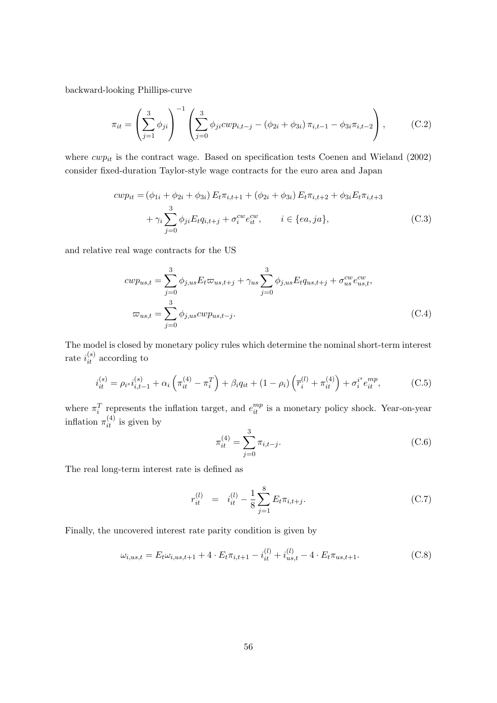backward-looking Phillips-curve

$$
\pi_{it} = \left(\sum_{j=1}^{3} \phi_{ji}\right)^{-1} \left(\sum_{j=0}^{3} \phi_{ji} c w p_{i,t-j} - \left(\phi_{2i} + \phi_{3i}\right) \pi_{i,t-1} - \phi_{3i} \pi_{i,t-2}\right),\tag{C.2}
$$

where  $cup_{it}$  is the contract wage. Based on specification tests Coenen and Wieland (2002) consider fixed-duration Taylor-style wage contracts for the euro area and Japan

$$
cup_{it} = (\phi_{1i} + \phi_{2i} + \phi_{3i}) E_t \pi_{i,t+1} + (\phi_{2i} + \phi_{3i}) E_t \pi_{i,t+2} + \phi_{3i} E_t \pi_{i,t+3}
$$
  
+  $\gamma_i \sum_{j=0}^3 \phi_{ji} E_t q_{i,t+j} + \sigma_i^{cw} e_{it}^{cw}, \qquad i \in \{ea, ja\},$  (C.3)

and relative real wage contracts for the US

$$
cup_{us,t} = \sum_{j=0}^{3} \phi_{j,us} E_t \varpi_{us,t+j} + \gamma_{us} \sum_{j=0}^{3} \phi_{j,us} E_t q_{us,t+j} + \sigma_{us}^{cw} e_{us,t}^{cw},
$$
  

$$
\varpi_{us,t} = \sum_{j=0}^{3} \phi_{j,us} cwp_{us,t-j}.
$$
 (C.4)

The model is closed by monetary policy rules which determine the nominal short-term interest rate  $i_{it}^{(s)}$  according to

$$
i_{it}^{(s)} = \rho_{i} s i_{i,t-1}^{(s)} + \alpha_{i} \left( \pi_{it}^{(4)} - \pi_{i}^{T} \right) + \beta_{i} q_{it} + (1 - \rho_{i}) \left( \overline{r}_{i}^{(l)} + \pi_{it}^{(4)} \right) + \sigma_{i}^{i s} e_{it}^{mp},
$$
(C.5)

where  $\pi_i^T$  represents the inflation target, and  $e_{it}^{mp}$  is a monetary policy shock. Year-on-year inflation  $\pi_{it}^{(4)}$  is given by 3

$$
\pi_{it}^{(4)} = \sum_{j=0}^{3} \pi_{i,t-j}.
$$
\n(C.6)

The real long-term interest rate is defined as

$$
r_{it}^{(l)} = i_{it}^{(l)} - \frac{1}{8} \sum_{j=1}^{8} E_t \pi_{i,t+j}.
$$
 (C.7)

Finally, the uncovered interest rate parity condition is given by

$$
\omega_{i,us,t} = E_t \omega_{i,us,t+1} + 4 \cdot E_t \pi_{i,t+1} - i_{it}^{(l)} + i_{us,t}^{(l)} - 4 \cdot E_t \pi_{us,t+1}.
$$
\n(C.8)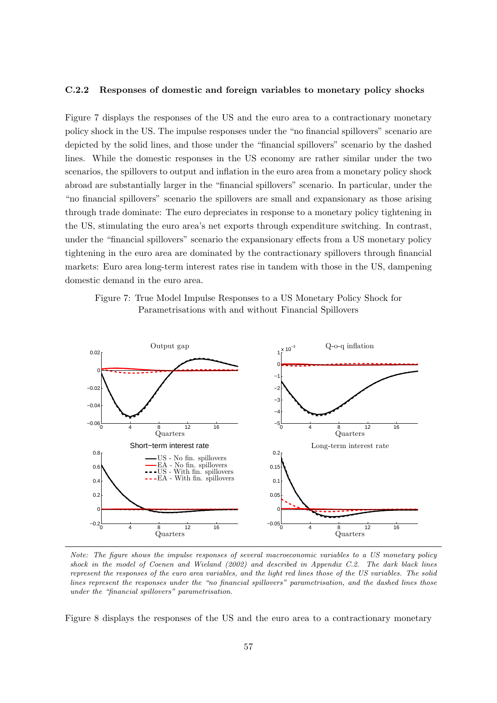#### C.2.2 Responses of domestic and foreign variables to monetary policy shocks

Figure 7 displays the responses of the US and the euro area to a contractionary monetary policy shock in the US. The impulse responses under the "no financial spillovers" scenario are depicted by the solid lines, and those under the "financial spillovers" scenario by the dashed lines. While the domestic responses in the US economy are rather similar under the two scenarios, the spillovers to output and inflation in the euro area from a monetary policy shock abroad are substantially larger in the "financial spillovers" scenario. In particular, under the "no financial spillovers" scenario the spillovers are small and expansionary as those arising through trade dominate: The euro depreciates in response to a monetary policy tightening in the US, stimulating the euro area's net exports through expenditure switching. In contrast, under the "financial spillovers" scenario the expansionary effects from a US monetary policy tightening in the euro area are dominated by the contractionary spillovers through financial markets: Euro area long-term interest rates rise in tandem with those in the US, dampening domestic demand in the euro area.





Note: The figure shows the impulse responses of several macroeconomic variables to a US monetary policy shock in the model of Coenen and Wieland (2002) and described in Appendix C.2. The dark black lines represent the responses of the euro area variables, and the light red lines those of the US variables. The solid lines represent the responses under the "no financial spillovers" parametrisation, and the dashed lines those under the "financial spillovers" parametrisation.

Figure 8 displays the responses of the US and the euro area to a contractionary monetary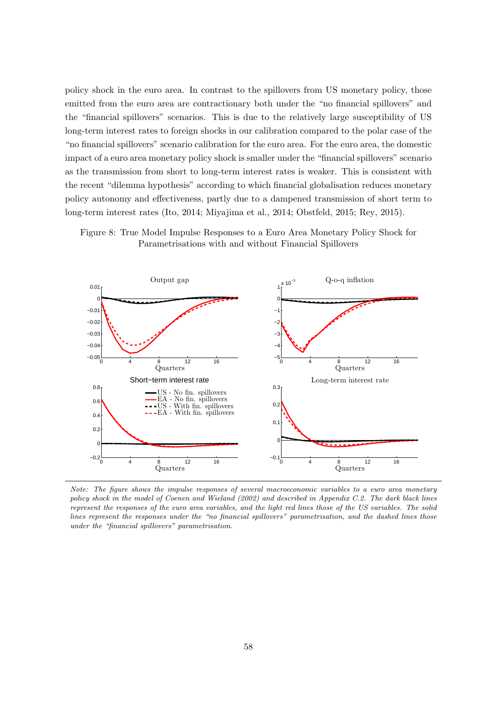policy shock in the euro area. In contrast to the spillovers from US monetary policy, those emitted from the euro area are contractionary both under the "no financial spillovers" and the "financial spillovers" scenarios. This is due to the relatively large susceptibility of US long-term interest rates to foreign shocks in our calibration compared to the polar case of the "no financial spillovers" scenario calibration for the euro area. For the euro area, the domestic impact of a euro area monetary policy shock is smaller under the "financial spillovers" scenario as the transmission from short to long-term interest rates is weaker. This is consistent with the recent "dilemma hypothesis" according to which financial globalisation reduces monetary policy autonomy and effectiveness, partly due to a dampened transmission of short term to long-term interest rates (Ito, 2014; Miyajima et al., 2014; Obstfeld, 2015; Rey, 2015).

Figure 8: True Model Impulse Responses to a Euro Area Monetary Policy Shock for Parametrisations with and without Financial Spillovers



Note: The figure shows the impulse responses of several macroeconomic variables to a euro area monetary policy shock in the model of Coenen and Wieland (2002) and described in Appendix C.2. The dark black lines represent the responses of the euro area variables, and the light red lines those of the US variables. The solid lines represent the responses under the "no financial spillovers" parametrisation, and the dashed lines those under the "financial spillovers" parametrisation.